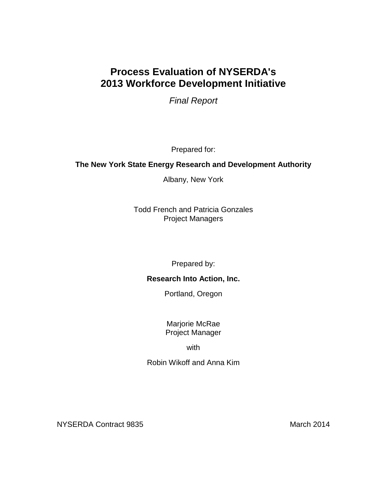# **Process Evaluation of NYSERDA's 2013 Workforce Development Initiative**

*Final Report*

Prepared for:

# **The New York State Energy Research and Development Authority**

Albany, New York

Todd French and Patricia Gonzales Project Managers

Prepared by:

# **Research Into Action, Inc.**

Portland, Oregon

Marjorie McRae Project Manager

with

Robin Wikoff and Anna Kim

NYSERDA Contract 9835 March 2014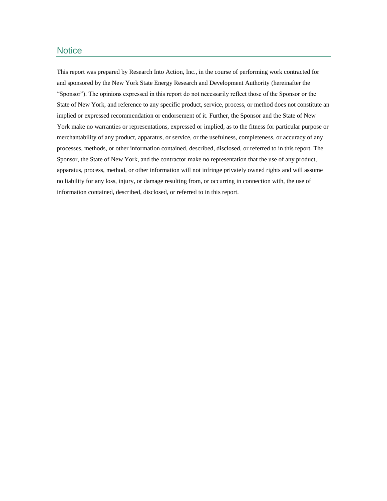# **Notice**

This report was prepared by Research Into Action, Inc., in the course of performing work contracted for and sponsored by the New York State Energy Research and Development Authority (hereinafter the "Sponsor"). The opinions expressed in this report do not necessarily reflect those of the Sponsor or the State of New York, and reference to any specific product, service, process, or method does not constitute an implied or expressed recommendation or endorsement of it. Further, the Sponsor and the State of New York make no warranties or representations, expressed or implied, as to the fitness for particular purpose or merchantability of any product, apparatus, or service, or the usefulness, completeness, or accuracy of any processes, methods, or other information contained, described, disclosed, or referred to in this report. The Sponsor, the State of New York, and the contractor make no representation that the use of any product, apparatus, process, method, or other information will not infringe privately owned rights and will assume no liability for any loss, injury, or damage resulting from, or occurring in connection with, the use of information contained, described, disclosed, or referred to in this report.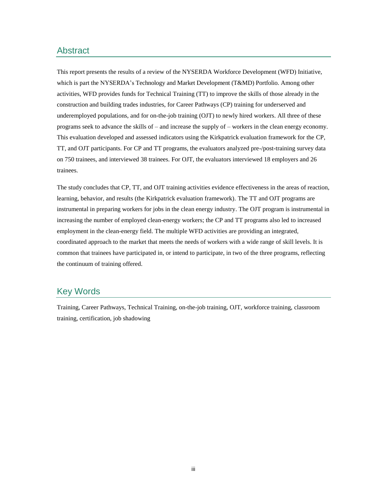# Abstract

This report presents the results of a review of the NYSERDA Workforce Development (WFD) Initiative, which is part the NYSERDA's Technology and Market Development (T&MD) Portfolio. Among other activities, WFD provides funds for Technical Training (TT) to improve the skills of those already in the construction and building trades industries, for Career Pathways (CP) training for underserved and underemployed populations, and for on-the-job training (OJT) to newly hired workers. All three of these programs seek to advance the skills of – and increase the supply of – workers in the clean energy economy. This evaluation developed and assessed indicators using the Kirkpatrick evaluation framework for the CP, TT, and OJT participants. For CP and TT programs, the evaluators analyzed pre-/post-training survey data on 750 trainees, and interviewed 38 trainees. For OJT, the evaluators interviewed 18 employers and 26 trainees.

The study concludes that CP, TT, and OJT training activities evidence effectiveness in the areas of reaction, learning, behavior, and results (the Kirkpatrick evaluation framework). The TT and OJT programs are instrumental in preparing workers for jobs in the clean energy industry. The OJT program is instrumental in increasing the number of employed clean-energy workers; the CP and TT programs also led to increased employment in the clean-energy field. The multiple WFD activities are providing an integrated, coordinated approach to the market that meets the needs of workers with a wide range of skill levels. It is common that trainees have participated in, or intend to participate, in two of the three programs, reflecting the continuum of training offered.

# Key Words

Training, Career Pathways, Technical Training, on-the-job training, OJT, workforce training, classroom training, certification, job shadowing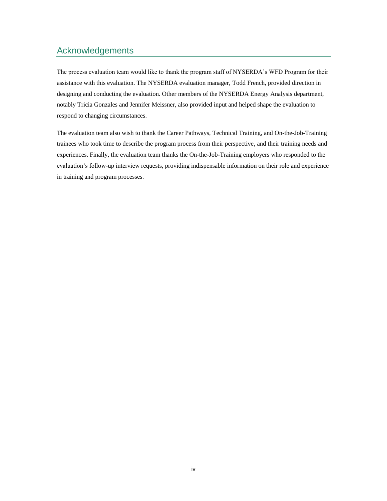# Acknowledgements

The process evaluation team would like to thank the program staff of NYSERDA's WFD Program for their assistance with this evaluation. The NYSERDA evaluation manager, Todd French, provided direction in designing and conducting the evaluation. Other members of the NYSERDA Energy Analysis department, notably Tricia Gonzales and Jennifer Meissner, also provided input and helped shape the evaluation to respond to changing circumstances.

The evaluation team also wish to thank the Career Pathways, Technical Training, and On-the-Job-Training trainees who took time to describe the program process from their perspective, and their training needs and experiences. Finally, the evaluation team thanks the On-the-Job-Training employers who responded to the evaluation's follow-up interview requests, providing indispensable information on their role and experience in training and program processes.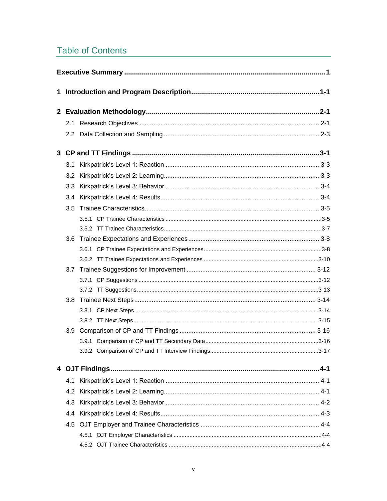# **Table of Contents**

| 3.1 |  |  |  |  |
|-----|--|--|--|--|
|     |  |  |  |  |
|     |  |  |  |  |
| 3.4 |  |  |  |  |
| 3.5 |  |  |  |  |
|     |  |  |  |  |
|     |  |  |  |  |
| 3.6 |  |  |  |  |
|     |  |  |  |  |
|     |  |  |  |  |
|     |  |  |  |  |
|     |  |  |  |  |
|     |  |  |  |  |
| 3.8 |  |  |  |  |
|     |  |  |  |  |
|     |  |  |  |  |
|     |  |  |  |  |
|     |  |  |  |  |
|     |  |  |  |  |
|     |  |  |  |  |
| 4.1 |  |  |  |  |
| 4.2 |  |  |  |  |
| 4.3 |  |  |  |  |
| 4.4 |  |  |  |  |
|     |  |  |  |  |
|     |  |  |  |  |
|     |  |  |  |  |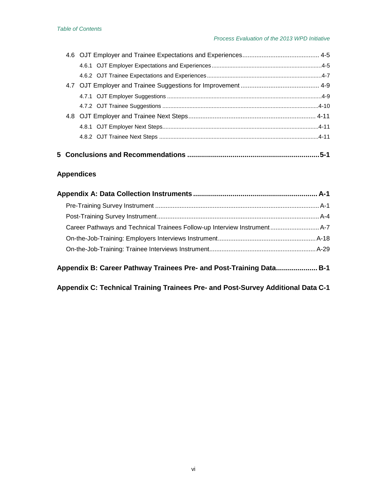# **5 Conclusions and Recommendations [...................................................................5-1](#page-50-0)**

# **Appendices**

| Career Pathways and Technical Trainees Follow-up Interview Instrument A-7 |  |
|---------------------------------------------------------------------------|--|
|                                                                           |  |
|                                                                           |  |
| Appendix B: Career Pathway Trainees Pre- and Post-Training Data B-1       |  |

**[Appendix C: Technical Training Trainees Pre-](#page-94-0) and Post-Survey Additional Data C-1**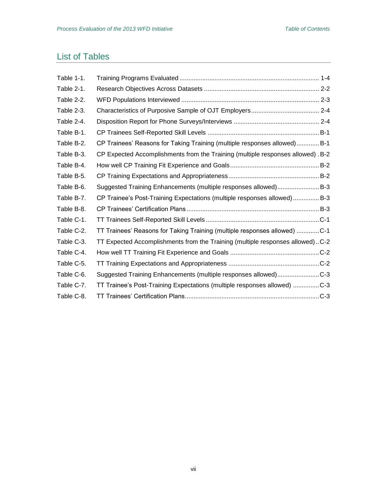# List of Tables

| Table 1-1. |                                                                                  |
|------------|----------------------------------------------------------------------------------|
| Table 2-1. |                                                                                  |
| Table 2-2. |                                                                                  |
| Table 2-3. |                                                                                  |
| Table 2-4. |                                                                                  |
| Table B-1. |                                                                                  |
| Table B-2. | CP Trainees' Reasons for Taking Training (multiple responses allowed) B-1        |
| Table B-3. | CP Expected Accomplishments from the Training (multiple responses allowed) . B-2 |
| Table B-4. |                                                                                  |
| Table B-5. |                                                                                  |
| Table B-6. | Suggested Training Enhancements (multiple responses allowed)B-3                  |
| Table B-7. | CP Trainee's Post-Training Expectations (multiple responses allowed) B-3         |
| Table B-8. |                                                                                  |
| Table C-1. |                                                                                  |
| Table C-2. | TT Trainees' Reasons for Taking Training (multiple responses allowed) C-1        |
| Table C-3. | TT Expected Accomplishments from the Training (multiple responses allowed)C-2    |
| Table C-4. |                                                                                  |
| Table C-5. |                                                                                  |
| Table C-6. | Suggested Training Enhancements (multiple responses allowed)C-3                  |
| Table C-7. | TT Trainee's Post-Training Expectations (multiple responses allowed) C-3         |
| Table C-8. |                                                                                  |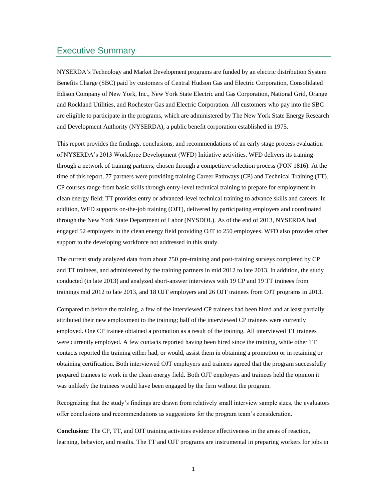## <span id="page-10-0"></span>Executive Summary

NYSERDA's Technology and Market Development programs are funded by an electric distribution System Benefits Charge (SBC) paid by customers of Central Hudson Gas and Electric Corporation, Consolidated Edison Company of New York, Inc., New York State Electric and Gas Corporation, National Grid, Orange and Rockland Utilities, and Rochester Gas and Electric Corporation. All customers who pay into the SBC are eligible to participate in the programs, which are administered by The New York State Energy Research and Development Authority (NYSERDA), a public benefit corporation established in 1975.

This report provides the findings, conclusions, and recommendations of an early stage process evaluation of NYSERDA's 2013 Workforce Development (WFD) Initiative activities. WFD delivers its training through a network of training partners, chosen through a competitive selection process (PON 1816). At the time of this report, 77 partners were providing training Career Pathways (CP) and Technical Training (TT). CP courses range from basic skills through entry-level technical training to prepare for employment in clean energy field; TT provides entry or advanced-level technical training to advance skills and careers. In addition, WFD supports on-the-job training (OJT), delivered by participating employers and coordinated through the New York State Department of Labor (NYSDOL). As of the end of 2013, NYSERDA had engaged 52 employers in the clean energy field providing OJT to 250 employees. WFD also provides other support to the developing workforce not addressed in this study.

The current study analyzed data from about 750 pre-training and post-training surveys completed by CP and TT trainees, and administered by the training partners in mid 2012 to late 2013. In addition, the study conducted (in late 2013) and analyzed short-answer interviews with 19 CP and 19 TT trainees from trainings mid 2012 to late 2013, and 18 OJT employers and 26 OJT trainees from OJT programs in 2013.

Compared to before the training, a few of the interviewed CP trainees had been hired and at least partially attributed their new employment to the training; half of the interviewed CP trainees were currently employed. One CP trainee obtained a promotion as a result of the training. All interviewed TT trainees were currently employed. A few contacts reported having been hired since the training, while other TT contacts reported the training either had, or would, assist them in obtaining a promotion or in retaining or obtaining certification. Both interviewed OJT employers and trainees agreed that the program successfully prepared trainees to work in the clean energy field. Both OJT employers and trainees held the opinion it was unlikely the trainees would have been engaged by the firm without the program.

Recognizing that the study's findings are drawn from relatively small interview sample sizes, the evaluators offer conclusions and recommendations as suggestions for the program team's consideration.

**Conclusion:** The CP, TT, and OJT training activities evidence effectiveness in the areas of reaction, learning, behavior, and results. The TT and OJT programs are instrumental in preparing workers for jobs in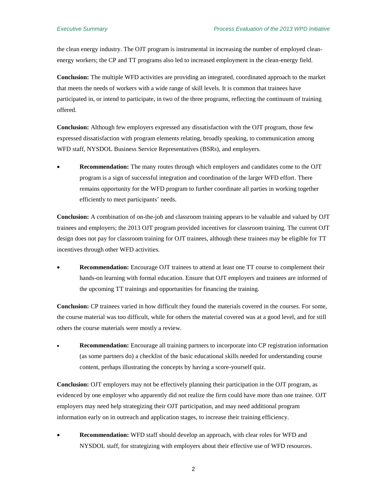the clean energy industry. The OJT program is instrumental in increasing the number of employed cleanenergy workers; the CP and TT programs also led to increased employment in the clean-energy field.

**Conclusion:** The multiple WFD activities are providing an integrated, coordinated approach to the market that meets the needs of workers with a wide range of skill levels. It is common that trainees have participated in, or intend to participate, in two of the three programs, reflecting the continuum of training offered.

**Conclusion:** Although few employers expressed any dissatisfaction with the OJT program, those few expressed dissatisfaction with program elements relating, broadly speaking, to communication among WFD staff, NYSDOL Business Service Representatives (BSRs), and employers.

 **Recommendation:** The many routes through which employers and candidates come to the OJT program is a sign of successful integration and coordination of the larger WFD effort. There remains opportunity for the WFD program to further coordinate all parties in working together efficiently to meet participants' needs.

**Conclusion:** A combination of on-the-job and classroom training appears to be valuable and valued by OJT trainees and employers; the 2013 OJT program provided incentives for classroom training. The current OJT design does not pay for classroom training for OJT trainees, although these trainees may be eligible for TT incentives through other WFD activities.

 **Recommendation:** Encourage OJT trainees to attend at least one TT course to complement their hands-on learning with formal education. Ensure that OJT employers and trainees are informed of the upcoming TT trainings and opportunities for financing the training.

**Conclusion:** CP trainees varied in how difficult they found the materials covered in the courses. For some, the course material was too difficult, while for others the material covered was at a good level, and for still others the course materials were mostly a review.

 **Recommendation:** Encourage all training partners to incorporate into CP registration information (as some partners do) a checklist of the basic educational skills needed for understanding course content, perhaps illustrating the concepts by having a score-yourself quiz.

**Conclusion:** OJT employers may not be effectively planning their participation in the OJT program, as evidenced by one employer who apparently did not realize the firm could have more than one trainee. OJT employers may need help strategizing their OJT participation, and may need additional program information early on in outreach and application stages, to increase their training efficiency.

 **Recommendation:** WFD staff should develop an approach, with clear roles for WFD and NYSDOL staff, for strategizing with employers about their effective use of WFD resources.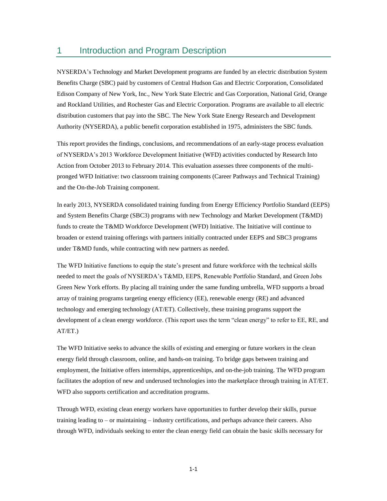# <span id="page-12-0"></span>1 Introduction and Program Description

NYSERDA's Technology and Market Development programs are funded by an electric distribution System Benefits Charge (SBC) paid by customers of Central Hudson Gas and Electric Corporation, Consolidated Edison Company of New York, Inc., New York State Electric and Gas Corporation, National Grid, Orange and Rockland Utilities, and Rochester Gas and Electric Corporation. Programs are available to all electric distribution customers that pay into the SBC. The New York State Energy Research and Development Authority (NYSERDA), a public benefit corporation established in 1975, administers the SBC funds.

This report provides the findings, conclusions, and recommendations of an early-stage process evaluation of NYSERDA's 2013 Workforce Development Initiative (WFD) activities conducted by Research Into Action from October 2013 to February 2014. This evaluation assesses three components of the multipronged WFD Initiative: two classroom training components (Career Pathways and Technical Training) and the On-the-Job Training component.

In early 2013, NYSERDA consolidated training funding from Energy Efficiency Portfolio Standard (EEPS) and System Benefits Charge (SBC3) programs with new Technology and Market Development (T&MD) funds to create the T&MD Workforce Development (WFD) Initiative. The Initiative will continue to broaden or extend training offerings with partners initially contracted under EEPS and SBC3 programs under T&MD funds, while contracting with new partners as needed.

The WFD Initiative functions to equip the state's present and future workforce with the technical skills needed to meet the goals of NYSERDA's T&MD, EEPS, Renewable Portfolio Standard, and Green Jobs Green New York efforts. By placing all training under the same funding umbrella, WFD supports a broad array of training programs targeting energy efficiency (EE), renewable energy (RE) and advanced technology and emerging technology (AT/ET). Collectively, these training programs support the development of a clean energy workforce. (This report uses the term "clean energy" to refer to EE, RE, and AT/ET.)

The WFD Initiative seeks to advance the skills of existing and emerging or future workers in the clean energy field through classroom, online, and hands-on training. To bridge gaps between training and employment, the Initiative offers internships, apprenticeships, and on-the-job training. The WFD program facilitates the adoption of new and underused technologies into the marketplace through training in AT/ET. WFD also supports certification and accreditation programs.

Through WFD, existing clean energy workers have opportunities to further develop their skills, pursue training leading to – or maintaining – industry certifications, and perhaps advance their careers. Also through WFD, individuals seeking to enter the clean energy field can obtain the basic skills necessary for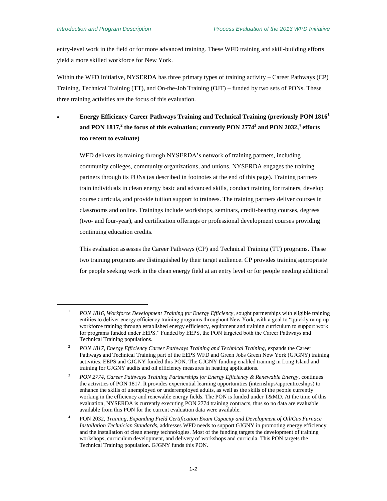$\overline{a}$ 

entry-level work in the field or for more advanced training. These WFD training and skill-building efforts yield a more skilled workforce for New York.

Within the WFD Initiative, NYSERDA has three primary types of training activity – Career Pathways (CP) Training, Technical Training (TT), and On-the-Job Training (OJT) – funded by two sets of PONs. These three training activities are the focus of this evaluation.

 **Energy Efficiency Career Pathways Training and Technical Training (previously PON 1816<sup>1</sup> and PON 1817, 2 the focus of this evaluation; currently PON 2774<sup>3</sup> and PON 2032, 4 efforts too recent to evaluate)**

WFD delivers its training through NYSERDA's network of training partners, including community colleges, community organizations, and unions. NYSERDA engages the training partners through its PONs (as described in footnotes at the end of this page). Training partners train individuals in clean energy basic and advanced skills, conduct training for trainers, develop course curricula, and provide tuition support to trainees. The training partners deliver courses in classrooms and online. Trainings include workshops, seminars, credit-bearing courses, degrees (two- and four-year), and certification offerings or professional development courses providing continuing education credits.

This evaluation assesses the Career Pathways (CP) and Technical Training (TT) programs. These two training programs are distinguished by their target audience. CP provides training appropriate for people seeking work in the clean energy field at an entry level or for people needing additional

<sup>&</sup>lt;sup>1</sup> *PON 1816, Workforce Development Training for Energy Efficiency*, sought partnerships with eligible training entities to deliver energy efficiency training programs throughout New York, with a goal to "quickly ramp up workforce training through established energy efficiency, equipment and training curriculum to support work for programs funded under EEPS." Funded by EEPS, the PON targeted both the Career Pathways and Technical Training populations.

<sup>2</sup> *PON 1817, Energy Efficiency Career Pathways Training and Technical Training*, expands the Career Pathways and Technical Training part of the EEPS WFD and Green Jobs Green New York (GJGNY) training activities. EEPS and GJGNY funded this PON. The GJGNY funding enabled training in Long Island and training for GJGNY audits and oil efficiency measures in heating applications.

<sup>3</sup> *PON 2774, Career Pathways Training Partnerships for Energy Efficiency & Renewable Energy*, continues the activities of PON 1817. It provides experiential learning opportunities (internships/apprenticeships) to enhance the skills of unemployed or underemployed adults, as well as the skills of the people currently working in the efficiency and renewable energy fields. The PON is funded under T&MD. At the time of this evaluation, NYSERDA is currently executing PON 2774 training contracts, thus so no data are evaluable available from this PON for the current evaluation data were available.

<sup>4</sup> PON 2032, *Training, Expanding Field Certification Exam Capacity and Development of Oil/Gas Furnace Installation Technician Standards*, addresses WFD needs to support GJGNY in promoting energy efficiency and the installation of clean energy technologies. Most of the funding targets the development of training workshops, curriculum development, and delivery of workshops and curricula. This PON targets the Technical Training population. GJGNY funds this PON.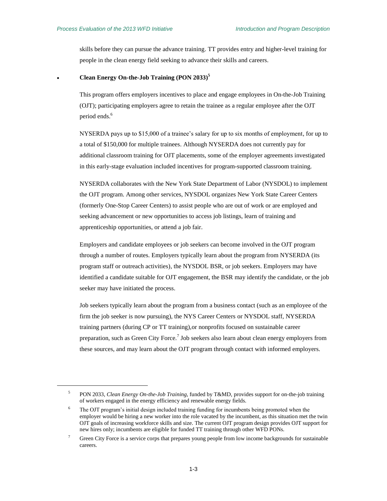$\overline{a}$ 

skills before they can pursue the advance training. TT provides entry and higher-level training for people in the clean energy field seeking to advance their skills and careers.

#### **Clean Energy On-the-Job Training (PON 2033) 5**

This program offers employers incentives to place and engage employees in On-the-Job Training (OJT); participating employers agree to retain the trainee as a regular employee after the OJT period ends.<sup>6</sup>

NYSERDA pays up to \$15,000 of a trainee's salary for up to six months of employment, for up to a total of \$150,000 for multiple trainees. Although NYSERDA does not currently pay for additional classroom training for OJT placements, some of the employer agreements investigated in this early-stage evaluation included incentives for program-supported classroom training.

NYSERDA collaborates with the New York State Department of Labor (NYSDOL) to implement the OJT program. Among other services, NYSDOL organizes New York State Career Centers (formerly One-Stop Career Centers) to assist people who are out of work or are employed and seeking advancement or new opportunities to access job listings, learn of training and apprenticeship opportunities, or attend a job fair.

Employers and candidate employees or job seekers can become involved in the OJT program through a number of routes. Employers typically learn about the program from NYSERDA (its program staff or outreach activities), the NYSDOL BSR, or job seekers. Employers may have identified a candidate suitable for OJT engagement, the BSR may identify the candidate, or the job seeker may have initiated the process.

Job seekers typically learn about the program from a business contact (such as an employee of the firm the job seeker is now pursuing), the NYS Career Centers or NYSDOL staff, NYSERDA training partners (during CP or TT training),or nonprofits focused on sustainable career preparation, such as Green City Force.<sup>7</sup> Job seekers also learn about clean energy employers from these sources, and may learn about the OJT program through contact with informed employers.

<sup>5</sup> PON 2033, *Clean Energy On-the-Job Training*, funded by T&MD*,* provides support for on-the-job training of workers engaged in the energy efficiency and renewable energy fields.

<sup>&</sup>lt;sup>6</sup> The OJT program's initial design included training funding for incumbents being promoted when the employer would be hiring a new worker into the role vacated by the incumbent, as this situation met the twin OJT goals of increasing workforce skills and size. The current OJT program design provides OJT support for new hires only; incumbents are eligible for funded TT training through other WFD PONs.

<sup>&</sup>lt;sup>7</sup> Green City Force is a service corps that prepares young people from low income backgrounds for sustainable careers.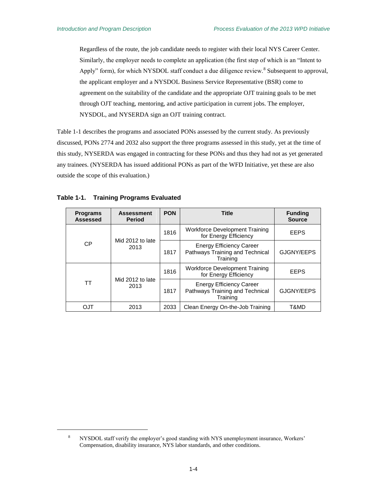Regardless of the route, the job candidate needs to register with their local NYS Career Center. Similarly, the employer needs to complete an application (the first step of which is an "Intent to Apply" form), for which NYSDOL staff conduct a due diligence review.<sup>8</sup> Subsequent to approval, the applicant employer and a NYSDOL Business Service Representative (BSR) come to agreement on the suitability of the candidate and the appropriate OJT training goals to be met through OJT teaching, mentoring, and active participation in current jobs. The employer, NYSDOL, and NYSERDA sign an OJT training contract.

[Table 1-1](#page-15-0) describes the programs and associated PONs assessed by the current study. As previously discussed, PONs 2774 and 2032 also support the three programs assessed in this study, yet at the time of this study, NYSERDA was engaged in contracting for these PONs and thus they had not as yet generated any trainees. (NYSERDA has issued additional PONs as part of the WFD Initiative, yet these are also outside the scope of this evaluation.)

| <b>Programs</b><br><b>Assessed</b> | <b>Assessment</b><br><b>Period</b> | <b>PON</b> | <b>Title</b>                                                                   | <b>Funding</b><br><b>Source</b> |
|------------------------------------|------------------------------------|------------|--------------------------------------------------------------------------------|---------------------------------|
|                                    |                                    |            | <b>Workforce Development Training</b><br>for Energy Efficiency                 | <b>EEPS</b>                     |
| <b>CP</b>                          | Mid 2012 to late<br>2013           | 1817       | <b>Energy Efficiency Career</b><br>Pathways Training and Technical<br>Training | GJGNY/EEPS                      |
|                                    | Mid 2012 to late<br>2013           | 1816       | <b>Workforce Development Training</b><br>for Energy Efficiency                 | <b>EEPS</b>                     |
| ТT                                 |                                    | 1817       | <b>Energy Efficiency Career</b><br>Pathways Training and Technical<br>Training | GJGNY/EEPS                      |
| OJT                                | 2013                               | 2033       | Clean Energy On-the-Job Training                                               | T&MD                            |

<span id="page-15-0"></span>

 $\overline{a}$ 

<sup>&</sup>lt;sup>8</sup> NYSDOL staff verify the employer's good standing with NYS unemployment insurance, Workers' Compensation, disability insurance, NYS labor standards, and other conditions.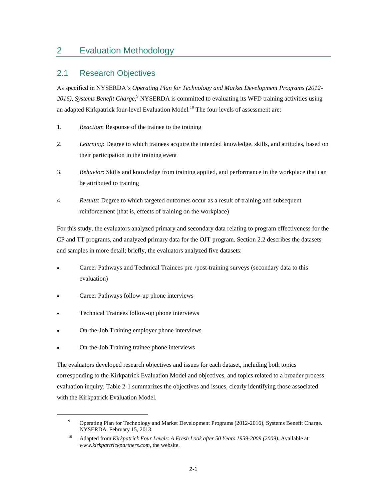# <span id="page-16-0"></span>2 Evaluation Methodology

# <span id="page-16-1"></span>2.1 Research Objectives

As specified in NYSERDA's *Operating Plan for Technology and Market Development Programs (2012-* 2016), *Systems Benefit Charge*,<sup>9</sup> NYSERDA is committed to evaluating its WFD training activities using an adapted Kirkpatrick four-level Evaluation Model.<sup>10</sup> The four levels of assessment are:

- 1. *Reaction*: Response of the trainee to the training
- 2. *Learning*: Degree to which trainees acquire the intended knowledge, skills, and attitudes, based on their participation in the training event
- 3. *Behavior*: Skills and knowledge from training applied, and performance in the workplace that can be attributed to training
- 4. *Results*: Degree to which targeted outcomes occur as a result of training and subsequent reinforcement (that is, effects of training on the workplace)

For this study, the evaluators analyzed primary and secondary data relating to program effectiveness for the CP and TT programs, and analyzed primary data for the OJT program. Section 2.2 describes the datasets and samples in more detail; briefly, the evaluators analyzed five datasets:

- Career Pathways and Technical Trainees pre-/post-training surveys (secondary data to this evaluation)
- Career Pathways follow-up phone interviews
- Technical Trainees follow-up phone interviews
- On-the-Job Training employer phone interviews
- On-the-Job Training trainee phone interviews

 $\overline{a}$ 

The evaluators developed research objectives and issues for each dataset, including both topics corresponding to the Kirkpatrick Evaluation Model and objectives, and topics related to a broader process evaluation inquiry. [Table 2-1](#page-17-0) summarizes the objectives and issues, clearly identifying those associated with the Kirkpatrick Evaluation Model.

<sup>&</sup>lt;sup>9</sup> Operating Plan for Technology and Market Development Programs (2012-2016), Systems Benefit Charge. NYSERDA. February 15, 2013.

<sup>10</sup> Adapted from *Kirkpatrick Four Levels*: *A Fresh Look after 50 Years 1959-2009 (2009).* Available at: *www.kirkpartrickpartners.com*, the website.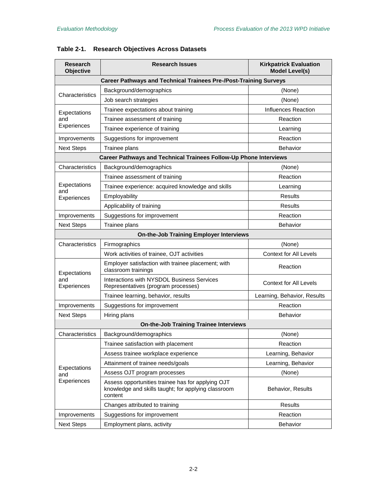| <b>Research</b><br>Objective                                             | <b>Research Issues</b>                                                                                              | <b>Kirkpatrick Evaluation</b><br><b>Model Level(s)</b> |  |  |  |  |
|--------------------------------------------------------------------------|---------------------------------------------------------------------------------------------------------------------|--------------------------------------------------------|--|--|--|--|
| <b>Career Pathways and Technical Trainees Pre-/Post-Training Surveys</b> |                                                                                                                     |                                                        |  |  |  |  |
|                                                                          | Background/demographics                                                                                             | (None)                                                 |  |  |  |  |
| Characteristics                                                          | Job search strategies                                                                                               | (None)                                                 |  |  |  |  |
| Expectations                                                             | Trainee expectations about training                                                                                 | Influences Reaction                                    |  |  |  |  |
| and                                                                      | Trainee assessment of training                                                                                      | Reaction                                               |  |  |  |  |
| Experiences                                                              | Trainee experience of training                                                                                      | Learning                                               |  |  |  |  |
| Improvements                                                             | Suggestions for improvement                                                                                         | Reaction                                               |  |  |  |  |
| <b>Next Steps</b>                                                        | Trainee plans                                                                                                       | <b>Behavior</b>                                        |  |  |  |  |
|                                                                          | Career Pathways and Technical Trainees Follow-Up Phone Interviews                                                   |                                                        |  |  |  |  |
| Characteristics                                                          | Background/demographics                                                                                             | (None)                                                 |  |  |  |  |
|                                                                          | Trainee assessment of training                                                                                      | Reaction                                               |  |  |  |  |
| Expectations                                                             | Trainee experience: acquired knowledge and skills                                                                   | Learning                                               |  |  |  |  |
| and<br>Experiences                                                       | Employability                                                                                                       | <b>Results</b>                                         |  |  |  |  |
|                                                                          | Applicability of training                                                                                           | Results                                                |  |  |  |  |
| Improvements                                                             | Suggestions for improvement                                                                                         | Reaction                                               |  |  |  |  |
| <b>Next Steps</b>                                                        | Trainee plans                                                                                                       | <b>Behavior</b>                                        |  |  |  |  |
|                                                                          | <b>On-the-Job Training Employer Interviews</b>                                                                      |                                                        |  |  |  |  |
| Characteristics                                                          | Firmographics                                                                                                       | (None)                                                 |  |  |  |  |
|                                                                          | Work activities of trainee, OJT activities                                                                          | <b>Context for All Levels</b>                          |  |  |  |  |
| Expectations                                                             | Employer satisfaction with trainee placement; with<br>classroom trainings                                           | Reaction                                               |  |  |  |  |
| and<br>Experiences                                                       | Interactions with NYSDOL Business Services<br>Representatives (program processes)                                   | <b>Context for All Levels</b>                          |  |  |  |  |
|                                                                          | Trainee learning, behavior, results                                                                                 | Learning, Behavior, Results                            |  |  |  |  |
| Improvements                                                             | Suggestions for improvement                                                                                         | Reaction                                               |  |  |  |  |
| <b>Next Steps</b>                                                        | Hiring plans                                                                                                        | <b>Behavior</b>                                        |  |  |  |  |
|                                                                          | <b>On-the-Job Training Trainee Interviews</b>                                                                       |                                                        |  |  |  |  |
| Characteristics                                                          | Background/demographics                                                                                             | (None)                                                 |  |  |  |  |
|                                                                          | Trainee satisfaction with placement                                                                                 | Reaction                                               |  |  |  |  |
|                                                                          | Assess trainee workplace experience                                                                                 | Learning, Behavior                                     |  |  |  |  |
|                                                                          | Attainment of trainee needs/goals                                                                                   | Learning, Behavior                                     |  |  |  |  |
| Expectations<br>and                                                      | Assess OJT program processes                                                                                        | (None)                                                 |  |  |  |  |
| Experiences                                                              | Assess opportunities trainee has for applying OJT<br>knowledge and skills taught; for applying classroom<br>content | Behavior, Results                                      |  |  |  |  |
|                                                                          | Changes attributed to training                                                                                      | Results                                                |  |  |  |  |
| Improvements                                                             | Suggestions for improvement                                                                                         | Reaction                                               |  |  |  |  |
| <b>Next Steps</b>                                                        | Employment plans, activity                                                                                          | Behavior                                               |  |  |  |  |

# <span id="page-17-0"></span>**Table 2-1. Research Objectives Across Datasets**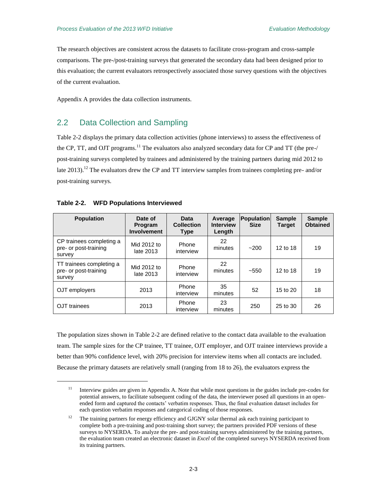**Sample Obtained**

The research objectives are consistent across the datasets to facilitate cross-program and cross-sample comparisons. The pre-/post-training surveys that generated the secondary data had been designed prior to this evaluation; the current evaluators retrospectively associated those survey questions with the objectives of the current evaluation.

Appendix A provides the data collection instruments.

# <span id="page-18-0"></span>2.2 Data Collection and Sampling

[Table 2-2](#page-18-1) displays the primary data collection activities (phone interviews) to assess the effectiveness of the CP, TT, and OJT programs.<sup>11</sup> The evaluators also analyzed secondary data for CP and TT (the pre-/ post-training surveys completed by trainees and administered by the training partners during mid 2012 to late 2013).<sup>12</sup> The evaluators drew the CP and TT interview samples from trainees completing pre- and/or post-training surveys.

| <b>Population</b>                                           | Date of<br><b>Program</b><br><b>Involvement</b> | Data<br><b>Collection</b><br>Type | Average<br><b>Interview</b><br>Length | <b>Population</b><br><b>Size</b> | <b>Sample</b><br><b>Target</b> | Sam<br><b>Obtai</b> |
|-------------------------------------------------------------|-------------------------------------------------|-----------------------------------|---------------------------------------|----------------------------------|--------------------------------|---------------------|
| CP trainees completing a<br>pre- or post-training<br>survey | Mid 2012 to<br>late 2013                        | Phone<br>interview                | 22<br>minutes                         | ~200                             | 12 to 18                       | 19                  |
| TT trainees completing a<br>pre- or post-training<br>survey | Mid 2012 to<br>late 2013                        | Phone<br>interview                | 22<br>minutes                         | $~1 - 550$                       | 12 to 18                       | 19                  |
| OJT employers                                               | 2013                                            | Phone<br>interview                | 35<br>minutes                         | 52                               | 15 to 20                       | 18                  |

#### <span id="page-18-1"></span>**Table 2-2. WFD Populations Interviewed**

OJT trainees 2013 Phone

 $\overline{a}$ 

The population sizes shown in [Table 2-2](#page-18-1) are defined relative to the contact data available to the evaluation team. The sample sizes for the CP trainee, TT trainee, OJT employer, and OJT trainee interviews provide a better than 90% confidence level, with 20% precision for interview items when all contacts are included. Because the primary datasets are relatively small (ranging from 18 to 26), the evaluators express the

interview

23

 $\frac{25}{\text{minutes}}$  250 25 to 30 26

<sup>&</sup>lt;sup>11</sup> Interview guides are given in Appendix A. Note that while most questions in the guides include pre-codes for potential answers, to facilitate subsequent coding of the data, the interviewer posed all questions in an openended form and captured the contacts' verbatim responses. Thus, the final evaluation dataset includes for each question verbatim responses and categorical coding of those responses.

<sup>&</sup>lt;sup>12</sup> The training partners for energy efficiency and GJGNY solar thermal ask each training participant to complete both a pre-training and post-training short survey; the partners provided PDF versions of these surveys to NYSERDA. To analyze the pre- and post-training surveys administered by the training partners, the evaluation team created an electronic dataset in *Excel* of the completed surveys NYSERDA received from its training partners.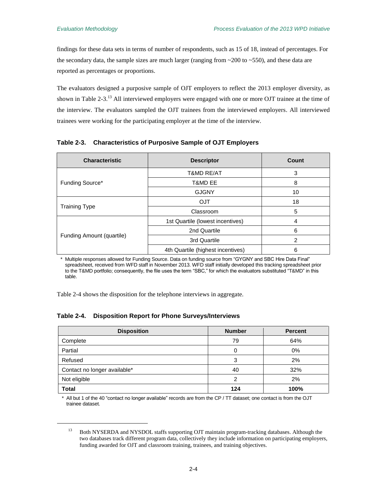$\overline{a}$ 

findings for these data sets in terms of number of respondents, such as 15 of 18, instead of percentages. For the secondary data, the sample sizes are much larger (ranging from  $\sim$  200 to  $\sim$  550), and these data are reported as percentages or proportions.

The evaluators designed a purposive sample of OJT employers to reflect the 2013 employer diversity, as shown in [Table 2-3.](#page-19-0) $^{13}$  All interviewed employers were engaged with one or more OJT trainee at the time of the interview. The evaluators sampled the OJT trainees from the interviewed employers. All interviewed trainees were working for the participating employer at the time of the interview.

<span id="page-19-0"></span>

|  | Table 2-3. Characteristics of Purposive Sample of OJT Employers |  |  |  |
|--|-----------------------------------------------------------------|--|--|--|
|--|-----------------------------------------------------------------|--|--|--|

| <b>Characteristic</b>     | <b>Descriptor</b>                 | Count |
|---------------------------|-----------------------------------|-------|
|                           | <b>T&amp;MD RE/AT</b>             | 3     |
| Funding Source*           | T&MD EE                           | 8     |
|                           | <b>GJGNY</b>                      | 10    |
|                           | <b>OJT</b>                        | 18    |
| <b>Training Type</b>      | Classroom                         | 5     |
|                           | 1st Quartile (lowest incentives)  | 4     |
|                           | 2nd Quartile                      | 6     |
| Funding Amount (quartile) | 3rd Quartile                      | 2     |
|                           | 4th Quartile (highest incentives) | 6     |

\* Multiple responses allowed for Funding Source. Data on funding source from "GYGNY and SBC Hire Data Final" spreadsheet, received from WFD staff in November 2013. WFD staff initially developed this tracking spreadsheet prior to the T&MD portfolio; consequently, the file uses the term "SBC," for which the evaluators substituted "T&MD" in this table.

[Table 2-4](#page-19-1) shows the disposition for the telephone interviews in aggregate.

#### <span id="page-19-1"></span>**Table 2-4. Disposition Report for Phone Surveys/Interviews**

| <b>Disposition</b>           | <b>Number</b> | <b>Percent</b> |
|------------------------------|---------------|----------------|
| Complete                     | 79            | 64%            |
| Partial                      | 0             | $0\%$          |
| Refused                      | 3             | 2%             |
| Contact no longer available* | 40            | 32%            |
| Not eligible                 | 2             | 2%             |
| <b>Total</b>                 | 124           | 100%           |

\* All but 1 of the 40 "contact no longer available" records are from the CP / TT dataset; one contact is from the OJT trainee dataset.

<sup>&</sup>lt;sup>13</sup> Both NYSERDA and NYSDOL staffs supporting OJT maintain program-tracking databases. Although the two databases track different program data, collectively they include information on participating employers, funding awarded for OJT and classroom training, trainees, and training objectives.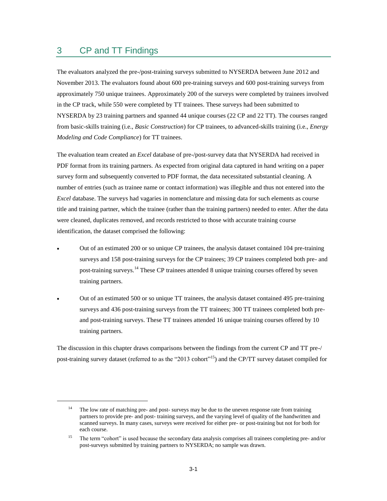# <span id="page-20-0"></span>3 CP and TT Findings

 $\overline{a}$ 

The evaluators analyzed the pre-/post-training surveys submitted to NYSERDA between June 2012 and November 2013. The evaluators found about 600 pre-training surveys and 600 post-training surveys from approximately 750 unique trainees. Approximately 200 of the surveys were completed by trainees involved in the CP track, while 550 were completed by TT trainees. These surveys had been submitted to NYSERDA by 23 training partners and spanned 44 unique courses (22 CP and 22 TT). The courses ranged from basic-skills training (i.e., *Basic Construction*) for CP trainees, to advanced-skills training (i.e., *Energy Modeling and Code Compliance*) for TT trainees.

The evaluation team created an *Excel* database of pre-/post-survey data that NYSERDA had received in PDF format from its training partners. As expected from original data captured in hand writing on a paper survey form and subsequently converted to PDF format, the data necessitated substantial cleaning. A number of entries (such as trainee name or contact information) was illegible and thus not entered into the *Excel* database. The surveys had vagaries in nomenclature and missing data for such elements as course title and training partner, which the trainee (rather than the training partners) needed to enter. After the data were cleaned, duplicates removed, and records restricted to those with accurate training course identification, the dataset comprised the following:

- Out of an estimated 200 or so unique CP trainees, the analysis dataset contained 104 pre-training surveys and 158 post-training surveys for the CP trainees; 39 CP trainees completed both pre- and post-training surveys.<sup>14</sup> These CP trainees attended 8 unique training courses offered by seven training partners.
- Out of an estimated 500 or so unique TT trainees, the analysis dataset contained 495 pre-training surveys and 436 post-training surveys from the TT trainees; 300 TT trainees completed both preand post-training surveys. These TT trainees attended 16 unique training courses offered by 10 training partners.

The discussion in this chapter draws comparisons between the findings from the current CP and TT pre-/ post-training survey dataset (referred to as the "2013 cohort"<sup>15</sup>) and the CP/TT survey dataset compiled for

<sup>&</sup>lt;sup>14</sup> The low rate of matching pre- and post- surveys may be due to the uneven response rate from training partners to provide pre- and post- training surveys, and the varying level of quality of the handwritten and scanned surveys. In many cases, surveys were received for either pre- or post-training but not for both for each course.

<sup>&</sup>lt;sup>15</sup> The term "cohort" is used because the secondary data analysis comprises all trainees completing pre- and/or post-surveys submitted by training partners to NYSERDA; no sample was drawn.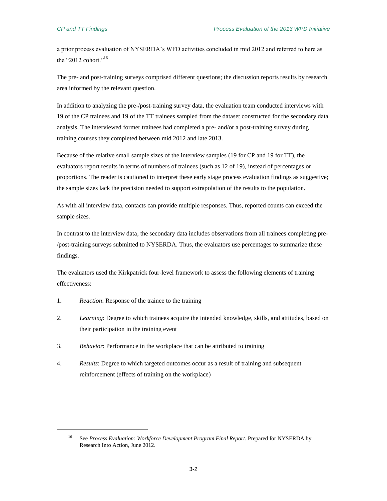a prior process evaluation of NYSERDA's WFD activities concluded in mid 2012 and referred to here as the "2012 cohort."<sup>16</sup>

The pre- and post-training surveys comprised different questions; the discussion reports results by research area informed by the relevant question.

In addition to analyzing the pre-/post-training survey data, the evaluation team conducted interviews with 19 of the CP trainees and 19 of the TT trainees sampled from the dataset constructed for the secondary data analysis. The interviewed former trainees had completed a pre- and/or a post-training survey during training courses they completed between mid 2012 and late 2013.

Because of the relative small sample sizes of the interview samples (19 for CP and 19 for TT), the evaluators report results in terms of numbers of trainees (such as 12 of 19), instead of percentages or proportions. The reader is cautioned to interpret these early stage process evaluation findings as suggestive; the sample sizes lack the precision needed to support extrapolation of the results to the population.

As with all interview data, contacts can provide multiple responses. Thus, reported counts can exceed the sample sizes.

In contrast to the interview data, the secondary data includes observations from all trainees completing pre- /post-training surveys submitted to NYSERDA. Thus, the evaluators use percentages to summarize these findings.

The evaluators used the Kirkpatrick four-level framework to assess the following elements of training effectiveness:

1. *Reaction*: Response of the trainee to the training

 $\overline{a}$ 

- 2. *Learning*: Degree to which trainees acquire the intended knowledge, skills, and attitudes, based on their participation in the training event
- 3. *Behavior*: Performance in the workplace that can be attributed to training
- 4. *Results*: Degree to which targeted outcomes occur as a result of training and subsequent reinforcement (effects of training on the workplace)

<sup>&</sup>lt;sup>16</sup> See *Process Evaluation: Workforce Development Program Final Report*. Prepared for NYSERDA by Research Into Action, June 2012.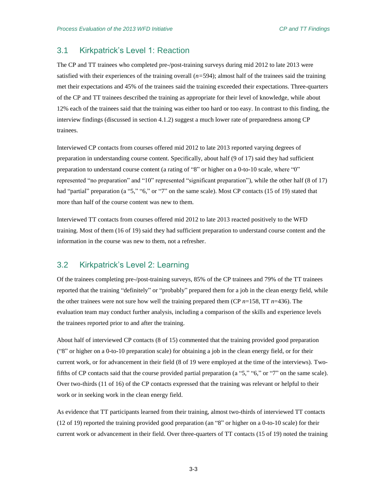# <span id="page-22-0"></span>3.1 Kirkpatrick's Level 1: Reaction

The CP and TT trainees who completed pre-/post-training surveys during mid 2012 to late 2013 were satisfied with their experiences of the training overall  $(n=594)$ ; almost half of the trainees said the training met their expectations and 45% of the trainees said the training exceeded their expectations. Three-quarters of the CP and TT trainees described the training as appropriate for their level of knowledge, while about 12% each of the trainees said that the training was either too hard or too easy. In contrast to this finding, the interview findings (discussed in section 4.1.2) suggest a much lower rate of preparedness among CP trainees.

Interviewed CP contacts from courses offered mid 2012 to late 2013 reported varying degrees of preparation in understanding course content. Specifically, about half (9 of 17) said they had sufficient preparation to understand course content (a rating of "8" or higher on a 0-to-10 scale, where "0" represented "no preparation" and "10" represented "significant preparation"), while the other half (8 of 17) had "partial" preparation (a "5," "6," or "7" on the same scale). Most CP contacts (15 of 19) stated that more than half of the course content was new to them.

Interviewed TT contacts from courses offered mid 2012 to late 2013 reacted positively to the WFD training. Most of them (16 of 19) said they had sufficient preparation to understand course content and the information in the course was new to them, not a refresher.

## <span id="page-22-1"></span>3.2 Kirkpatrick's Level 2: Learning

Of the trainees completing pre-/post-training surveys, 85% of the CP trainees and 79% of the TT trainees reported that the training "definitely" or "probably" prepared them for a job in the clean energy field, while the other trainees were not sure how well the training prepared them (CP  $n=158$ , TT  $n=436$ ). The evaluation team may conduct further analysis, including a comparison of the skills and experience levels the trainees reported prior to and after the training.

About half of interviewed CP contacts (8 of 15) commented that the training provided good preparation ("8" or higher on a 0-to-10 preparation scale) for obtaining a job in the clean energy field, or for their current work, or for advancement in their field (8 of 19 were employed at the time of the interviews). Twofifths of CP contacts said that the course provided partial preparation (a "5," "6," or "7" on the same scale). Over two-thirds (11 of 16) of the CP contacts expressed that the training was relevant or helpful to their work or in seeking work in the clean energy field.

As evidence that TT participants learned from their training, almost two-thirds of interviewed TT contacts (12 of 19) reported the training provided good preparation (an "8" or higher on a 0-to-10 scale) for their current work or advancement in their field. Over three-quarters of TT contacts (15 of 19) noted the training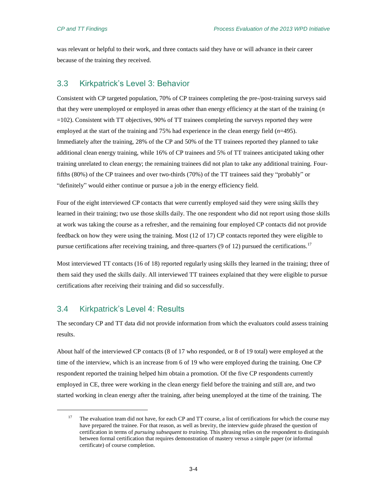was relevant or helpful to their work, and three contacts said they have or will advance in their career because of the training they received.

## <span id="page-23-0"></span>3.3 Kirkpatrick's Level 3: Behavior

Consistent with CP targeted population, 70% of CP trainees completing the pre-/post-training surveys said that they were unemployed or employed in areas other than energy efficiency at the start of the training (*n* =102). Consistent with TT objectives, 90% of TT trainees completing the surveys reported they were employed at the start of the training and 75% had experience in the clean energy field (*n*=495). Immediately after the training, 28% of the CP and 50% of the TT trainees reported they planned to take additional clean energy training, while 16% of CP trainees and 5% of TT trainees anticipated taking other training unrelated to clean energy; the remaining trainees did not plan to take any additional training. Fourfifths (80%) of the CP trainees and over two-thirds (70%) of the TT trainees said they "probably" or "definitely" would either continue or pursue a job in the energy efficiency field.

Four of the eight interviewed CP contacts that were currently employed said they were using skills they learned in their training; two use those skills daily. The one respondent who did not report using those skills at work was taking the course as a refresher, and the remaining four employed CP contacts did not provide feedback on how they were using the training. Most (12 of 17) CP contacts reported they were eligible to pursue certifications after receiving training, and three-quarters (9 of 12) pursued the certifications.<sup>17</sup>

Most interviewed TT contacts (16 of 18) reported regularly using skills they learned in the training; three of them said they used the skills daily. All interviewed TT trainees explained that they were eligible to pursue certifications after receiving their training and did so successfully.

### <span id="page-23-1"></span>3.4 Kirkpatrick's Level 4: Results

 $\overline{a}$ 

The secondary CP and TT data did not provide information from which the evaluators could assess training results.

About half of the interviewed CP contacts (8 of 17 who responded, or 8 of 19 total) were employed at the time of the interview, which is an increase from 6 of 19 who were employed during the training. One CP respondent reported the training helped him obtain a promotion. Of the five CP respondents currently employed in CE, three were working in the clean energy field before the training and still are, and two started working in clean energy after the training, after being unemployed at the time of the training. The

<sup>17</sup> The evaluation team did not have, for each CP and TT course, a list of certifications for which the course may have prepared the trainee. For that reason, as well as brevity, the interview guide phrased the question of certification in terms of *pursuing subsequent to training.* This phrasing relies on the respondent to distinguish between formal certification that requires demonstration of mastery versus a simple paper (or informal certificate) of course completion.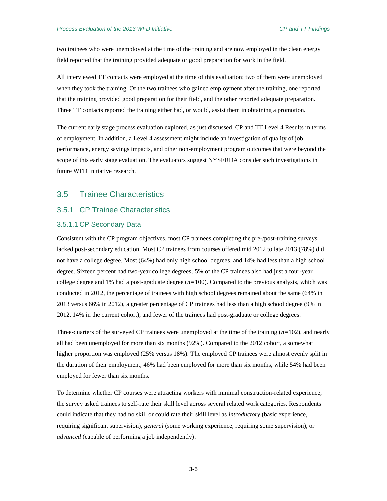two trainees who were unemployed at the time of the training and are now employed in the clean energy field reported that the training provided adequate or good preparation for work in the field.

All interviewed TT contacts were employed at the time of this evaluation; two of them were unemployed when they took the training. Of the two trainees who gained employment after the training, one reported that the training provided good preparation for their field, and the other reported adequate preparation. Three TT contacts reported the training either had, or would, assist them in obtaining a promotion.

The current early stage process evaluation explored, as just discussed, CP and TT Level 4 Results in terms of employment. In addition, a Level 4 assessment might include an investigation of quality of job performance, energy savings impacts, and other non-employment program outcomes that were beyond the scope of this early stage evaluation. The evaluators suggest NYSERDA consider such investigations in future WFD Initiative research.

# <span id="page-24-0"></span>3.5 Trainee Characteristics

## <span id="page-24-1"></span>3.5.1 CP Trainee Characteristics

#### 3.5.1.1 CP Secondary Data

Consistent with the CP program objectives, most CP trainees completing the pre-/post-training surveys lacked post-secondary education. Most CP trainees from courses offered mid 2012 to late 2013 (78%) did not have a college degree. Most (64%) had only high school degrees, and 14% had less than a high school degree. Sixteen percent had two-year college degrees; 5% of the CP trainees also had just a four-year college degree and 1% had a post-graduate degree  $(n=100)$ . Compared to the previous analysis, which was conducted in 2012, the percentage of trainees with high school degrees remained about the same (64% in 2013 versus 66% in 2012), a greater percentage of CP trainees had less than a high school degree (9% in 2012, 14% in the current cohort), and fewer of the trainees had post-graduate or college degrees.

Three-quarters of the surveyed CP trainees were unemployed at the time of the training (*n=*102), and nearly all had been unemployed for more than six months (92%). Compared to the 2012 cohort, a somewhat higher proportion was employed (25% versus 18%). The employed CP trainees were almost evenly split in the duration of their employment; 46% had been employed for more than six months, while 54% had been employed for fewer than six months.

To determine whether CP courses were attracting workers with minimal construction-related experience, the survey asked trainees to self-rate their skill level across several related work categories. Respondents could indicate that they had no skill or could rate their skill level as *introductory* (basic experience, requiring significant supervision), *general* (some working experience, requiring some supervision), or *advanced* (capable of performing a job independently).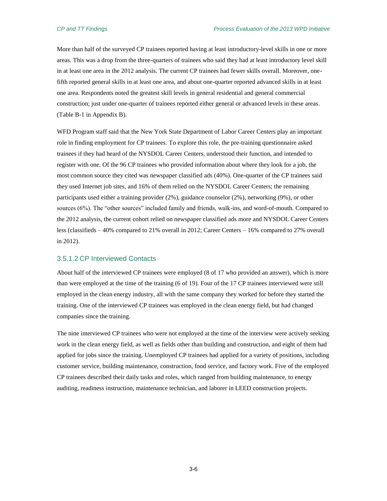More than half of the surveyed CP trainees reported having at least introductory-level skills in one or more areas. This was a drop from the three-quarters of trainees who said they had at least introductory level skill in at least one area in the 2012 analysis. The current CP trainees had fewer skills overall. Moreover, onefifth reported general skills in at least one area, and about one-quarter reported advanced skills in at least one area. Respondents noted the greatest skill levels in general residential and general commercial construction; just under one-quarter of trainees reported either general or advanced levels in these areas. [\(Table B-1](#page-90-1) in Appendix B).

WFD Program staff said that the New York State Department of Labor Career Centers play an important role in finding employment for CP trainees. To explore this role, the pre-training questionnaire asked trainees if they had heard of the NYSDOL Career Centers, understood their function, and intended to register with one. Of the 96 CP trainees who provided information about where they look for a job, the most common source they cited was newspaper classified ads (40%). One-quarter of the CP trainees said they used Internet job sites, and 16% of them relied on the NYSDOL Career Centers; the remaining participants used either a training provider (2%), guidance counselor (2%), networking (9%), or other sources (6%). The "other sources" included family and friends, walk-ins, and word-of-mouth. Compared to the 2012 analysis, the current cohort relied on newspaper classified ads more and NYSDOL Career Centers less (classifieds – 40% compared to 21% overall in 2012; Career Centers – 16% compared to 27% overall in 2012).

#### 3.5.1.2 CP Interviewed Contacts

About half of the interviewed CP trainees were employed (8 of 17 who provided an answer), which is more than were employed at the time of the training (6 of 19). Four of the 17 CP trainees interviewed were still employed in the clean energy industry, all with the same company they worked for before they started the training. One of the interviewed CP trainees was employed in the clean energy field, but had changed companies since the training.

The nine interviewed CP trainees who were not employed at the time of the interview were actively seeking work in the clean energy field, as well as fields other than building and construction, and eight of them had applied for jobs since the training. Unemployed CP trainees had applied for a variety of positions, including customer service, building maintenance, construction, food service, and factory work. Five of the employed CP trainees described their daily tasks and roles, which ranged from building maintenance, to energy auditing, readiness instruction, maintenance technician, and laborer in LEED construction projects.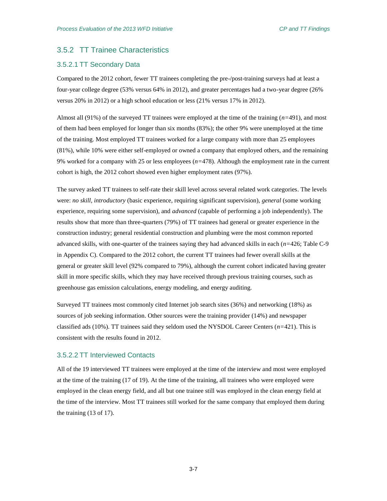# <span id="page-26-0"></span>3.5.2 TT Trainee Characteristics

#### 3.5.2.1 TT Secondary Data

Compared to the 2012 cohort, fewer TT trainees completing the pre-/post-training surveys had at least a four-year college degree (53% versus 64% in 2012), and greater percentages had a two-year degree (26% versus 20% in 2012) or a high school education or less (21% versus 17% in 2012).

Almost all (91%) of the surveyed TT trainees were employed at the time of the training (*n=*491), and most of them had been employed for longer than six months (83%); the other 9% were unemployed at the time of the training. Most employed TT trainees worked for a large company with more than 25 employees (81%), while 10% were either self-employed or owned a company that employed others, and the remaining 9% worked for a company with 25 or less employees (*n=*478). Although the employment rate in the current cohort is high, the 2012 cohort showed even higher employment rates (97%).

The survey asked TT trainees to self-rate their skill level across several related work categories. The levels were: *no skill*, *introductory* (basic experience, requiring significant supervision), *general* (some working experience, requiring some supervision), and *advanced* (capable of performing a job independently). The results show that more than three-quarters (79%) of TT trainees had general or greater experience in the construction industry; general residential construction and plumbing were the most common reported advanced skills, with one-quarter of the trainees saying they had advanced skills in each (*n=*426; [Table C-9](#page-94-1) in Appendix C). Compared to the 2012 cohort, the current TT trainees had fewer overall skills at the general or greater skill level (92% compared to 79%), although the current cohort indicated having greater skill in more specific skills, which they may have received through previous training courses, such as greenhouse gas emission calculations, energy modeling, and energy auditing.

Surveyed TT trainees most commonly cited Internet job search sites (36%) and networking (18%) as sources of job seeking information. Other sources were the training provider (14%) and newspaper classified ads (10%). TT trainees said they seldom used the NYSDOL Career Centers (*n=*421). This is consistent with the results found in 2012.

#### 3.5.2.2 TT Interviewed Contacts

All of the 19 interviewed TT trainees were employed at the time of the interview and most were employed at the time of the training (17 of 19). At the time of the training, all trainees who were employed were employed in the clean energy field, and all but one trainee still was employed in the clean energy field at the time of the interview. Most TT trainees still worked for the same company that employed them during the training (13 of 17).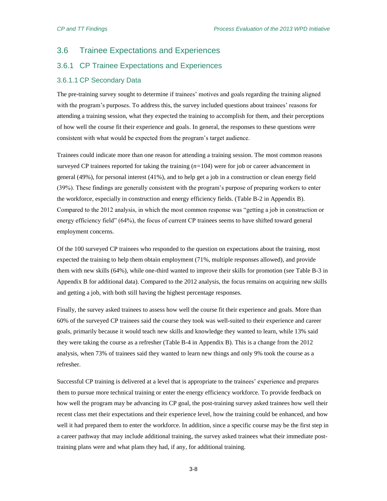# <span id="page-27-0"></span>3.6 Trainee Expectations and Experiences

### <span id="page-27-1"></span>3.6.1 CP Trainee Expectations and Experiences

#### 3.6.1.1 CP Secondary Data

The pre-training survey sought to determine if trainees' motives and goals regarding the training aligned with the program's purposes. To address this, the survey included questions about trainees' reasons for attending a training session, what they expected the training to accomplish for them, and their perceptions of how well the course fit their experience and goals. In general, the responses to these questions were consistent with what would be expected from the program's target audience.

Trainees could indicate more than one reason for attending a training session. The most common reasons surveyed CP trainees reported for taking the training (*n=*104) were for job or career advancement in general (49%), for personal interest (41%), and to help get a job in a construction or clean energy field (39%). These findings are generally consistent with the program's purpose of preparing workers to enter the workforce, especially in construction and energy efficiency fields. [\(Table B-2](#page-90-2) in Appendix B). Compared to the 2012 analysis, in which the most common response was "getting a job in construction or energy efficiency field" (64%), the focus of current CP trainees seems to have shifted toward general employment concerns.

Of the 100 surveyed CP trainees who responded to the question on expectations about the training, most expected the training to help them obtain employment (71%, multiple responses allowed), and provide them with new skills (64%), while one-third wanted to improve their skills for promotion (see [Table B-3](#page-91-0) in Appendix B for additional data). Compared to the 2012 analysis, the focus remains on acquiring new skills and getting a job, with both still having the highest percentage responses.

Finally, the survey asked trainees to assess how well the course fit their experience and goals. More than 60% of the surveyed CP trainees said the course they took was well-suited to their experience and career goals, primarily because it would teach new skills and knowledge they wanted to learn, while 13% said they were taking the course as a refresher [\(Table B-4](#page-91-1) in Appendix B). This is a change from the 2012 analysis, when 73% of trainees said they wanted to learn new things and only 9% took the course as a refresher.

Successful CP training is delivered at a level that is appropriate to the trainees' experience and prepares them to pursue more technical training or enter the energy efficiency workforce. To provide feedback on how well the program may be advancing its CP goal, the post-training survey asked trainees how well their recent class met their expectations and their experience level, how the training could be enhanced, and how well it had prepared them to enter the workforce. In addition, since a specific course may be the first step in a career pathway that may include additional training, the survey asked trainees what their immediate posttraining plans were and what plans they had, if any, for additional training.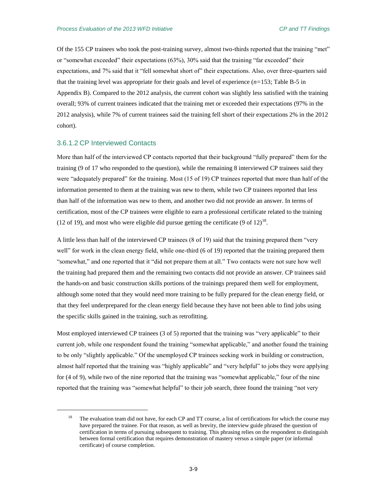Of the 155 CP trainees who took the post-training survey, almost two-thirds reported that the training "met" or "somewhat exceeded" their expectations (63%), 30% said that the training "far exceeded" their expectations, and 7% said that it "fell somewhat short of" their expectations. Also, over three-quarters said that the training level was appropriate for their goals and level of experience (*n=*153; [Table B-5](#page-91-2) in Appendix B). Compared to the 2012 analysis, the current cohort was slightly less satisfied with the training overall; 93% of current trainees indicated that the training met or exceeded their expectations (97% in the 2012 analysis), while 7% of current trainees said the training fell short of their expectations 2% in the 2012 cohort).

#### 3.6.1.2 CP Interviewed Contacts

 $\overline{a}$ 

More than half of the interviewed CP contacts reported that their background "fully prepared" them for the training (9 of 17 who responded to the question), while the remaining 8 interviewed CP trainees said they were "adequately prepared" for the training. Most (15 of 19) CP trainees reported that more than half of the information presented to them at the training was new to them, while two CP trainees reported that less than half of the information was new to them, and another two did not provide an answer. In terms of certification, most of the CP trainees were eligible to earn a professional certificate related to the training (12 of 19), and most who were eligible did pursue getting the certificate (9 of 12)<sup>18</sup>.

A little less than half of the interviewed CP trainees (8 of 19) said that the training prepared them "very well" for work in the clean energy field, while one-third (6 of 19) reported that the training prepared them "somewhat," and one reported that it "did not prepare them at all." Two contacts were not sure how well the training had prepared them and the remaining two contacts did not provide an answer. CP trainees said the hands-on and basic construction skills portions of the trainings prepared them well for employment, although some noted that they would need more training to be fully prepared for the clean energy field, or that they feel underprepared for the clean energy field because they have not been able to find jobs using the specific skills gained in the training, such as retrofitting.

Most employed interviewed CP trainees (3 of 5) reported that the training was "very applicable" to their current job, while one respondent found the training "somewhat applicable," and another found the training to be only "slightly applicable." Of the unemployed CP trainees seeking work in building or construction, almost half reported that the training was "highly applicable" and "very helpful" to jobs they were applying for (4 of 9), while two of the nine reported that the training was "somewhat applicable," four of the nine reported that the training was "somewhat helpful" to their job search, three found the training "not very

The evaluation team did not have, for each CP and TT course, a list of certifications for which the course may have prepared the trainee. For that reason, as well as brevity, the interview guide phrased the question of certification in terms of pursuing subsequent to training. This phrasing relies on the respondent to distinguish between formal certification that requires demonstration of mastery versus a simple paper (or informal certificate) of course completion.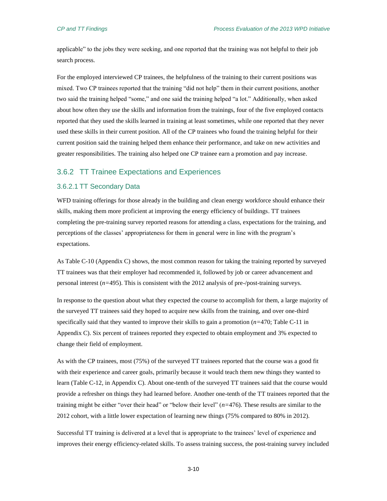applicable" to the jobs they were seeking, and one reported that the training was not helpful to their job search process.

For the employed interviewed CP trainees, the helpfulness of the training to their current positions was mixed. Two CP trainees reported that the training "did not help" them in their current positions, another two said the training helped "some," and one said the training helped "a lot." Additionally, when asked about how often they use the skills and information from the trainings, four of the five employed contacts reported that they used the skills learned in training at least sometimes, while one reported that they never used these skills in their current position. All of the CP trainees who found the training helpful for their current position said the training helped them enhance their performance, and take on new activities and greater responsibilities. The training also helped one CP trainee earn a promotion and pay increase.

#### <span id="page-29-0"></span>3.6.2 TT Trainee Expectations and Experiences

#### 3.6.2.1 TT Secondary Data

WFD training offerings for those already in the building and clean energy workforce should enhance their skills, making them more proficient at improving the energy efficiency of buildings. TT trainees completing the pre-training survey reported reasons for attending a class, expectations for the training, and perceptions of the classes' appropriateness for them in general were in line with the program's expectations.

A[s Table C-10](#page-94-2) (Appendix C) shows, the most common reason for taking the training reported by surveyed TT trainees was that their employer had recommended it, followed by job or career advancement and personal interest (*n=*495). This is consistent with the 2012 analysis of pre-/post-training surveys.

In response to the question about what they expected the course to accomplish for them, a large majority of the surveyed TT trainees said they hoped to acquire new skills from the training, and over one-third specifically said that they wanted to improve their skills to gain a promotion (*n=*470; [Table C-11](#page-95-0) in Appendix C). Six percent of trainees reported they expected to obtain employment and 3% expected to change their field of employment.

As with the CP trainees, most (75%) of the surveyed TT trainees reported that the course was a good fit with their experience and career goals, primarily because it would teach them new things they wanted to learn [\(Table C-12,](#page-95-1) in Appendix C). About one-tenth of the surveyed TT trainees said that the course would provide a refresher on things they had learned before. Another one-tenth of the TT trainees reported that the training might be either "over their head" or "below their level" (*n=*476). These results are similar to the 2012 cohort, with a little lower expectation of learning new things (75% compared to 80% in 2012).

Successful TT training is delivered at a level that is appropriate to the trainees' level of experience and improves their energy efficiency-related skills. To assess training success, the post-training survey included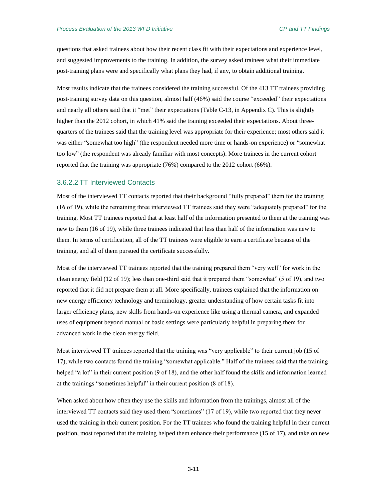questions that asked trainees about how their recent class fit with their expectations and experience level, and suggested improvements to the training. In addition, the survey asked trainees what their immediate post-training plans were and specifically what plans they had, if any, to obtain additional training.

Most results indicate that the trainees considered the training successful. Of the 413 TT trainees providing post-training survey data on this question, almost half (46%) said the course "exceeded" their expectations and nearly all others said that it "met" their expectations [\(Table C-13,](#page-95-2) in Appendix C). This is slightly higher than the 2012 cohort, in which 41% said the training exceeded their expectations. About threequarters of the trainees said that the training level was appropriate for their experience; most others said it was either "somewhat too high" (the respondent needed more time or hands-on experience) or "somewhat too low" (the respondent was already familiar with most concepts). More trainees in the current cohort reported that the training was appropriate (76%) compared to the 2012 cohort (66%).

#### 3.6.2.2 TT Interviewed Contacts

Most of the interviewed TT contacts reported that their background "fully prepared" them for the training (16 of 19), while the remaining three interviewed TT trainees said they were "adequately prepared" for the training. Most TT trainees reported that at least half of the information presented to them at the training was new to them (16 of 19), while three trainees indicated that less than half of the information was new to them. In terms of certification, all of the TT trainees were eligible to earn a certificate because of the training, and all of them pursued the certificate successfully.

Most of the interviewed TT trainees reported that the training prepared them "very well" for work in the clean energy field (12 of 19); less than one-third said that it prepared them "somewhat" (5 of 19), and two reported that it did not prepare them at all. More specifically, trainees explained that the information on new energy efficiency technology and terminology, greater understanding of how certain tasks fit into larger efficiency plans, new skills from hands-on experience like using a thermal camera, and expanded uses of equipment beyond manual or basic settings were particularly helpful in preparing them for advanced work in the clean energy field.

Most interviewed TT trainees reported that the training was "very applicable" to their current job (15 of 17), while two contacts found the training "somewhat applicable." Half of the trainees said that the training helped "a lot" in their current position (9 of 18), and the other half found the skills and information learned at the trainings "sometimes helpful" in their current position (8 of 18).

When asked about how often they use the skills and information from the trainings, almost all of the interviewed TT contacts said they used them "sometimes" (17 of 19), while two reported that they never used the training in their current position. For the TT trainees who found the training helpful in their current position, most reported that the training helped them enhance their performance (15 of 17), and take on new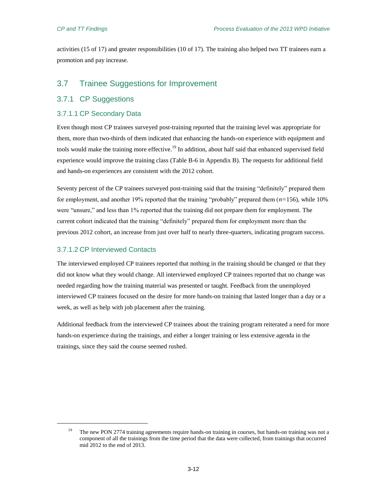activities (15 of 17) and greater responsibilities (10 of 17). The training also helped two TT trainees earn a promotion and pay increase.

# <span id="page-31-0"></span>3.7 Trainee Suggestions for Improvement

### <span id="page-31-1"></span>3.7.1 CP Suggestions

#### 3.7.1.1 CP Secondary Data

Even though most CP trainees surveyed post-training reported that the training level was appropriate for them, more than two-thirds of them indicated that enhancing the hands-on experience with equipment and tools would make the training more effective.<sup>19</sup> In addition, about half said that enhanced supervised field experience would improve the training class [\(Table B-6](#page-92-0) in Appendix B). The requests for additional field and hands-on experiences are consistent with the 2012 cohort.

Seventy percent of the CP trainees surveyed post-training said that the training "definitely" prepared them for employment, and another 19% reported that the training "probably" prepared them (*n=*156), while 10% were "unsure," and less than 1% reported that the training did not prepare them for employment. The current cohort indicated that the training "definitely" prepared them for employment more than the previous 2012 cohort, an increase from just over half to nearly three-quarters, indicating program success.

### 3.7.1.2 CP Interviewed Contacts

 $\overline{a}$ 

The interviewed employed CP trainees reported that nothing in the training should be changed or that they did not know what they would change. All interviewed employed CP trainees reported that no change was needed regarding how the training material was presented or taught. Feedback from the unemployed interviewed CP trainees focused on the desire for more hands-on training that lasted longer than a day or a week, as well as help with job placement after the training.

Additional feedback from the interviewed CP trainees about the training program reiterated a need for more hands-on experience during the trainings, and either a longer training or less extensive agenda in the trainings, since they said the course seemed rushed.

<sup>&</sup>lt;sup>19</sup> The new PON 2774 training agreements require hands-on training in courses, but hands-on training was not a component of all the trainings from the time period that the data were collected, from trainings that occurred mid 2012 to the end of 2013.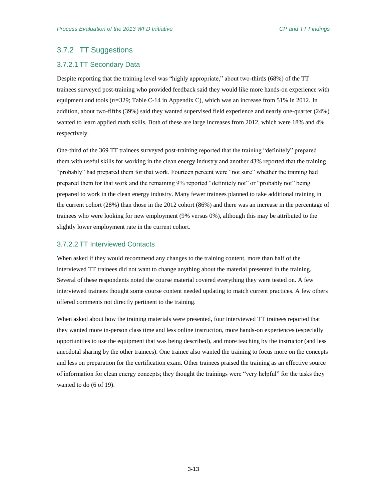# <span id="page-32-0"></span>3.7.2 TT Suggestions

#### 3.7.2.1 TT Secondary Data

Despite reporting that the training level was "highly appropriate," about two-thirds (68%) of the TT trainees surveyed post-training who provided feedback said they would like more hands-on experience with equipment and tools (*n=*329; [Table C-14](#page-96-0) in Appendix C), which was an increase from 51% in 2012. In addition, about two-fifths (39%) said they wanted supervised field experience and nearly one-quarter (24%) wanted to learn applied math skills. Both of these are large increases from 2012, which were 18% and 4% respectively.

One-third of the 369 TT trainees surveyed post-training reported that the training "definitely" prepared them with useful skills for working in the clean energy industry and another 43% reported that the training "probably" had prepared them for that work. Fourteen percent were "not sure" whether the training had prepared them for that work and the remaining 9% reported "definitely not" or "probably not" being prepared to work in the clean energy industry. Many fewer trainees planned to take additional training in the current cohort (28%) than those in the 2012 cohort (86%) and there was an increase in the percentage of trainees who were looking for new employment (9% versus 0%), although this may be attributed to the slightly lower employment rate in the current cohort.

#### 3.7.2.2 TT Interviewed Contacts

When asked if they would recommend any changes to the training content, more than half of the interviewed TT trainees did not want to change anything about the material presented in the training. Several of these respondents noted the course material covered everything they were tested on. A few interviewed trainees thought some course content needed updating to match current practices. A few others offered comments not directly pertinent to the training.

When asked about how the training materials were presented, four interviewed TT trainees reported that they wanted more in-person class time and less online instruction, more hands-on experiences (especially opportunities to use the equipment that was being described), and more teaching by the instructor (and less anecdotal sharing by the other trainees). One trainee also wanted the training to focus more on the concepts and less on preparation for the certification exam. Other trainees praised the training as an effective source of information for clean energy concepts; they thought the trainings were "very helpful" for the tasks they wanted to do (6 of 19).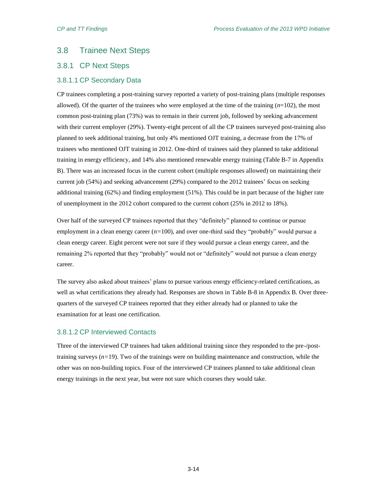# <span id="page-33-0"></span>3.8 Trainee Next Steps

# <span id="page-33-1"></span>3.8.1 CP Next Steps

### 3.8.1.1 CP Secondary Data

CP trainees completing a post-training survey reported a variety of post-training plans (multiple responses allowed). Of the quarter of the trainees who were employed at the time of the training  $(n=102)$ , the most common post-training plan (73%) was to remain in their current job, followed by seeking advancement with their current employer (29%). Twenty-eight percent of all the CP trainees surveyed post-training also planned to seek additional training, but only 4% mentioned OJT training, a decrease from the 17% of trainees who mentioned OJT training in 2012. One-third of trainees said they planned to take additional training in energy efficiency, and 14% also mentioned renewable energy training [\(Table B-7](#page-92-1) in Appendix B). There was an increased focus in the current cohort (multiple responses allowed) on maintaining their current job (54%) and seeking advancement (29%) compared to the 2012 trainees' focus on seeking additional training (62%) and finding employment (51%). This could be in part because of the higher rate of unemployment in the 2012 cohort compared to the current cohort (25% in 2012 to 18%).

Over half of the surveyed CP trainees reported that they "definitely" planned to continue or pursue employment in a clean energy career (*n=*100), and over one-third said they "probably" would pursue a clean energy career. Eight percent were not sure if they would pursue a clean energy career, and the remaining 2% reported that they "probably" would not or "definitely" would not pursue a clean energy career.

The survey also asked about trainees' plans to pursue various energy efficiency-related certifications, as well as what certifications they already had. Responses are shown in [Table B-8](#page-92-2) in Appendix B. Over threequarters of the surveyed CP trainees reported that they either already had or planned to take the examination for at least one certification.

### 3.8.1.2 CP Interviewed Contacts

Three of the interviewed CP trainees had taken additional training since they responded to the pre-/posttraining surveys  $(n=19)$ . Two of the trainings were on building maintenance and construction, while the other was on non-building topics. Four of the interviewed CP trainees planned to take additional clean energy trainings in the next year, but were not sure which courses they would take.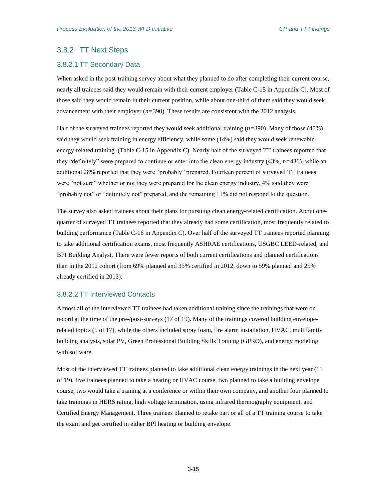## <span id="page-34-0"></span>3.8.2 TT Next Steps

#### 3.8.2.1 TT Secondary Data

When asked in the post-training survey about what they planned to do after completing their current course, nearly all trainees said they would remain with their current employer [\(Table C-15](#page-96-1) in Appendix C). Most of those said they would remain in their current position, while about one-third of them said they would seek advancement with their employer (*n=*390). These results are consistent with the 2012 analysis.

Half of the surveyed trainees reported they would seek additional training (*n=*390). Many of those (45%) said they would seek training in energy efficiency, while some (14%) said they would seek renewableenergy-related training. [\(Table C-15](#page-96-1) in Appendix C). Nearly half of the surveyed TT trainees reported that they "definitely" were prepared to continue or enter into the clean energy industry (43%, *n=*436), while an additional 28% reported that they were "probably" prepared. Fourteen percent of surveyed TT trainees were "not sure" whether or not they were prepared for the clean energy industry, 4% said they were "probably not" or "definitely not" prepared, and the remaining 11% did not respond to the question.

The survey also asked trainees about their plans for pursuing clean energy-related certification. About onequarter of surveyed TT trainees reported that they already had some certification, most frequently related to building performance [\(Table C-16](#page-96-2) in Appendix C). Over half of the surveyed TT trainees reported planning to take additional certification exams, most frequently ASHRAE certifications, USGBC LEED-related, and BPI Building Analyst. There were fewer reports of both current certifications and planned certifications than in the 2012 cohort (from 69% planned and 35% certified in 2012, down to 59% planned and 25% already certified in 2013).

#### 3.8.2.2 TT Interviewed Contacts

Almost all of the interviewed TT trainees had taken additional training since the trainings that were on record at the time of the pre-/post-surveys (17 of 19). Many of the trainings covered building enveloperelated topics (5 of 17), while the others included spray foam, fire alarm installation, HVAC, multifamily building analysis, solar PV, Green Professional Building Skills Training (GPRO), and energy modeling with software.

Most of the interviewed TT trainees planned to take additional clean energy trainings in the next year (15 of 19), five trainees planned to take a heating or HVAC course, two planned to take a building envelope course, two would take a training at a conference or within their own company, and another four planned to take trainings in HERS rating, high voltage termination, using infrared thermography equipment, and Certified Energy Management. Three trainees planned to retake part or all of a TT training course to take the exam and get certified in either BPI heating or building envelope.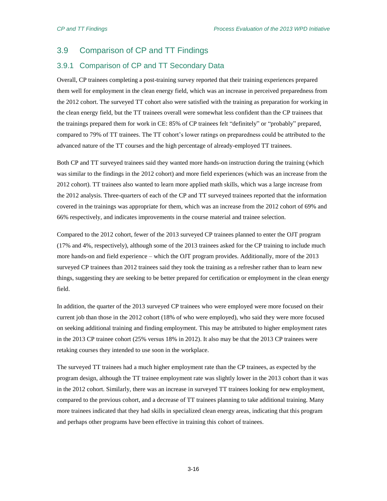# <span id="page-35-0"></span>3.9 Comparison of CP and TT Findings

### <span id="page-35-1"></span>3.9.1 Comparison of CP and TT Secondary Data

Overall, CP trainees completing a post-training survey reported that their training experiences prepared them well for employment in the clean energy field, which was an increase in perceived preparedness from the 2012 cohort. The surveyed TT cohort also were satisfied with the training as preparation for working in the clean energy field, but the TT trainees overall were somewhat less confident than the CP trainees that the trainings prepared them for work in CE: 85% of CP trainees felt "definitely" or "probably" prepared, compared to 79% of TT trainees. The TT cohort's lower ratings on preparedness could be attributed to the advanced nature of the TT courses and the high percentage of already-employed TT trainees.

Both CP and TT surveyed trainees said they wanted more hands-on instruction during the training (which was similar to the findings in the 2012 cohort) and more field experiences (which was an increase from the 2012 cohort). TT trainees also wanted to learn more applied math skills, which was a large increase from the 2012 analysis. Three-quarters of each of the CP and TT surveyed trainees reported that the information covered in the trainings was appropriate for them, which was an increase from the 2012 cohort of 69% and 66% respectively, and indicates improvements in the course material and trainee selection.

Compared to the 2012 cohort, fewer of the 2013 surveyed CP trainees planned to enter the OJT program (17% and 4%, respectively), although some of the 2013 trainees asked for the CP training to include much more hands-on and field experience – which the OJT program provides. Additionally, more of the 2013 surveyed CP trainees than 2012 trainees said they took the training as a refresher rather than to learn new things, suggesting they are seeking to be better prepared for certification or employment in the clean energy field.

In addition, the quarter of the 2013 surveyed CP trainees who were employed were more focused on their current job than those in the 2012 cohort (18% of who were employed), who said they were more focused on seeking additional training and finding employment. This may be attributed to higher employment rates in the 2013 CP trainee cohort (25% versus 18% in 2012). It also may be that the 2013 CP trainees were retaking courses they intended to use soon in the workplace.

The surveyed TT trainees had a much higher employment rate than the CP trainees, as expected by the program design, although the TT trainee employment rate was slightly lower in the 2013 cohort than it was in the 2012 cohort. Similarly, there was an increase in surveyed TT trainees looking for new employment, compared to the previous cohort, and a decrease of TT trainees planning to take additional training. Many more trainees indicated that they had skills in specialized clean energy areas, indicating that this program and perhaps other programs have been effective in training this cohort of trainees.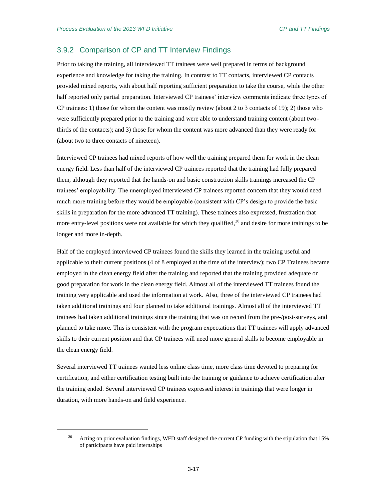$\overline{\phantom{a}}$ 

# 3.9.2 Comparison of CP and TT Interview Findings

Prior to taking the training, all interviewed TT trainees were well prepared in terms of background experience and knowledge for taking the training. In contrast to TT contacts, interviewed CP contacts provided mixed reports, with about half reporting sufficient preparation to take the course, while the other half reported only partial preparation. Interviewed CP trainees' interview comments indicate three types of CP trainees: 1) those for whom the content was mostly review (about 2 to 3 contacts of 19); 2) those who were sufficiently prepared prior to the training and were able to understand training content (about twothirds of the contacts); and 3) those for whom the content was more advanced than they were ready for (about two to three contacts of nineteen).

Interviewed CP trainees had mixed reports of how well the training prepared them for work in the clean energy field. Less than half of the interviewed CP trainees reported that the training had fully prepared them, although they reported that the hands-on and basic construction skills trainings increased the CP trainees' employability. The unemployed interviewed CP trainees reported concern that they would need much more training before they would be employable (consistent with CP's design to provide the basic skills in preparation for the more advanced TT training). These trainees also expressed, frustration that more entry-level positions were not available for which they qualified, $^{20}$  and desire for more trainings to be longer and more in-depth.

Half of the employed interviewed CP trainees found the skills they learned in the training useful and applicable to their current positions (4 of 8 employed at the time of the interview); two CP Trainees became employed in the clean energy field after the training and reported that the training provided adequate or good preparation for work in the clean energy field. Almost all of the interviewed TT trainees found the training very applicable and used the information at work. Also, three of the interviewed CP trainees had taken additional trainings and four planned to take additional trainings. Almost all of the interviewed TT trainees had taken additional trainings since the training that was on record from the pre-/post-surveys, and planned to take more. This is consistent with the program expectations that TT trainees will apply advanced skills to their current position and that CP trainees will need more general skills to become employable in the clean energy field.

Several interviewed TT trainees wanted less online class time, more class time devoted to preparing for certification, and either certification testing built into the training or guidance to achieve certification after the training ended. Several interviewed CP trainees expressed interest in trainings that were longer in duration, with more hands-on and field experience.

<sup>&</sup>lt;sup>20</sup> Acting on prior evaluation findings, WFD staff designed the current CP funding with the stipulation that 15% of participants have paid internships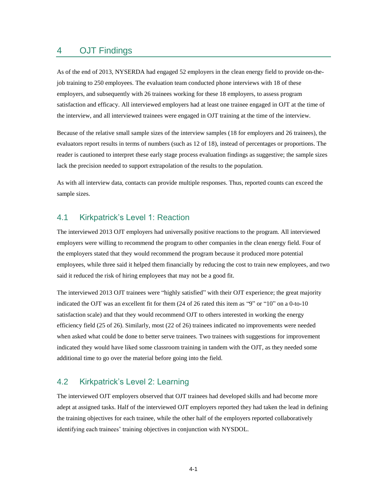# 4 OJT Findings

As of the end of 2013, NYSERDA had engaged 52 employers in the clean energy field to provide on-thejob training to 250 employees. The evaluation team conducted phone interviews with 18 of these employers, and subsequently with 26 trainees working for these 18 employers, to assess program satisfaction and efficacy. All interviewed employers had at least one trainee engaged in OJT at the time of the interview, and all interviewed trainees were engaged in OJT training at the time of the interview.

Because of the relative small sample sizes of the interview samples (18 for employers and 26 trainees), the evaluators report results in terms of numbers (such as 12 of 18), instead of percentages or proportions. The reader is cautioned to interpret these early stage process evaluation findings as suggestive; the sample sizes lack the precision needed to support extrapolation of the results to the population.

As with all interview data, contacts can provide multiple responses. Thus, reported counts can exceed the sample sizes.

# 4.1 Kirkpatrick's Level 1: Reaction

The interviewed 2013 OJT employers had universally positive reactions to the program. All interviewed employers were willing to recommend the program to other companies in the clean energy field. Four of the employers stated that they would recommend the program because it produced more potential employees, while three said it helped them financially by reducing the cost to train new employees, and two said it reduced the risk of hiring employees that may not be a good fit.

The interviewed 2013 OJT trainees were "highly satisfied" with their OJT experience; the great majority indicated the OJT was an excellent fit for them (24 of 26 rated this item as "9" or "10" on a 0-to-10 satisfaction scale) and that they would recommend OJT to others interested in working the energy efficiency field (25 of 26). Similarly, most (22 of 26) trainees indicated no improvements were needed when asked what could be done to better serve trainees. Two trainees with suggestions for improvement indicated they would have liked some classroom training in tandem with the OJT, as they needed some additional time to go over the material before going into the field.

# 4.2 Kirkpatrick's Level 2: Learning

The interviewed OJT employers observed that OJT trainees had developed skills and had become more adept at assigned tasks. Half of the interviewed OJT employers reported they had taken the lead in defining the training objectives for each trainee, while the other half of the employers reported collaboratively identifying each trainees' training objectives in conjunction with NYSDOL.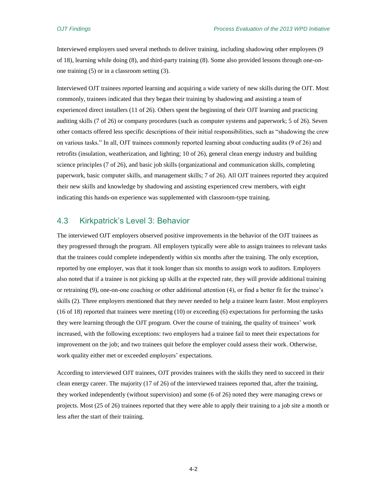Interviewed employers used several methods to deliver training, including shadowing other employees (9 of 18), learning while doing (8), and third-party training (8). Some also provided lessons through one-onone training (5) or in a classroom setting (3).

Interviewed OJT trainees reported learning and acquiring a wide variety of new skills during the OJT. Most commonly, trainees indicated that they began their training by shadowing and assisting a team of experienced direct installers (11 of 26). Others spent the beginning of their OJT learning and practicing auditing skills (7 of 26) or company procedures (such as computer systems and paperwork; 5 of 26). Seven other contacts offered less specific descriptions of their initial responsibilities, such as "shadowing the crew on various tasks." In all, OJT trainees commonly reported learning about conducting audits (9 of 26) and retrofits (insulation, weatherization, and lighting; 10 of 26), general clean energy industry and building science principles (7 of 26), and basic job skills (organizational and communication skills, completing paperwork, basic computer skills, and management skills; 7 of 26). All OJT trainees reported they acquired their new skills and knowledge by shadowing and assisting experienced crew members, with eight indicating this hands-on experience was supplemented with classroom-type training.

# 4.3 Kirkpatrick's Level 3: Behavior

The interviewed OJT employers observed positive improvements in the behavior of the OJT trainees as they progressed through the program. All employers typically were able to assign trainees to relevant tasks that the trainees could complete independently within six months after the training. The only exception, reported by one employer, was that it took longer than six months to assign work to auditors. Employers also noted that if a trainee is not picking up skills at the expected rate, they will provide additional training or retraining (9), one-on-one coaching or other additional attention (4), or find a better fit for the trainee's skills (2). Three employers mentioned that they never needed to help a trainee learn faster. Most employers (16 of 18) reported that trainees were meeting (10) or exceeding (6) expectations for performing the tasks they were learning through the OJT program. Over the course of training, the quality of trainees' work increased, with the following exceptions: two employers had a trainee fail to meet their expectations for improvement on the job; and two trainees quit before the employer could assess their work. Otherwise, work quality either met or exceeded employers' expectations.

According to interviewed OJT trainees, OJT provides trainees with the skills they need to succeed in their clean energy career. The majority (17 of 26) of the interviewed trainees reported that, after the training, they worked independently (without supervision) and some (6 of 26) noted they were managing crews or projects. Most (25 of 26) trainees reported that they were able to apply their training to a job site a month or less after the start of their training.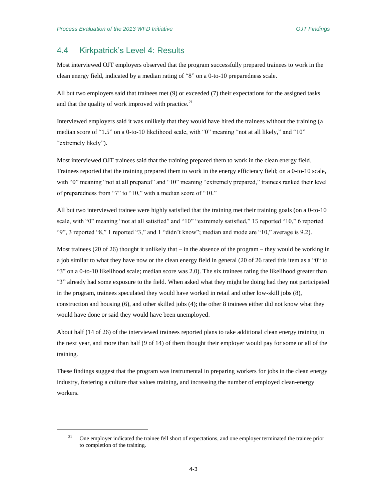$\overline{\phantom{a}}$ 

# 4.4 Kirkpatrick's Level 4: Results

Most interviewed OJT employers observed that the program successfully prepared trainees to work in the clean energy field, indicated by a median rating of "8" on a 0-to-10 preparedness scale.

All but two employers said that trainees met (9) or exceeded (7) their expectations for the assigned tasks and that the quality of work improved with practice. $21$ 

Interviewed employers said it was unlikely that they would have hired the trainees without the training (a median score of "1.5" on a 0-to-10 likelihood scale, with "0" meaning "not at all likely," and "10" "extremely likely").

Most interviewed OJT trainees said that the training prepared them to work in the clean energy field. Trainees reported that the training prepared them to work in the energy efficiency field; on a 0-to-10 scale, with "0" meaning "not at all prepared" and "10" meaning "extremely prepared," trainees ranked their level of preparedness from "7" to "10," with a median score of "10."

All but two interviewed trainee were highly satisfied that the training met their training goals (on a 0-to-10 scale, with "0" meaning "not at all satisfied" and "10" "extremely satisfied," 15 reported "10," 6 reported "9", 3 reported "8," 1 reported "3," and 1 "didn't know"; median and mode are "10," average is 9.2).

Most trainees (20 of 26) thought it unlikely that  $-$  in the absence of the program  $-$  they would be working in a job similar to what they have now or the clean energy field in general (20 of 26 rated this item as a "0" to "3" on a 0-to-10 likelihood scale; median score was 2.0). The six trainees rating the likelihood greater than "3" already had some exposure to the field. When asked what they might be doing had they not participated in the program, trainees speculated they would have worked in retail and other low-skill jobs (8), construction and housing (6), and other skilled jobs (4); the other 8 trainees either did not know what they would have done or said they would have been unemployed.

About half (14 of 26) of the interviewed trainees reported plans to take additional clean energy training in the next year, and more than half (9 of 14) of them thought their employer would pay for some or all of the training.

These findings suggest that the program was instrumental in preparing workers for jobs in the clean energy industry, fostering a culture that values training, and increasing the number of employed clean-energy workers.

<sup>&</sup>lt;sup>21</sup> One employer indicated the trainee fell short of expectations, and one employer terminated the trainee prior to completion of the training.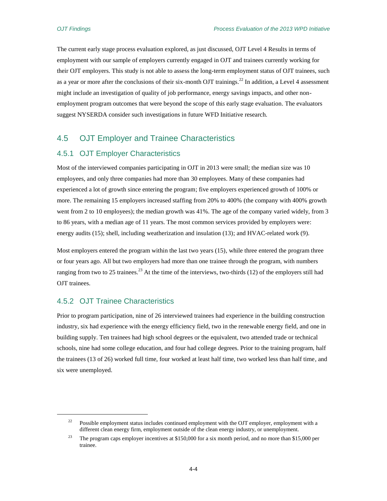The current early stage process evaluation explored, as just discussed, OJT Level 4 Results in terms of employment with our sample of employers currently engaged in OJT and trainees currently working for their OJT employers. This study is not able to assess the long-term employment status of OJT trainees, such as a year or more after the conclusions of their six-month OJT trainings.<sup>22</sup> In addition, a Level 4 assessment might include an investigation of quality of job performance, energy savings impacts, and other nonemployment program outcomes that were beyond the scope of this early stage evaluation. The evaluators suggest NYSERDA consider such investigations in future WFD Initiative research.

# 4.5 OJT Employer and Trainee Characteristics

# 4.5.1 OJT Employer Characteristics

Most of the interviewed companies participating in OJT in 2013 were small; the median size was 10 employees, and only three companies had more than 30 employees. Many of these companies had experienced a lot of growth since entering the program; five employers experienced growth of 100% or more. The remaining 15 employers increased staffing from 20% to 400% (the company with 400% growth went from 2 to 10 employees); the median growth was 41%. The age of the company varied widely, from 3 to 86 years, with a median age of 11 years. The most common services provided by employers were: energy audits (15); shell, including weatherization and insulation (13); and HVAC-related work (9).

Most employers entered the program within the last two years (15), while three entered the program three or four years ago. All but two employers had more than one trainee through the program, with numbers ranging from two to 25 trainees.<sup>23</sup> At the time of the interviews, two-thirds (12) of the employers still had OJT trainees.

# 4.5.2 OJT Trainee Characteristics

 $\overline{\phantom{a}}$ 

Prior to program participation, nine of 26 interviewed trainees had experience in the building construction industry, six had experience with the energy efficiency field, two in the renewable energy field, and one in building supply. Ten trainees had high school degrees or the equivalent, two attended trade or technical schools, nine had some college education, and four had college degrees. Prior to the training program, half the trainees (13 of 26) worked full time, four worked at least half time, two worked less than half time, and six were unemployed.

<sup>&</sup>lt;sup>22</sup> Possible employment status includes continued employment with the OJT employer, employment with a different clean energy firm, employment outside of the clean energy industry, or unemployment.

<sup>&</sup>lt;sup>23</sup> The program caps employer incentives at \$150,000 for a six month period, and no more than \$15,000 per trainee.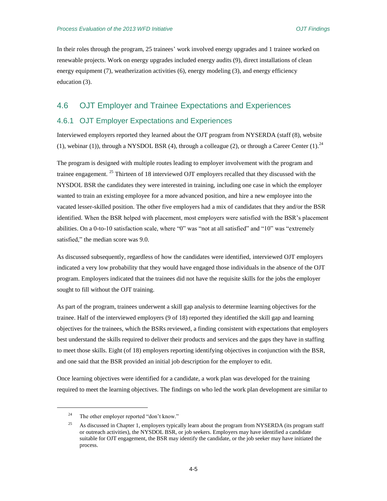In their roles through the program, 25 trainees' work involved energy upgrades and 1 trainee worked on renewable projects. Work on energy upgrades included energy audits (9), direct installations of clean energy equipment (7), weatherization activities (6), energy modeling (3), and energy efficiency education (3).

# 4.6 OJT Employer and Trainee Expectations and Experiences

# 4.6.1 OJT Employer Expectations and Experiences

Interviewed employers reported they learned about the OJT program from NYSERDA (staff (8), website (1), webinar (1)), through a NYSDOL BSR (4), through a colleague (2), or through a Career Center (1).<sup>24</sup>

The program is designed with multiple routes leading to employer involvement with the program and trainee engagement. <sup>25</sup> Thirteen of 18 interviewed OJT employers recalled that they discussed with the NYSDOL BSR the candidates they were interested in training, including one case in which the employer wanted to train an existing employee for a more advanced position, and hire a new employee into the vacated lesser-skilled position. The other five employers had a mix of candidates that they and/or the BSR identified. When the BSR helped with placement, most employers were satisfied with the BSR's placement abilities. On a 0-to-10 satisfaction scale, where "0" was "not at all satisfied" and "10" was "extremely satisfied," the median score was 9.0.

As discussed subsequently, regardless of how the candidates were identified, interviewed OJT employers indicated a very low probability that they would have engaged those individuals in the absence of the OJT program. Employers indicated that the trainees did not have the requisite skills for the jobs the employer sought to fill without the OJT training.

As part of the program, trainees underwent a skill gap analysis to determine learning objectives for the trainee. Half of the interviewed employers (9 of 18) reported they identified the skill gap and learning objectives for the trainees, which the BSRs reviewed, a finding consistent with expectations that employers best understand the skills required to deliver their products and services and the gaps they have in staffing to meet those skills. Eight (of 18) employers reporting identifying objectives in conjunction with the BSR, and one said that the BSR provided an initial job description for the employer to edit.

Once learning objectives were identified for a candidate, a work plan was developed for the training required to meet the learning objectives. The findings on who led the work plan development are similar to

 $\overline{a}$ 

<sup>&</sup>lt;sup>24</sup> The other employer reported "don't know."

<sup>&</sup>lt;sup>25</sup> As discussed in Chapter 1, employers typically learn about the program from NYSERDA (its program staff or outreach activities), the NYSDOL BSR, or job seekers. Employers may have identified a candidate suitable for OJT engagement, the BSR may identify the candidate, or the job seeker may have initiated the process.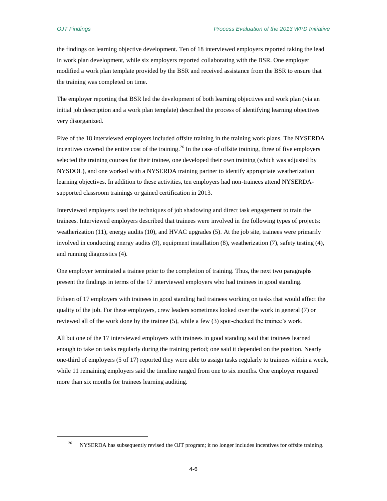$\overline{\phantom{a}}$ 

the findings on learning objective development. Ten of 18 interviewed employers reported taking the lead in work plan development, while six employers reported collaborating with the BSR. One employer modified a work plan template provided by the BSR and received assistance from the BSR to ensure that the training was completed on time.

The employer reporting that BSR led the development of both learning objectives and work plan (via an initial job description and a work plan template) described the process of identifying learning objectives very disorganized.

Five of the 18 interviewed employers included offsite training in the training work plans. The NYSERDA incentives covered the entire cost of the training.<sup>26</sup> In the case of offsite training, three of five employers selected the training courses for their trainee, one developed their own training (which was adjusted by NYSDOL), and one worked with a NYSERDA training partner to identify appropriate weatherization learning objectives. In addition to these activities, ten employers had non-trainees attend NYSERDAsupported classroom trainings or gained certification in 2013.

Interviewed employers used the techniques of job shadowing and direct task engagement to train the trainees. Interviewed employers described that trainees were involved in the following types of projects: weatherization (11), energy audits (10), and HVAC upgrades (5). At the job site, trainees were primarily involved in conducting energy audits (9), equipment installation (8), weatherization (7), safety testing (4), and running diagnostics (4).

One employer terminated a trainee prior to the completion of training. Thus, the next two paragraphs present the findings in terms of the 17 interviewed employers who had trainees in good standing.

Fifteen of 17 employers with trainees in good standing had trainees working on tasks that would affect the quality of the job. For these employers, crew leaders sometimes looked over the work in general (7) or reviewed all of the work done by the trainee (5), while a few (3) spot-checked the trainee's work.

All but one of the 17 interviewed employers with trainees in good standing said that trainees learned enough to take on tasks regularly during the training period; one said it depended on the position. Nearly one-third of employers (5 of 17) reported they were able to assign tasks regularly to trainees within a week, while 11 remaining employers said the timeline ranged from one to six months. One employer required more than six months for trainees learning auditing.

<sup>&</sup>lt;sup>26</sup> NYSERDA has subsequently revised the OJT program; it no longer includes incentives for offsite training.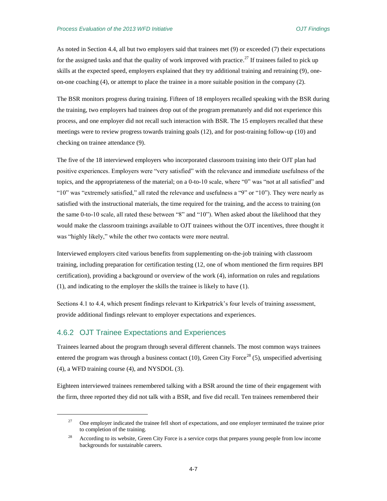As noted in Section 4.4, all but two employers said that trainees met (9) or exceeded (7) their expectations for the assigned tasks and that the quality of work improved with practice.<sup>27</sup> If trainees failed to pick up skills at the expected speed, employers explained that they try additional training and retraining (9), oneon-one coaching (4), or attempt to place the trainee in a more suitable position in the company (2).

The BSR monitors progress during training. Fifteen of 18 employers recalled speaking with the BSR during the training, two employers had trainees drop out of the program prematurely and did not experience this process, and one employer did not recall such interaction with BSR. The 15 employers recalled that these meetings were to review progress towards training goals (12), and for post-training follow-up (10) and checking on trainee attendance (9).

The five of the 18 interviewed employers who incorporated classroom training into their OJT plan had positive experiences. Employers were "very satisfied" with the relevance and immediate usefulness of the topics, and the appropriateness of the material; on a 0-to-10 scale, where "0" was "not at all satisfied" and "10" was "extremely satisfied," all rated the relevance and usefulness a "9" or "10"). They were nearly as satisfied with the instructional materials, the time required for the training, and the access to training (on the same 0-to-10 scale, all rated these between "8" and "10"). When asked about the likelihood that they would make the classroom trainings available to OJT trainees without the OJT incentives, three thought it was "highly likely," while the other two contacts were more neutral.

Interviewed employers cited various benefits from supplementing on-the-job training with classroom training, including preparation for certification testing (12, one of whom mentioned the firm requires BPI certification), providing a background or overview of the work (4), information on rules and regulations (1), and indicating to the employer the skills the trainee is likely to have (1).

Sections 4.1 to 4.4, which present findings relevant to Kirkpatrick's four levels of training assessment, provide additional findings relevant to employer expectations and experiences.

# 4.6.2 OJT Trainee Expectations and Experiences

 $\overline{\phantom{a}}$ 

Trainees learned about the program through several different channels. The most common ways trainees entered the program was through a business contact (10), Green City Force<sup>28</sup> (5), unspecified advertising (4), a WFD training course (4), and NYSDOL (3).

Eighteen interviewed trainees remembered talking with a BSR around the time of their engagement with the firm, three reported they did not talk with a BSR, and five did recall. Ten trainees remembered their

<sup>&</sup>lt;sup>27</sup> One employer indicated the trainee fell short of expectations, and one employer terminated the trainee prior to completion of the training.

<sup>&</sup>lt;sup>28</sup> According to its website, Green City Force is a service corps that prepares young people from low income backgrounds for sustainable careers.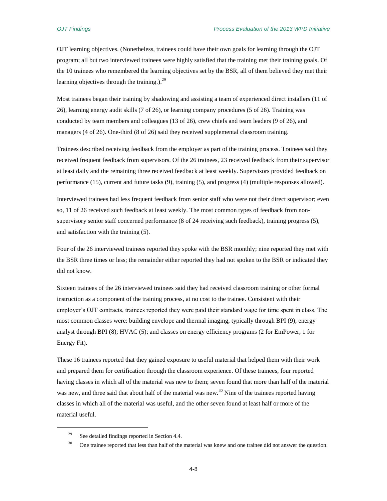OJT learning objectives. (Nonetheless, trainees could have their own goals for learning through the OJT program; all but two interviewed trainees were highly satisfied that the training met their training goals. Of the 10 trainees who remembered the learning objectives set by the BSR, all of them believed they met their learning objectives through the training.).<sup>29</sup>

Most trainees began their training by shadowing and assisting a team of experienced direct installers (11 of 26), learning energy audit skills (7 of 26), or learning company procedures (5 of 26). Training was conducted by team members and colleagues (13 of 26), crew chiefs and team leaders (9 of 26), and managers (4 of 26). One-third (8 of 26) said they received supplemental classroom training.

Trainees described receiving feedback from the employer as part of the training process. Trainees said they received frequent feedback from supervisors. Of the 26 trainees, 23 received feedback from their supervisor at least daily and the remaining three received feedback at least weekly. Supervisors provided feedback on performance (15), current and future tasks (9), training (5), and progress (4) (multiple responses allowed).

Interviewed trainees had less frequent feedback from senior staff who were not their direct supervisor; even so, 11 of 26 received such feedback at least weekly. The most common types of feedback from nonsupervisory senior staff concerned performance (8 of 24 receiving such feedback), training progress (5), and satisfaction with the training (5).

Four of the 26 interviewed trainees reported they spoke with the BSR monthly; nine reported they met with the BSR three times or less; the remainder either reported they had not spoken to the BSR or indicated they did not know.

Sixteen trainees of the 26 interviewed trainees said they had received classroom training or other formal instruction as a component of the training process, at no cost to the trainee. Consistent with their employer's OJT contracts, trainees reported they were paid their standard wage for time spent in class. The most common classes were: building envelope and thermal imaging, typically through BPI (9); energy analyst through BPI (8); HVAC (5); and classes on energy efficiency programs (2 for EmPower, 1 for Energy Fit).

These 16 trainees reported that they gained exposure to useful material that helped them with their work and prepared them for certification through the classroom experience. Of these trainees, four reported having classes in which all of the material was new to them; seven found that more than half of the material was new, and three said that about half of the material was new.<sup>30</sup> Nine of the trainees reported having classes in which all of the material was useful, and the other seven found at least half or more of the material useful.

 $\overline{\phantom{a}}$ 

<sup>&</sup>lt;sup>29</sup> See detailed findings reported in Section 4.4.

<sup>&</sup>lt;sup>30</sup> One trainee reported that less than half of the material was knew and one trainee did not answer the question.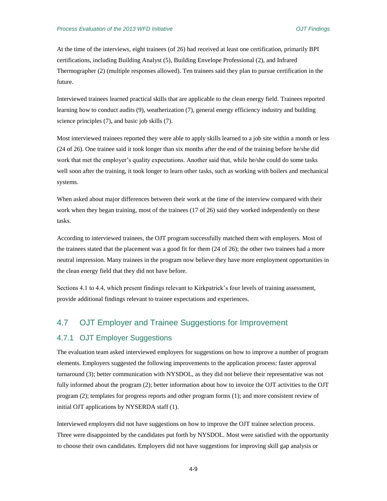At the time of the interviews, eight trainees (of 26) had received at least one certification, primarily BPI certifications, including Building Analyst (5), Building Envelope Professional (2), and Infrared Thermographer (2) (multiple responses allowed). Ten trainees said they plan to pursue certification in the future.

Interviewed trainees learned practical skills that are applicable to the clean energy field. Trainees reported learning how to conduct audits (9), weatherization (7), general energy efficiency industry and building science principles (7), and basic job skills (7).

Most interviewed trainees reported they were able to apply skills learned to a job site within a month or less (24 of 26). One trainee said it took longer than six months after the end of the training before he/she did work that met the employer's quality expectations. Another said that, while he/she could do some tasks well soon after the training, it took longer to learn other tasks, such as working with boilers and mechanical systems.

When asked about major differences between their work at the time of the interview compared with their work when they began training, most of the trainees (17 of 26) said they worked independently on these tasks.

According to interviewed trainees, the OJT program successfully matched them with employers. Most of the trainees stated that the placement was a good fit for them (24 of 26); the other two trainees had a more neutral impression. Many trainees in the program now believe they have more employment opportunities in the clean energy field that they did not have before.

Sections 4.1 to 4.4, which present findings relevant to Kirkpatrick's four levels of training assessment, provide additional findings relevant to trainee expectations and experiences.

# 4.7 OJT Employer and Trainee Suggestions for Improvement

# 4.7.1 OJT Employer Suggestions

The evaluation team asked interviewed employers for suggestions on how to improve a number of program elements. Employers suggested the following improvements to the application process: faster approval turnaround (3); better communication with NYSDOL, as they did not believe their representative was not fully informed about the program (2); better information about how to invoice the OJT activities to the OJT program (2); templates for progress reports and other program forms (1); and more consistent review of initial OJT applications by NYSERDA staff (1).

Interviewed employers did not have suggestions on how to improve the OJT trainee selection process. Three were disappointed by the candidates put forth by NYSDOL. Most were satisfied with the opportunity to choose their own candidates. Employers did not have suggestions for improving skill gap analysis or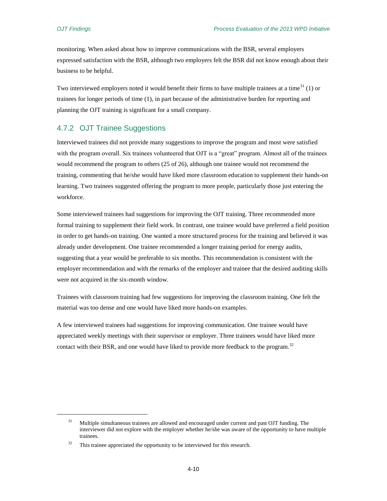$\overline{\phantom{a}}$ 

monitoring. When asked about how to improve communications with the BSR, several employers expressed satisfaction with the BSR, although two employers felt the BSR did not know enough about their business to be helpful.

Two interviewed employers noted it would benefit their firms to have multiple trainees at a time<sup>31</sup> (1) or trainees for longer periods of time (1), in part because of the administrative burden for reporting and planning the OJT training is significant for a small company.

# 4.7.2 OJT Trainee Suggestions

Interviewed trainees did not provide many suggestions to improve the program and most were satisfied with the program overall. Six trainees volunteered that OJT is a "great" program. Almost all of the trainees would recommend the program to others (25 of 26), although one trainee would not recommend the training, commenting that he/she would have liked more classroom education to supplement their hands-on learning. Two trainees suggested offering the program to more people, particularly those just entering the workforce.

Some interviewed trainees had suggestions for improving the OJT training. Three recommended more formal training to supplement their field work. In contrast, one trainee would have preferred a field position in order to get hands-on training. One wanted a more structured process for the training and believed it was already under development. One trainee recommended a longer training period for energy audits, suggesting that a year would be preferable to six months. This recommendation is consistent with the employer recommendation and with the remarks of the employer and trainee that the desired auditing skills were not acquired in the six-month window.

Trainees with classroom training had few suggestions for improving the classroom training. One felt the material was too dense and one would have liked more hands-on examples.

A few interviewed trainees had suggestions for improving communication. One trainee would have appreciated weekly meetings with their supervisor or employer. Three trainees would have liked more contact with their BSR, and one would have liked to provide more feedback to the program.<sup>32</sup>

 $31$  Multiple simultaneous trainees are allowed and encouraged under current and past OJT funding. The interviewer did not explore with the employer whether he/she was aware of the opportunity to have multiple trainees.

 $32$  This trainee appreciated the opportunity to be interviewed for this research.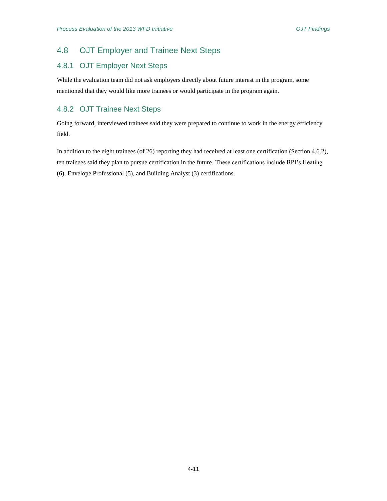# 4.8 OJT Employer and Trainee Next Steps

# 4.8.1 OJT Employer Next Steps

While the evaluation team did not ask employers directly about future interest in the program, some mentioned that they would like more trainees or would participate in the program again.

# 4.8.2 OJT Trainee Next Steps

Going forward, interviewed trainees said they were prepared to continue to work in the energy efficiency field.

In addition to the eight trainees (of 26) reporting they had received at least one certification (Section 4.6.2), ten trainees said they plan to pursue certification in the future. These certifications include BPI's Heating (6), Envelope Professional (5), and Building Analyst (3) certifications.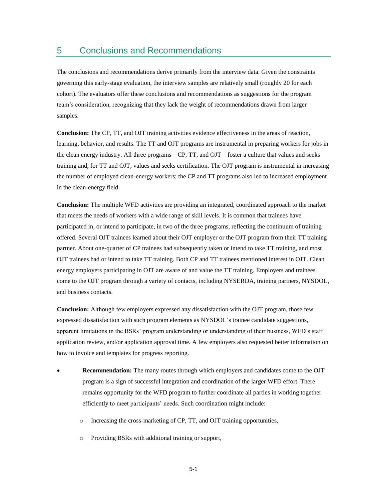The conclusions and recommendations derive primarily from the interview data. Given the constraints governing this early-stage evaluation, the interview samples are relatively small (roughly 20 for each cohort). The evaluators offer these conclusions and recommendations as suggestions for the program team's consideration, recognizing that they lack the weight of recommendations drawn from larger samples.

**Conclusion:** The CP, TT, and OJT training activities evidence effectiveness in the areas of reaction, learning, behavior, and results. The TT and OJT programs are instrumental in preparing workers for jobs in the clean energy industry. All three programs – CP, TT, and OJT – foster a culture that values and seeks training and, for TT and OJT, values and seeks certification. The OJT program is instrumental in increasing the number of employed clean-energy workers; the CP and TT programs also led to increased employment in the clean-energy field.

**Conclusion:** The multiple WFD activities are providing an integrated, coordinated approach to the market that meets the needs of workers with a wide range of skill levels. It is common that trainees have participated in, or intend to participate, in two of the three programs, reflecting the continuum of training offered. Several OJT trainees learned about their OJT employer or the OJT program from their TT training partner. About one-quarter of CP trainees had subsequently taken or intend to take TT training, and most OJT trainees had or intend to take TT training. Both CP and TT trainees mentioned interest in OJT. Clean energy employers participating in OJT are aware of and value the TT training. Employers and trainees come to the OJT program through a variety of contacts, including NYSERDA, training partners, NYSDOL, and business contacts.

**Conclusion:** Although few employers expressed any dissatisfaction with the OJT program, those few expressed dissatisfaction with such program elements as NYSDOL's trainee candidate suggestions, apparent limitations in the BSRs' program understanding or understanding of their business, WFD's staff application review, and/or application approval time. A few employers also requested better information on how to invoice and templates for progress reporting.

- **Recommendation:** The many routes through which employers and candidates come to the OJT program is a sign of successful integration and coordination of the larger WFD effort. There remains opportunity for the WFD program to further coordinate all parties in working together efficiently to meet participants' needs. Such coordination might include:
	- o Increasing the cross-marketing of CP, TT, and OJT training opportunities,
	- o Providing BSRs with additional training or support,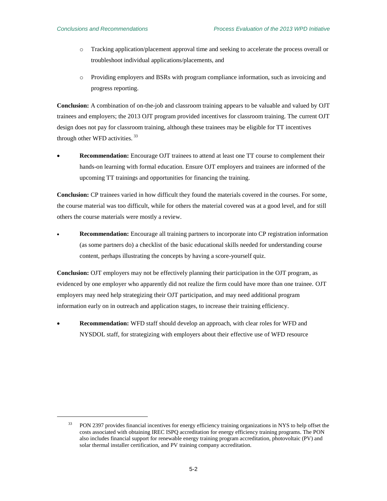$\overline{\phantom{a}}$ 

- o Tracking application/placement approval time and seeking to accelerate the process overall or troubleshoot individual applications/placements, and
- o Providing employers and BSRs with program compliance information, such as invoicing and progress reporting.

**Conclusion:** A combination of on-the-job and classroom training appears to be valuable and valued by OJT trainees and employers; the 2013 OJT program provided incentives for classroom training. The current OJT design does not pay for classroom training, although these trainees may be eligible for TT incentives through other WFD activities.<sup>33</sup>

 **Recommendation:** Encourage OJT trainees to attend at least one TT course to complement their hands-on learning with formal education. Ensure OJT employers and trainees are informed of the upcoming TT trainings and opportunities for financing the training.

**Conclusion:** CP trainees varied in how difficult they found the materials covered in the courses. For some, the course material was too difficult, while for others the material covered was at a good level, and for still others the course materials were mostly a review.

 **Recommendation:** Encourage all training partners to incorporate into CP registration information (as some partners do) a checklist of the basic educational skills needed for understanding course content, perhaps illustrating the concepts by having a score-yourself quiz.

**Conclusion:** OJT employers may not be effectively planning their participation in the OJT program, as evidenced by one employer who apparently did not realize the firm could have more than one trainee. OJT employers may need help strategizing their OJT participation, and may need additional program information early on in outreach and application stages, to increase their training efficiency.

 **Recommendation:** WFD staff should develop an approach, with clear roles for WFD and NYSDOL staff, for strategizing with employers about their effective use of WFD resource

<sup>&</sup>lt;sup>33</sup> PON 2397 provides financial incentives for energy efficiency training organizations in NYS to help offset the costs associated with obtaining IREC ISPQ accreditation for energy efficiency training programs. The PON also includes financial support for renewable energy training program accreditation, photovoltaic (PV) and solar thermal installer certification, and PV training company accreditation.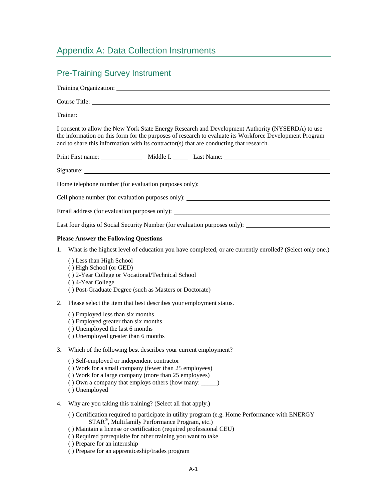# Appendix A: Data Collection Instruments

# Pre-Training Survey Instrument Training Organization: Course Title: Trainer: I consent to allow the New York State Energy Research and Development Authority (NYSERDA) to use the information on this form for the purposes of research to evaluate its Workforce Development Program and to share this information with its contractor(s) that are conducting that research. Print First name: Middle I. Last Name: Signature: Home telephone number (for evaluation purposes only): Cell phone number (for evaluation purposes only): Email address (for evaluation purposes only): Last four digits of Social Security Number (for evaluation purposes only): **Please Answer the Following Questions** 1. What is the highest level of education you have completed, or are currently enrolled? (Select only one.) ( ) Less than High School

- -
	- ( ) High School (or GED)
	- ( ) 2-Year College or Vocational/Technical School
	- ( ) 4-Year College
	- ( ) Post-Graduate Degree (such as Masters or Doctorate)
- 2. Please select the item that **best** describes your employment status.
	- ( ) Employed less than six months
	- ( ) Employed greater than six months
	- ( ) Unemployed the last 6 months
	- ( ) Unemployed greater than 6 months
- 3. Which of the following best describes your current employment?
	- ( ) Self-employed or independent contractor
	- ( ) Work for a small company (fewer than 25 employees)
	- ( ) Work for a large company (more than 25 employees)
	- ( ) Own a company that employs others (how many: \_\_\_\_\_)
	- ( ) Unemployed
- 4. Why are you taking this training? (Select all that apply.)
	- ( ) Certification required to participate in utility program (e.g. Home Performance with ENERGY STAR® , Multifamily Performance Program, etc.)
	- ( ) Maintain a license or certification (required professional CEU)
	- ( ) Required prerequisite for other training you want to take
	- ( ) Prepare for an internship
	- ( ) Prepare for an apprenticeship/trades program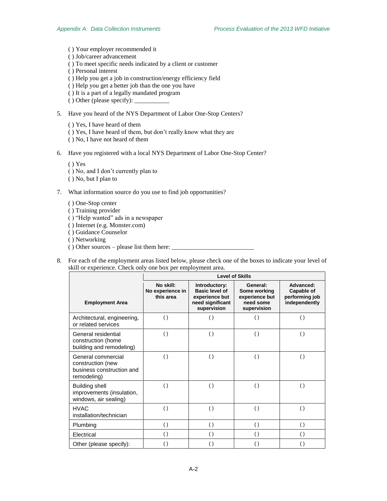- ( ) Your employer recommended it
- ( ) Job/career advancement
- ( ) To meet specific needs indicated by a client or customer
- ( ) Personal interest
- ( ) Help you get a job in construction/energy efficiency field
- ( ) Help you get a better job than the one you have
- ( ) It is a part of a legally mandated program
- () Other (please specify): \_
- 5. Have you heard of the NYS Department of Labor One-Stop Centers?
	- ( ) Yes, I have heard of them
	- ( ) Yes, I have heard of them, but don't really know what they are
	- ( ) No, I have not heard of them
- 6. Have you registered with a local NYS Department of Labor One-Stop Center?
	- ( ) Yes
	- ( ) No, and I don't currently plan to
	- ( ) No, but I plan to
- 7. What information source do you use to find job opportunities?
	- ( ) One-Stop center
	- ( ) Training provider
	- ( ) "Help wanted" ads in a newspaper
	- ( ) Internet (e.g. Monster.com)
	- ( ) Guidance Counselor
	- ( ) Networking
	- $( )$  Other sources please list them here:  $\overline{\phantom{a}}$
- 8. For each of the employment areas listed below, please check one of the boxes to indicate your level of skill or experience. Check only one box per employment area.

|                                                                                     | <b>Level of Skills</b>                     |                                                                                             |                                                                        |                                                            |  |
|-------------------------------------------------------------------------------------|--------------------------------------------|---------------------------------------------------------------------------------------------|------------------------------------------------------------------------|------------------------------------------------------------|--|
| <b>Employment Area</b>                                                              | No skill:<br>No experience in<br>this area | Introductory:<br><b>Basic level of</b><br>experience but<br>need significant<br>supervision | General:<br>Some working<br>experience but<br>need some<br>supervision | Advanced:<br>Capable of<br>performing job<br>independently |  |
| Architectural, engineering,<br>or related services                                  | ( )                                        | $\left( \right)$                                                                            | $\left( \right)$                                                       | $\left( \right)$                                           |  |
| General residential<br>construction (home<br>building and remodeling)               | $\left( \right)$                           | $\left( \right)$                                                                            | $\left( \right)$                                                       | $\left( \right)$                                           |  |
| General commercial<br>construction (new<br>business construction and<br>remodeling) | $\left( \right)$                           | $\left( \right)$                                                                            | $\left( \right)$                                                       | $\left( \right)$                                           |  |
| Building shell<br>improvements (insulation,<br>windows, air sealing)                | $\left( \right)$                           | $\left( \right)$                                                                            | $\left( \right)$                                                       | $\left( \right)$                                           |  |
| <b>HVAC</b><br>installation/technician                                              | $\left( \right)$                           | $\left( \right)$                                                                            | $\left( \right)$                                                       | $\left( \right)$                                           |  |
| Plumbing                                                                            | $\left( \right)$                           | $\left( \right)$                                                                            | $\left( \right)$                                                       | $\left( \right)$                                           |  |
| Electrical                                                                          | $\left( \right)$                           | $\left( \right)$                                                                            | $\left( \right)$                                                       | $\left( \right)$                                           |  |
| Other (please specify):                                                             | $\left( \right)$                           | $\left( \right)$                                                                            |                                                                        | $\left(\ \right)$                                          |  |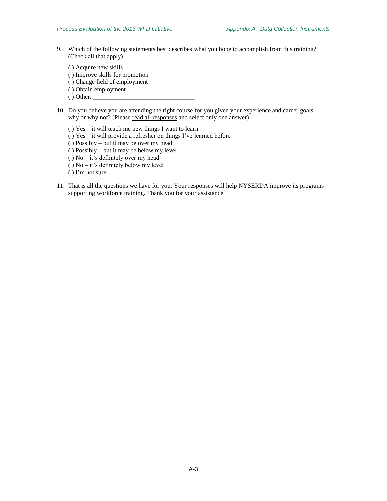9. Which of the following statements best describes what you hope to accomplish from this training? (Check all that apply)

( ) Acquire new skills ( ) Improve skills for promotion ( ) Change field of employment

- ( ) Obtain employment
- $()$  Other:  $\_\_$
- 10. Do you believe you are attending the right course for you given your experience and career goals why or why not? (Please read all responses and select only one answer)
	- ( ) Yes it will teach me new things I want to learn
	- ( ) Yes it will provide a refresher on things I've learned before
	- ( ) Possibly but it may be over my head
	- ( ) Possibly but it may be below my level
	- ( ) No it's definitely over my head
	- ( ) No it's definitely below my level
	- ( ) I'm not sure
- 11. That is all the questions we have for you. Your responses will help NYSERDA improve its programs supporting workforce training. Thank you for your assistance.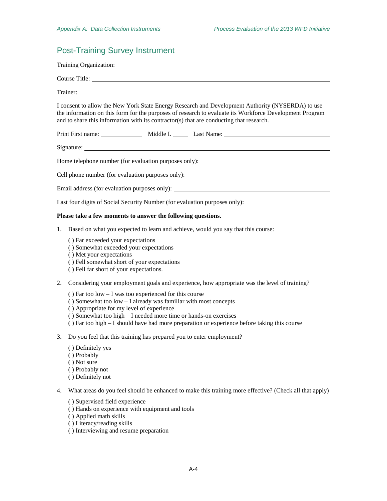# Post-Training Survey Instrument

| Trainer: <u>and the contract of the contract of the contract of the contract of the contract of the contract of the contract of the contract of the contract of the contract of the contract of the contract of the contract of </u>                                                                   |
|--------------------------------------------------------------------------------------------------------------------------------------------------------------------------------------------------------------------------------------------------------------------------------------------------------|
| I consent to allow the New York State Energy Research and Development Authority (NYSERDA) to use<br>the information on this form for the purposes of research to evaluate its Workforce Development Program<br>and to share this information with its contractor(s) that are conducting that research. |
|                                                                                                                                                                                                                                                                                                        |
|                                                                                                                                                                                                                                                                                                        |
| Home telephone number (for evaluation purposes only): ___________________________                                                                                                                                                                                                                      |
| Cell phone number (for evaluation purposes only):                                                                                                                                                                                                                                                      |
| Email address (for evaluation purposes only):                                                                                                                                                                                                                                                          |
| Last four digits of Social Security Number (for evaluation purposes only): _________________________                                                                                                                                                                                                   |
| Please take a few moments to answer the following questions.                                                                                                                                                                                                                                           |

- 1. Based on what you expected to learn and achieve, would you say that this course:
	- ( ) Far exceeded your expectations
	- ( ) Somewhat exceeded your expectations
	- ( ) Met your expectations
	- ( ) Fell somewhat short of your expectations
	- ( ) Fell far short of your expectations.
- 2. Considering your employment goals and experience, how appropriate was the level of training?
	- ( ) Far too low I was too experienced for this course
	- ( ) Somewhat too low I already was familiar with most concepts
	- ( ) Appropriate for my level of experience
	- ( ) Somewhat too high I needed more time or hands-on exercises
	- ( ) Far too high I should have had more preparation or experience before taking this course
- 3. Do you feel that this training has prepared you to enter employment?
	- ( ) Definitely yes
	- ( ) Probably
	- ( ) Not sure
	- ( ) Probably not
	- ( ) Definitely not
- 4. What areas do you feel should be enhanced to make this training more effective? (Check all that apply)
	- ( ) Supervised field experience
	- ( ) Hands on experience with equipment and tools
	- ( ) Applied math skills
	- ( ) Literacy/reading skills
	- ( ) Interviewing and resume preparation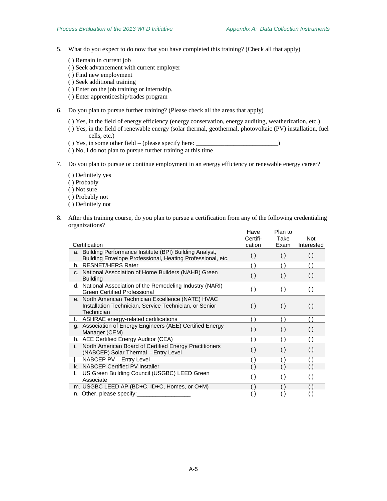- 5. What do you expect to do now that you have completed this training? (Check all that apply)
	- ( ) Remain in current job
	- ( ) Seek advancement with current employer
	- ( ) Find new employment
	- ( ) Seek additional training
	- ( ) Enter on the job training or internship.
	- ( ) Enter apprenticeship/trades program
- 6. Do you plan to pursue further training? (Please check all the areas that apply)
	- ( ) Yes, in the field of energy efficiency (energy conservation, energy auditing, weatherization, etc.)
	- ( ) Yes, in the field of renewable energy (solar thermal, geothermal, photovoltaic (PV) installation, fuel cells, etc.)
	- ( ) Yes, in some other field (please specify here: \_\_\_\_\_\_\_\_\_\_\_\_\_\_\_\_\_\_\_\_\_\_\_\_\_\_)
	- ( ) No, I do not plan to pursue further training at this time
- 7. Do you plan to pursue or continue employment in an energy efficiency or renewable energy career?
	- ( ) Definitely yes
	- ( ) Probably
	- ( ) Not sure
	- ( ) Probably not
	- ( ) Definitely not
- 8. After this training course, do you plan to pursue a certification from any of the following credentialing organizations?

|                                                                                                                             | Have               | Plan to            |                    |
|-----------------------------------------------------------------------------------------------------------------------------|--------------------|--------------------|--------------------|
|                                                                                                                             | Certifi-           | Take               | <b>Not</b>         |
| Certification                                                                                                               | cation             | Exam               | Interested         |
| a. Building Performance Institute (BPI) Building Analyst,<br>Building Envelope Professional, Heating Professional, etc.     | $\left( \ \right)$ | $\left( \ \right)$ | $\left( \right)$   |
| b. RESNET/HERS Rater                                                                                                        |                    |                    | ( )                |
| c. National Association of Home Builders (NAHB) Green<br><b>Building</b>                                                    | $\left( \ \right)$ | $\left( \ \right)$ | ( )                |
| d. National Association of the Remodeling Industry (NARI)<br><b>Green Certified Professional</b>                            | $\left( \ \right)$ | $\left( \right)$   | $\left( \right)$   |
| e. North American Technician Excellence (NATE) HVAC<br>Installation Technician, Service Technician, or Senior<br>Technician | $\left( \ \right)$ | $\left( \right)$   | $\left( \ \right)$ |
| ASHRAE energy-related certifications<br>f.                                                                                  |                    |                    |                    |
| g. Association of Energy Engineers (AEE) Certified Energy<br>Manager (CEM)                                                  | ( )                | ( )                | $\left( \ \right)$ |
| h. AEE Certified Energy Auditor (CEA)                                                                                       |                    |                    | $\left( \ \right)$ |
| North American Board of Certified Energy Practitioners<br>j.<br>(NABCEP) Solar Thermal - Entry Level                        | ( )                | ( )                | $\left( \ \right)$ |
| NABCEP PV - Entry Level                                                                                                     |                    |                    |                    |
| k. NABCEP Certified PV Installer                                                                                            |                    |                    |                    |
| US Green Building Council (USGBC) LEED Green<br>Associate                                                                   |                    | $(\ )$             | $\left( \ \right)$ |
| m. USGBC LEED AP (BD+C, ID+C, Homes, or O+M)                                                                                |                    |                    |                    |
| n. Other, please specify:                                                                                                   |                    |                    |                    |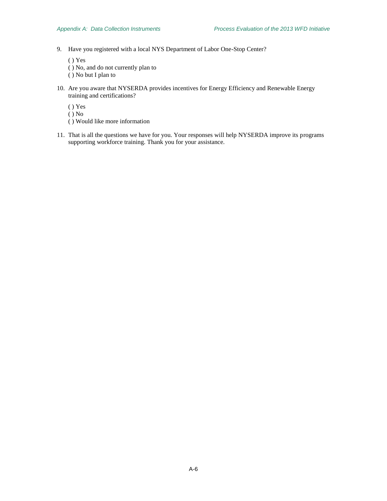9. Have you registered with a local NYS Department of Labor One-Stop Center?

( ) Yes

- ( ) No, and do not currently plan to
- ( ) No but I plan to
- 10. Are you aware that NYSERDA provides incentives for Energy Efficiency and Renewable Energy training and certifications?
	- ( ) Yes
	- ( ) No
	- ( ) Would like more information
- 11. That is all the questions we have for you. Your responses will help NYSERDA improve its programs supporting workforce training. Thank you for your assistance.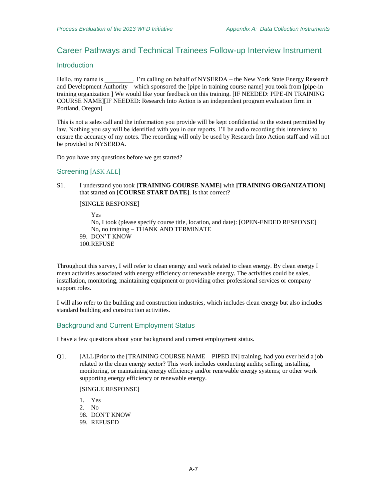# Career Pathways and Technical Trainees Follow-up Interview Instrument

## **Introduction**

Hello, my name is \_\_\_\_\_\_\_\_\_. I'm calling on behalf of NYSERDA – the New York State Energy Research and Development Authority – which sponsored the [pipe in training course name] you took from [pipe-in training organization ] We would like your feedback on this training. [IF NEEDED: PIPE-IN TRAINING COURSE NAME][IF NEEDED: Research Into Action is an independent program evaluation firm in Portland, Oregon]

This is not a sales call and the information you provide will be kept confidential to the extent permitted by law. Nothing you say will be identified with you in our reports. I'll be audio recording this interview to ensure the accuracy of my notes. The recording will only be used by Research Into Action staff and will not be provided to NYSERDA.

Do you have any questions before we get started?

### Screening [ASK ALL]

S1. I understand you took **[TRAINING COURSE NAME]** with **[TRAINING ORGANIZATION]** that started on **[COURSE START DATE]**. Is that correct?

#### [SINGLE RESPONSE]

Yes No, I took (please specify course title, location, and date): [OPEN-ENDED RESPONSE] No, no training – THANK AND TERMINATE 99. DON'T KNOW 100.REFUSE

Throughout this survey, I will refer to clean energy and work related to clean energy. By clean energy I mean activities associated with energy efficiency or renewable energy. The activities could be sales, installation, monitoring, maintaining equipment or providing other professional services or company support roles.

I will also refer to the building and construction industries, which includes clean energy but also includes standard building and construction activities.

# Background and Current Employment Status

I have a few questions about your background and current employment status.

Q1. [ALL]Prior to the [TRAINING COURSE NAME – PIPED IN] training, had you ever held a job related to the clean energy sector? This work includes conducting audits; selling, installing, monitoring, or maintaining energy efficiency and/or renewable energy systems; or other work supporting energy efficiency or renewable energy.

[SINGLE RESPONSE]

1. Yes 2. No 98. DON'T KNOW 99. REFUSED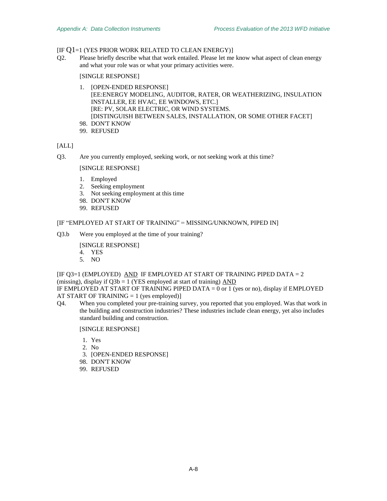# $[IF O1=1 (YES PRIOR WORK RELATED TO CLEAN ENERGY)]$

Q2. Please briefly describe what that work entailed. Please let me know what aspect of clean energy and what your role was or what your primary activities were.

# [SINGLE RESPONSE]

- 1. [OPEN-ENDED RESPONSE] [EE:ENERGY MODELING, AUDITOR, RATER, OR WEATHERIZING, INSULATION INSTALLER, EE HVAC, EE WINDOWS, ETC.] [RE: PV, SOLAR ELECTRIC, OR WIND SYSTEMS. [DISTINGUISH BETWEEN SALES, INSTALLATION, OR SOME OTHER FACET] 98. DON'T KNOW
- 99. REFUSED

# [ALL]

<span id="page-59-0"></span>Q3. Are you currently employed, seeking work, or not seeking work at this time?

# [SINGLE RESPONSE]

- 1. Employed
- 2. Seeking employment
- 3. Not seeking employment at this time
- 98. DON'T KNOW
- 99. REFUSED

# [IF "EMPLOYED AT START OF TRAINING" = MISSING/UNKNOWN, PIPED IN]

Q3.b Were you employed at the time of your training?

# [SINGLE RESPONSE]

- 4. YES
- 5. NO

[I[F Q3=](#page-59-0)1 (EMPLOYED) AND IF EMPLOYED AT START OF TRAINING PIPED DATA = 2 (missing), display if  $Q3b = 1$  (YES employed at start of training)  $\overline{AND}$ 

IF EMPLOYED AT START OF TRAINING PIPED DATA = 0 or 1 (yes or no), display if EMPLOYED AT START OF TRAINING = 1 (yes employed)]

Q4. When you completed your pre-training survey, you reported that you employed. Was that work in the building and construction industries? These industries include clean energy, yet also includes standard building and construction.

- 1. Yes
- 2. No
- 3. [OPEN-ENDED RESPONSE]
- 98. DON'T KNOW
- 99. REFUSED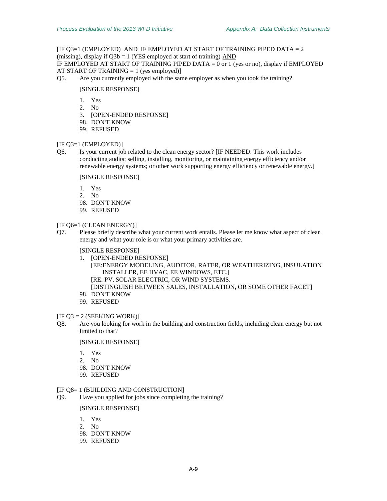[I[F Q3=](#page-59-0)1 (EMPLOYED) AND IF EMPLOYED AT START OF TRAINING PIPED DATA = 2 (missing), display if  $O3b = 1$  (YES employed at start of training) AND IF EMPLOYED AT START OF TRAINING PIPED DATA = 0 or 1 (yes or no), display if EMPLOYED

AT START OF TRAINING  $= 1$  (yes employed)]

Q5. Are you currently employed with the same employer as when you took the training?

#### [SINGLE RESPONSE]

- 1. Yes
- 2. No
- 3. [OPEN-ENDED RESPONSE]
- 98. DON'T KNOW
- 99. REFUSED

#### [I[F Q3=](#page-59-0)1 (EMPLOYED)]

<span id="page-60-0"></span>Q6. Is your current job related to the clean energy sector? [IF NEEDED: This work includes conducting audits; selling, installing, monitoring, or maintaining energy efficiency and/or renewable energy systems; or other work supporting energy efficiency or renewable energy.]

[SINGLE RESPONSE]

- 1. Yes
- 2. No
- 98. DON'T KNOW
- 99. REFUSED

#### [I[F Q6=](#page-60-0)1 (CLEAN ENERGY)]

Q7. Please briefly describe what your current work entails. Please let me know what aspect of clean energy and what your role is or what your primary activities are.

## [SINGLE RESPONSE]

- 1. [OPEN-ENDED RESPONSE] [EE:ENERGY MODELING, AUDITOR, RATER, OR WEATHERIZING, INSULATION INSTALLER, EE HVAC, EE WINDOWS, ETC.] [RE: PV, SOLAR ELECTRIC, OR WIND SYSTEMS. [DISTINGUISH BETWEEN SALES, INSTALLATION, OR SOME OTHER FACET]
- 98. DON'T KNOW
- 99. REFUSED

# $[IF O3 = 2 (SEEKING WORK)]$

<span id="page-60-1"></span>Q8. Are you looking for work in the building and construction fields, including clean energy but not limited to that?

[SINGLE RESPONSE]

- 1. Yes
- 2. No
- 98. DON'T KNOW
- 99. REFUSED

## [I[F Q8=](#page-60-1) 1 (BUILDING AND CONSTRUCTION]

<span id="page-60-2"></span>Q9. Have you applied for jobs since completing the training?

- 1. Yes
- 2. No
- 98. DON'T KNOW
- 99. REFUSED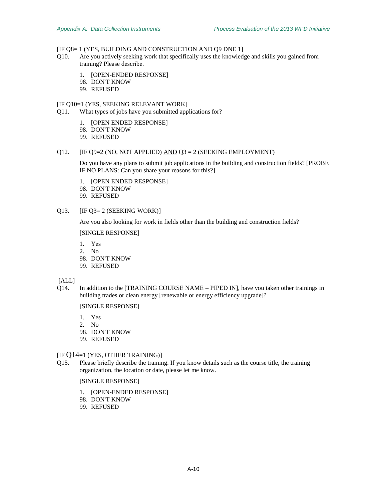# [I[F Q8=](#page-60-1) 1 (YES, BUILDING AND CONSTRUCTION AND [Q9](#page-60-2) DNE 1]

- <span id="page-61-0"></span>Q10. Are you actively seeking work that specifically uses the knowledge and skills you gained from training? Please describe.
	- 1. [OPEN-ENDED RESPONSE]
	- 98. DON'T KNOW
	- 99. REFUSED

# [I[F Q10=](#page-61-0)1 (YES, SEEKING RELEVANT WORK]

Q11. What types of jobs have you submitted applications for?

- 1. [OPEN ENDED RESPONSE]
- 98. DON'T KNOW
- 99. REFUSED

#### Q12. [I[F Q9=](#page-60-2)2 (NO, NOT APPLIED)  $\overline{AND}$  [Q3](#page-59-0) = 2 (SEEKING EMPLOYMENT)

Do you have any plans to submit job applications in the building and construction fields? [PROBE IF NO PLANS: Can you share your reasons for this?]

- 1. [OPEN ENDED RESPONSE]
- 98. DON'T KNOW
- 99. REFUSED

### Q13. **I[F Q3=](#page-59-0) 2 (SEEKING WORK)**]

Are you also looking for work in fields other than the building and construction fields?

[SINGLE RESPONSE]

- 1. Yes
- 2. No
- 98. DON'T KNOW
- 99. REFUSED

[ALL]

Q14. In addition to the [TRAINING COURSE NAME – PIPED IN], have you taken other trainings in building trades or clean energy [renewable or energy efficiency upgrade]?

[SINGLE RESPONSE]

- 1. Yes
- 2. No
- 98. DON'T KNOW
- 99. REFUSED

# [IF Q14=1 (YES, OTHER TRAINING)]

Q15. Please briefly describe the training. If you know details such as the course title, the training organization, the location or date, please let me know.

- 1. [OPEN-ENDED RESPONSE]
- 98. DON'T KNOW
- 99. REFUSED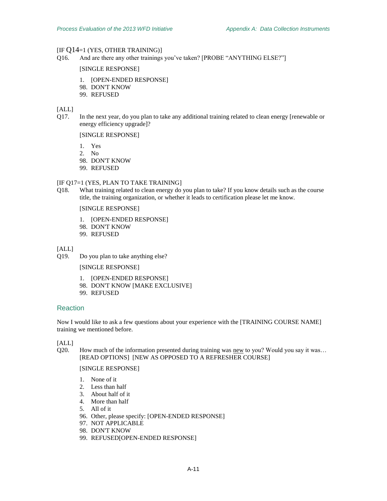#### $[IF O14=1 (YES, OTHER TRANS)]$

Q16. And are there any other trainings you've taken? [PROBE "ANYTHING ELSE?"]

#### [SINGLE RESPONSE]

- 1. [OPEN-ENDED RESPONSE]
- 98. DON'T KNOW
- 99. REFUSED

#### [ALL]

<span id="page-62-0"></span>Q17. In the next year, do you plan to take any additional training related to clean energy [renewable or energy efficiency upgrade]?

[SINGLE RESPONSE]

- 1. Yes
- 2. No
- 98. DON'T KNOW
- 99. REFUSED

#### [I[F Q17=](#page-62-0)1 (YES, PLAN TO TAKE TRAINING]

Q18. What training related to clean energy do you plan to take? If you know details such as the course title, the training organization, or whether it leads to certification please let me know.

# [SINGLE RESPONSE]

- 1. [OPEN-ENDED RESPONSE]
- 98. DON'T KNOW
- 99. REFUSED

[ALL]

Q19. Do you plan to take anything else?

[SINGLE RESPONSE]

- 1. [OPEN-ENDED RESPONSE]
- 98. DON'T KNOW [MAKE EXCLUSIVE]
- 99. REFUSED

# Reaction

Now I would like to ask a few questions about your experience with the [TRAINING COURSE NAME] training we mentioned before.

[ALL]

Q20. How much of the information presented during training was new to you? Would you say it was… [READ OPTIONS] [NEW AS OPPOSED TO A REFRESHER COURSE]

- 1. None of it
- 2. Less than half
- 3. About half of it
- 4. More than half
- 5. All of it
- 96. Other, please specify: [OPEN-ENDED RESPONSE]
- 97. NOT APPLICABLE
- 98. DON'T KNOW
- 99. REFUSED[OPEN-ENDED RESPONSE]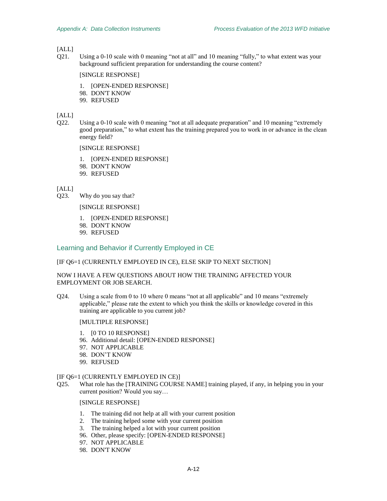# [ALL]

Q21. Using a 0-10 scale with 0 meaning "not at all" and 10 meaning "fully," to what extent was your background sufficient preparation for understanding the course content?

#### [SINGLE RESPONSE]

- 1. [OPEN-ENDED RESPONSE]
- 98. DON'T KNOW
- 99. REFUSED

### [ALL]

Q22. Using a 0-10 scale with 0 meaning "not at all adequate preparation" and 10 meaning "extremely good preparation," to what extent has the training prepared you to work in or advance in the clean energy field?

# [SINGLE RESPONSE]

1. [OPEN-ENDED RESPONSE]

- 98. DON'T KNOW
- 99. REFUSED

 $[ALL]$ 

Q23. Why do you say that?

### [SINGLE RESPONSE]

- 1. [OPEN-ENDED RESPONSE]
- 98. DON'T KNOW
- 99. REFUSED

# Learning and Behavior if Currently Employed in CE

# [I[F Q6=](#page-60-0)1 (CURRENTLY EMPLOYED IN CE), ELSE SKIP TO NEXT SECTION]

# NOW I HAVE A FEW QUESTIONS ABOUT HOW THE TRAINING AFFECTED YOUR EMPLOYMENT OR JOB SEARCH.

Q24. Using a scale from 0 to 10 where 0 means "not at all applicable" and 10 means "extremely applicable," please rate the extent to which you think the skills or knowledge covered in this training are applicable to you current job?

#### [MULTIPLE RESPONSE]

- 1. [0 TO 10 RESPONSE]
- 96. Additional detail: [OPEN-ENDED RESPONSE]
- 97. NOT APPLICABLE
- 98. DON'T KNOW
- 99. REFUSED

### [I[F Q6=](#page-60-0)1 (CURRENTLY EMPLOYED IN CE)]

Q25. What role has the [TRAINING COURSE NAME] training played, if any, in helping you in your current position? Would you say…

- 1. The training did not help at all with your current position
- 2. The training helped some with your current position
- 3. The training helped a lot with your current position
- 96. Other, please specify: [OPEN-ENDED RESPONSE]
- 97. NOT APPLICABLE
- 98. DON'T KNOW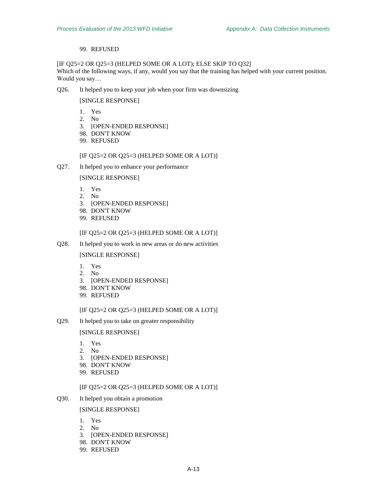# 99. REFUSED

[IF Q25=2 OR Q25=3 (HELPED SOME OR A LOT); ELSE SKIP TO [Q32\]](#page-65-0) Which of the following ways, if any, would you say that the training has helped with your current position. Would you say…

Q26. It helped you to keep your job when your firm was downsizing

# [SINGLE RESPONSE]

- 1. Yes
- 2. No
- 3. [OPEN-ENDED RESPONSE]
- 98. DON'T KNOW
- 99. REFUSED

# [IF Q25=2 OR Q25=3 (HELPED SOME OR A LOT)]

Q27. It helped you to enhance your performance

[SINGLE RESPONSE]

- 1. Yes
- 2. No
- 3. [OPEN-ENDED RESPONSE]
- 98. DON'T KNOW
- 99. REFUSED

# [IF Q25=2 OR Q25=3 (HELPED SOME OR A LOT)]

Q28. It helped you to work in new areas or do new activities

[SINGLE RESPONSE]

- 1. Yes
- 2. No
- 3. [OPEN-ENDED RESPONSE]
- 98. DON'T KNOW
- 99. REFUSED

## [IF Q25=2 OR Q25=3 (HELPED SOME OR A LOT)]

Q29. It helped you to take on greater responsibility

[SINGLE RESPONSE]

- 1. Yes
- 2. No
- 3. [OPEN-ENDED RESPONSE]
- 98. DON'T KNOW
- 99. REFUSED

# [IF Q25=2 OR Q25=3 (HELPED SOME OR A LOT)]

Q30. It helped you obtain a promotion

- 1. Yes
- 2. No
- 3. [OPEN-ENDED RESPONSE]
- 98. DON'T KNOW
- 99. REFUSED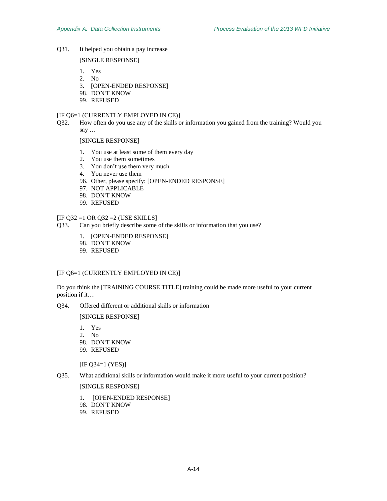Q31. It helped you obtain a pay increase

[SINGLE RESPONSE]

- 1. Yes
- 2. No
- 3. [OPEN-ENDED RESPONSE]
- 98. DON'T KNOW
- 99. REFUSED

# [I[F Q6=](#page-60-0)1 (CURRENTLY EMPLOYED IN CE)]

<span id="page-65-0"></span>Q32. How often do you use any of the skills or information you gained from the training? Would you say …

[SINGLE RESPONSE]

- 1. You use at least some of them every day
- 2. You use them sometimes
- 3. You don't use them very much
- 4. You never use them
- 96. Other, please specify: [OPEN-ENDED RESPONSE]
- 97. NOT APPLICABLE
- 98. DON'T KNOW
- 99. REFUSED

# [I[F Q32](#page-65-0) =1 OR [Q32](#page-65-0) =2 (USE SKILLS]

- Q33. Can you briefly describe some of the skills or information that you use?
	- 1. [OPEN-ENDED RESPONSE]
	- 98. DON'T KNOW
	- 99. REFUSED

# [I[F Q6=](#page-60-0)1 (CURRENTLY EMPLOYED IN CE)]

Do you think the [TRAINING COURSE TITLE] training could be made more useful to your current position if it…

<span id="page-65-1"></span>Q34. Offered different or additional skills or information

[SINGLE RESPONSE]

- 1. Yes
- 2. No
- 98. DON'T KNOW
- 99. REFUSED

[I[F Q34=](#page-65-1)1 (YES)]

Q35. What additional skills or information would make it more useful to your current position?

- 1. [OPEN-ENDED RESPONSE]
- 98. DON'T KNOW
- 99. REFUSED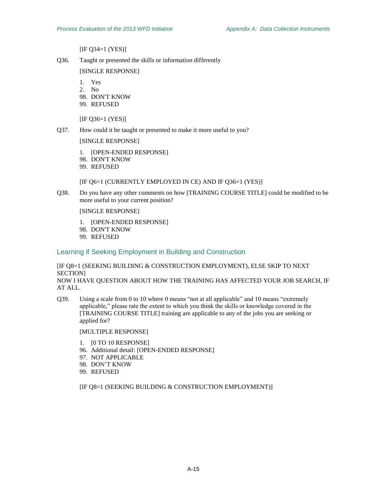[I[F Q34=](#page-65-1)1 (YES)]

<span id="page-66-0"></span>Q36. Taught or presented the skills or information differently

[SINGLE RESPONSE]

- 1. Yes
- 2. No
- 98. DON'T KNOW
- 99. REFUSED

[IF Q36=1 (YES)]

Q37. How could it be taught or presented to make it more useful to you?

[SINGLE RESPONSE]

- 1. [OPEN-ENDED RESPONSE]
- 98. DON'T KNOW
- 99. REFUSED

[I[F Q6=](#page-60-0)1 (CURRENTLY EMPLOYED IN CE) AND IF [Q36=](#page-66-0)1 (YES)]

Q38. Do you have any other comments on how [TRAINING COURSE TITLE] could be modified to be more useful to your current position?

[SINGLE RESPONSE]

- 1. [OPEN-ENDED RESPONSE]
- 98. DON'T KNOW
- 99. REFUSED

### Learning if Seeking Employment in Building and Construction

[I[F Q8=](#page-60-1)1 (SEEKING BUILDING & CONSTRUCTION EMPLOYMENT), ELSE SKIP TO NEXT SECTION]

NOW I HAVE QUESTION ABOUT HOW THE TRAINING HAS AFFECTED YOUR JOB SEARCH, IF AT ALL.

Q39. Using a scale from 0 to 10 where 0 means "not at all applicable" and 10 means "extremely applicable," please rate the extent to which you think the skills or knowledge covered in the [TRAINING COURSE TITLE] training are applicable to any of the jobs you are seeking or applied for?

[MULTIPLE RESPONSE]

- 1. [0 TO 10 RESPONSE]
- 96. Additional detail: [OPEN-ENDED RESPONSE]
- 97. NOT APPLICABLE
- 98. DON'T KNOW
- 99. REFUSED

[I[F Q8=](#page-60-1)1 (SEEKING BUILDING & CONSTRUCTION EMPLOYMENT)]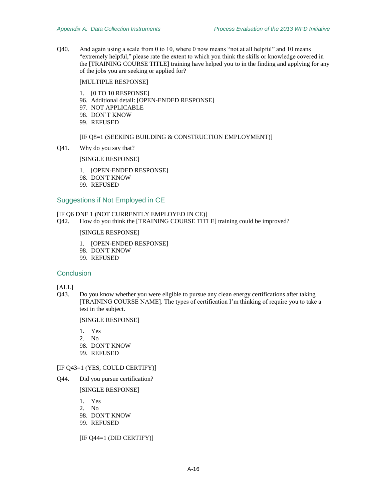Q40. And again using a scale from 0 to 10, where 0 now means "not at all helpful" and 10 means "extremely helpful," please rate the extent to which you think the skills or knowledge covered in the [TRAINING COURSE TITLE] training have helped you to in the finding and applying for any of the jobs you are seeking or applied for?

#### [MULTIPLE RESPONSE]

- 1. [0 TO 10 RESPONSE]
- 96. Additional detail: [OPEN-ENDED RESPONSE]
- 97. NOT APPLICABLE
- 98. DON'T KNOW
- 99. REFUSED

#### [I[F Q8=](#page-60-1)1 (SEEKING BUILDING & CONSTRUCTION EMPLOYMENT)]

Q41. Why do you say that?

[SINGLE RESPONSE]

- 1. [OPEN-ENDED RESPONSE]
- 98. DON'T KNOW
- 99. REFUSED

## Suggestions if Not Employed in CE

## [I[F Q6](#page-60-0) DNE 1 (NOT CURRENTLY EMPLOYED IN CE)]

Q42. How do you think the [TRAINING COURSE TITLE] training could be improved?

# [SINGLE RESPONSE]

- 1. [OPEN-ENDED RESPONSE]
- 98. DON'T KNOW
- 99. REFUSED

#### **Conclusion**

## [ALL]

<span id="page-67-0"></span>Q43. Do you know whether you were eligible to pursue any clean energy certifications after taking [TRAINING COURSE NAME]. The types of certification I'm thinking of require you to take a test in the subject.

## [SINGLE RESPONSE]

- 1. Yes
- 2. No
- 98. DON'T KNOW
- 99. REFUSED

#### [I[F Q43=](#page-67-0)1 (YES, COULD CERTIFY)]

<span id="page-67-1"></span>Q44. Did you pursue certification?

[SINGLE RESPONSE]

- 1. Yes
- 2. No
- 98. DON'T KNOW
- 99. REFUSED

[I[F Q44=](#page-67-1)1 (DID CERTIFY)]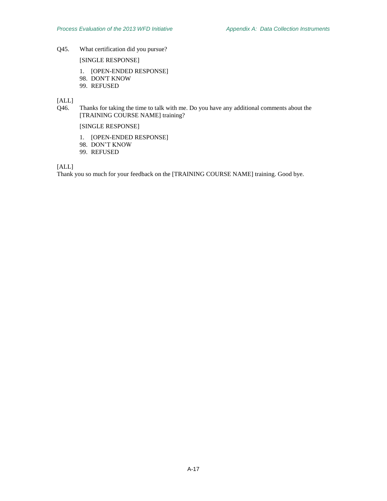Q45. What certification did you pursue?

[SINGLE RESPONSE]

- 1. [OPEN-ENDED RESPONSE]
- 98. DON'T KNOW
- 99. REFUSED

[ALL]

Q46. Thanks for taking the time to talk with me. Do you have any additional comments about the [TRAINING COURSE NAME] training?

[SINGLE RESPONSE]

- 1. [OPEN-ENDED RESPONSE]
- 98. DON'T KNOW
- 99. REFUSED

[ALL]

Thank you so much for your feedback on the [TRAINING COURSE NAME] training. Good bye.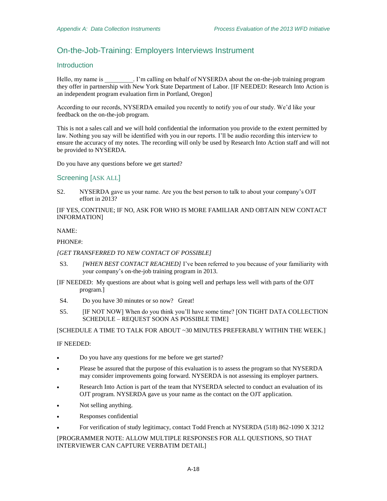# On-the-Job-Training: Employers Interviews Instrument

# Introduction

Hello, my name is \_\_\_\_\_\_\_\_\_. I'm calling on behalf of NYSERDA about the on-the-job training program they offer in partnership with New York State Department of Labor. [IF NEEDED: Research Into Action is an independent program evaluation firm in Portland, Oregon]

According to our records, NYSERDA emailed you recently to notify you of our study. We'd like your feedback on the on-the-job program.

This is not a sales call and we will hold confidential the information you provide to the extent permitted by law. Nothing you say will be identified with you in our reports. I'll be audio recording this interview to ensure the accuracy of my notes. The recording will only be used by Research Into Action staff and will not be provided to NYSERDA.

Do you have any questions before we get started?

# Screening [ASK ALL]

S2. NYSERDA gave us your name. Are you the best person to talk to about your company's OJT effort in 2013?

[IF YES, CONTINUE; IF NO, ASK FOR WHO IS MORE FAMILIAR AND OBTAIN NEW CONTACT INFORMATION]

#### NAME:

#### PHONE#:

#### *[GET TRANSFERRED TO NEW CONTACT OF POSSIBLE]*

- S3. *[WHEN BEST CONTACT REACHED]* I've been referred to you because of your familiarity with your company's on-the-job training program in 2013.
- [IF NEEDED: My questions are about what is going well and perhaps less well with parts of the OJT program.]
- S4. Do you have 30 minutes or so now? Great!
- S5. [IF NOT NOW] When do you think you'll have some time? [ON TIGHT DATA COLLECTION SCHEDULE – REQUEST SOON AS POSSIBLE TIME]

[SCHEDULE A TIME TO TALK FOR ABOUT ~30 MINUTES PREFERABLY WITHIN THE WEEK.]

#### IF NEEDED:

- Do you have any questions for me before we get started?
- Please be assured that the purpose of this evaluation is to assess the program so that NYSERDA may consider improvements going forward. NYSERDA is not assessing its employer partners.
- Research Into Action is part of the team that NYSERDA selected to conduct an evaluation of its OJT program. NYSERDA gave us your name as the contact on the OJT application.
- Not selling anything.
- Responses confidential
- For verification of study legitimacy, contact Todd French at NYSERDA (518) 862-1090 X 3212

[PROGRAMMER NOTE: ALLOW MULTIPLE RESPONSES FOR ALL QUESTIONS, SO THAT INTERVIEWER CAN CAPTURE VERBATIM DETAIL]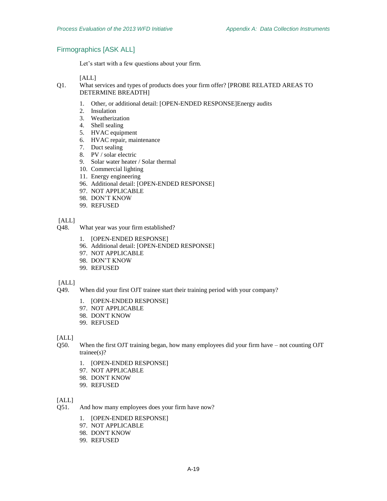# Firmographics [ASK ALL]

Let's start with a few questions about your firm.

[ALL]

- Q1. What services and types of products does your firm offer? [PROBE RELATED AREAS TO DETERMINE BREADTH]
	- 1. Other, or additional detail: [OPEN-ENDED RESPONSE]Energy audits
	- 2. Insulation
	- 3. Weatherization
	- 4. Shell sealing
	- 5. HVAC equipment
	- 6. HVAC repair, maintenance
	- 7. Duct sealing
	- 8. PV / solar electric
	- 9. Solar water heater / Solar thermal
	- 10. Commercial lighting
	- 11. Energy engineering
	- 96. Additional detail: [OPEN-ENDED RESPONSE]
	- 97. NOT APPLICABLE
	- 98. DON'T KNOW
	- 99. REFUSED

[ALL]

- Q48. What year was your firm established?
	- 1. [OPEN-ENDED RESPONSE]
	- 96. Additional detail: [OPEN-ENDED RESPONSE]
	- 97. NOT APPLICABLE
	- 98. DON'T KNOW
	- 99. REFUSED

[ALL]

- Q49. When did your first OJT trainee start their training period with your company?
	- 1. [OPEN-ENDED RESPONSE]
	- 97. NOT APPLICABLE
	- 98. DON'T KNOW
	- 99. REFUSED

## $[ALL]$

- Q50. When the first OJT training began, how many employees did your firm have not counting OJT trainee(s)?
	- 1. [OPEN-ENDED RESPONSE]
	- 97. NOT APPLICABLE
	- 98. DON'T KNOW
	- 99. REFUSED

#### [ALL]

- Q51. And how many employees does your firm have now?
	- 1. [OPEN-ENDED RESPONSE]
	- 97. NOT APPLICABLE
	- 98. DON'T KNOW
	- 99. REFUSED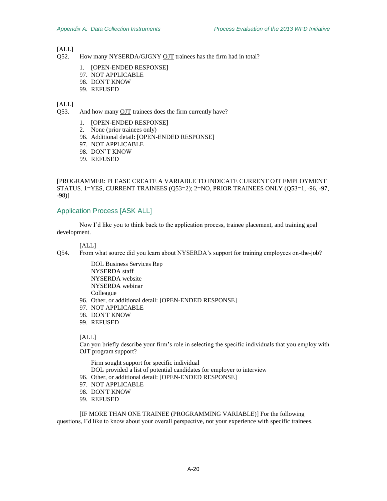# [ALL]

- Q52. How many NYSERDA/GJGNY OJT trainees has the firm had in total?
	- 1. [OPEN-ENDED RESPONSE]
	- 97. NOT APPLICABLE
	- 98. DON'T KNOW
	- 99. REFUSED

# [ALL]

<span id="page-71-0"></span>Q53. And how many OJT trainees does the firm currently have?

- 1. [OPEN-ENDED RESPONSE]
- 2. None (prior trainees only)
- 96. Additional detail: [OPEN-ENDED RESPONSE]
- 97. NOT APPLICABLE
- 98. DON'T KNOW
- 99. REFUSED

[PROGRAMMER: PLEASE CREATE A VARIABLE TO INDICATE CURRENT OJT EMPLOYMENT STATUS. 1=YES, CURRENT TRAINEES [\(Q53=](#page-71-0)2); 2=NO, PRIOR TRAINEES ONLY [\(Q53=](#page-71-0)1, -96, -97, -98)]

# Application Process [ASK ALL]

Now I'd like you to think back to the application process, trainee placement, and training goal development.

# [ALL]

Q54. From what source did you learn about NYSERDA's support for training employees on-the-job?

DOL Business Services Rep NYSERDA staff NYSERDA website NYSERDA webinar Colleague

- 96. Other, or additional detail: [OPEN-ENDED RESPONSE]
- 97. NOT APPLICABLE
- 98. DON'T KNOW
- 99. REFUSED

## [ALL]

Can you briefly describe your firm's role in selecting the specific individuals that you employ with OJT program support?

Firm sought support for specific individual DOL provided a list of potential candidates for employer to interview

- 96. Other, or additional detail: [OPEN-ENDED RESPONSE]
- 97. NOT APPLICABLE
- 98. DON'T KNOW
- 99. REFUSED

[IF MORE THAN ONE TRAINEE (PROGRAMMING VARIABLE)] For the following questions, I'd like to know about your overall perspective, not your experience with specific trainees.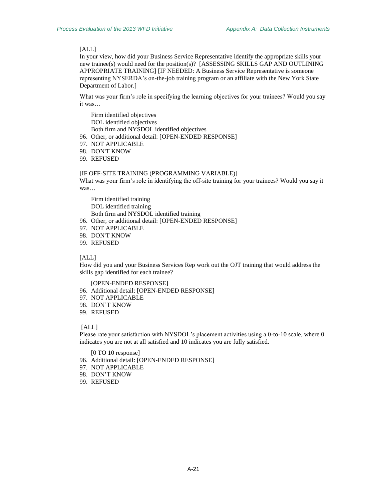In your view, how did your Business Service Representative identify the appropriate skills your new trainee(s) would need for the position(s)? [ASSESSING SKILLS GAP AND OUTLINING APPROPRIATE TRAINING] [IF NEEDED: A Business Service Representative is someone representing NYSERDA's on-the-job training program or an affiliate with the New York State Department of Labor.]

What was your firm's role in specifying the learning objectives for your trainees? Would you say it was…

Firm identified objectives DOL identified objectives Both firm and NYSDOL identified objectives

96. Other, or additional detail: [OPEN-ENDED RESPONSE]

- 97. NOT APPLICABLE
- 98. DON'T KNOW
- 99. REFUSED

#### [IF OFF-SITE TRAINING (PROGRAMMING VARIABLE)]

What was your firm's role in identifying the off-site training for your trainees? Would you say it was…

Firm identified training DOL identified training Both firm and NYSDOL identified training

- 96. Other, or additional detail: [OPEN-ENDED RESPONSE]
- 97. NOT APPLICABLE
- 98. DON'T KNOW
- 99. REFUSED

## [ALL]

How did you and your Business Services Rep work out the OJT training that would address the skills gap identified for each trainee?

#### [OPEN-ENDED RESPONSE]

- 96. Additional detail: [OPEN-ENDED RESPONSE]
- 97. NOT APPLICABLE
- 98. DON'T KNOW
- 99. REFUSED

## [ALL]

Please rate your satisfaction with NYSDOL's placement activities using a 0-to-10 scale, where 0 indicates you are not at all satisfied and 10 indicates you are fully satisfied.

[0 TO 10 response]

- 96. Additional detail: [OPEN-ENDED RESPONSE]
- 97. NOT APPLICABLE
- 98. DON'T KNOW
- 99. REFUSED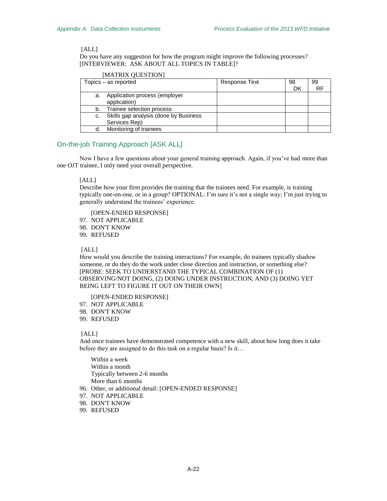Do you have any suggestion for how the program might improve the following processes? [INTERVIEWER: ASK ABOUT ALL TOPICS IN TABLE]?

## [MATRIX QUESTION]

|    | Topics – as reported                     | <b>Response Text</b> | 98 | 99 |
|----|------------------------------------------|----------------------|----|----|
|    |                                          |                      | DK | RF |
| а. | Application process (employer            |                      |    |    |
|    | application)                             |                      |    |    |
| b. | Trainee selection process                |                      |    |    |
|    | c. Skills gap analysis (done by Business |                      |    |    |
|    | Services Rep)                            |                      |    |    |
|    | Monitoring of trainees                   |                      |    |    |

# On-the-job Training Approach [ASK ALL]

Now I have a few questions about your general training approach. Again, if you've had more than one OJT trainee, I only need your overall perspective.

# [ALL]

Describe how your firm provides the training that the trainees need. For example, is training typically one-on-one, or in a group? OPTIONAL: I'm sure it's not a single way; I'm just trying to generally understand the trainees' experience.

[OPEN-ENDED RESPONSE]

- 97. NOT APPLICABLE
- 98. DON'T KNOW

99. REFUSED

[ALL]

How would you describe the training interactions? For example, do trainees typically shadow someone, or do they do the work under close direction and instruction, or something else? [PROBE: SEEK TO UNDERSTAND THE TYPICAL COMBINATION OF (1) OBSERVING/NOT DOING, (2) DOING UNDER INSTRUCTION, AND (3) DOING YET BEING LEFT TO FIGURE IT OUT ON THEIR OWN]

#### [OPEN-ENDED RESPONSE]

- 97. NOT APPLICABLE
- 98. DON'T KNOW
- 99. REFUSED

#### [ALL]

And once trainees have demonstrated competence with a new skill, about how long does it take before they are assigned to do this task on a regular basis? Is it…

Within a week Within a month Typically between 2-6 months More than 6 months

96. Other, or additional detail: [OPEN-ENDED RESPONSE]

- 97. NOT APPLICABLE
- 98. DON'T KNOW
- 99. REFUSED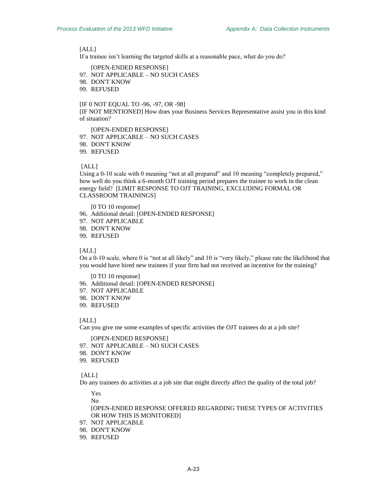<span id="page-74-0"></span>If a trainee isn't learning the targeted skills at a reasonable pace, what do you do?

[OPEN-ENDED RESPONSE]

- 97. NOT APPLICABLE NO SUCH CASES
- 98. DON'T KNOW
- 99. REFUSED

### [I[F 0](#page-74-0) NOT EQUAL TO -96, -97, OR -98]

[IF NOT MENTIONED] How does your Business Services Representative assist you in this kind of situation?

[OPEN-ENDED RESPONSE]

- 97. NOT APPLICABLE NO SUCH CASES
- 98. DON'T KNOW
- 99. REFUSED

#### [ALL]

Using a 0-10 scale with 0 meaning "not at all prepared" and 10 meaning "completely prepared," how well do you think a 6-month OJT training period prepares the trainee to work in the clean energy field? [LIMIT RESPONSE TO OJT TRAINING, EXCLUDING FORMAL OR CLASSROOM TRAININGS]

[0 TO 10 response]

- 96. Additional detail: [OPEN-ENDED RESPONSE]
- 97. NOT APPLICABLE
- 98. DON'T KNOW
- 99. REFUSED

#### [ALL]

On a 0-10 scale, where 0 is "not at all likely" and 10 is "very likely," please rate the likelihood that you would have hired new trainees if your firm had not received an incentive for the training?

[0 TO 10 response]

- 96. Additional detail: [OPEN-ENDED RESPONSE]
- 97. NOT APPLICABLE
- 98. DON'T KNOW
- 99. REFUSED

#### [ALL]

Can you give me some examples of specific activities the OJT trainees do at a job site?

[OPEN-ENDED RESPONSE]

- 97. NOT APPLICABLE NO SUCH CASES
- 98. DON'T KNOW
- 99. REFUSED

#### [ALL]

<span id="page-74-1"></span>Do any trainees do activities at a job site that might directly affect the quality of the total job?

Yes No

[OPEN-ENDED RESPONSE OFFERED REGARDING THESE TYPES OF ACTIVITIES OR HOW THIS IS MONITORED]

- 97. NOT APPLICABLE
- 98. DON'T KNOW
- 99. REFUSED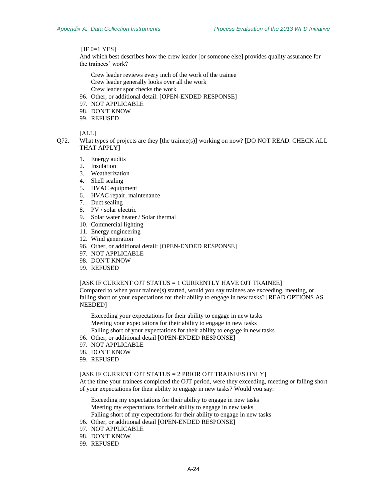[IF [0=](#page-74-1)1 YES]

And which best describes how the crew leader [or someone else] provides quality assurance for the trainees' work?

- Crew leader reviews every inch of the work of the trainee Crew leader generally looks over all the work Crew leader spot checks the work
- 96. Other, or additional detail: [OPEN-ENDED RESPONSE]
- 97. NOT APPLICABLE
- 98. DON'T KNOW
- 99. REFUSED

### [ALL]

- Q72. What types of projects are they [the trainee(s)] working on now? [DO NOT READ. CHECK ALL THAT APPLY]
	- 1. Energy audits
	- 2. Insulation
	- 3. Weatherization
	- 4. Shell sealing
	- 5. HVAC equipment
	- 6. HVAC repair, maintenance
	- 7. Duct sealing
	- 8. PV / solar electric
	- 9. Solar water heater / Solar thermal
	- 10. Commercial lighting
	- 11. Energy engineering
	- 12. Wind generation
	- 96. Other, or additional detail: [OPEN-ENDED RESPONSE]
	- 97. NOT APPLICABLE
	- 98. DON'T KNOW
	- 99. REFUSED

#### [ASK IF CURRENT OJT STATUS = 1 CURRENTLY HAVE OJT TRAINEE]

Compared to when your trainee(s) started, would you say trainees are exceeding, meeting, or falling short of your expectations for their ability to engage in new tasks? [READ OPTIONS AS NEEDED]

Exceeding your expectations for their ability to engage in new tasks Meeting your expectations for their ability to engage in new tasks Falling short of your expectations for their ability to engage in new tasks

- 96. Other, or additional detail [OPEN-ENDED RESPONSE]
- 97. NOT APPLICABLE
- 98. DON'T KNOW
- 99. REFUSED

#### [ASK IF CURRENT OJT STATUS = 2 PRIOR OJT TRAINEES ONLY]

At the time your trainees completed the OJT period, were they exceeding, meeting or falling short of your expectations for their ability to engage in new tasks? Would you say:

Exceeding my expectations for their ability to engage in new tasks Meeting my expectations for their ability to engage in new tasks Falling short of my expectations for their ability to engage in new tasks

- 96. Other, or additional detail [OPEN-ENDED RESPONSE]
- 97. NOT APPLICABLE
- 98. DON'T KNOW
- 99. REFUSED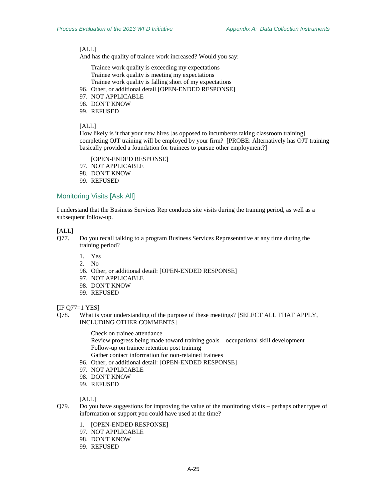And has the quality of trainee work increased? Would you say:

Trainee work quality is exceeding my expectations Trainee work quality is meeting my expectations Trainee work quality is falling short of my expectations

- 96. Other, or additional detail [OPEN-ENDED RESPONSE]
- 97. NOT APPLICABLE
- 98. DON'T KNOW
- 99. REFUSED

## [ALL]

How likely is it that your new hires [as opposed to incumbents taking classroom training] completing OJT training will be employed by your firm? [PROBE: Alternatively has OJT training basically provided a foundation for trainees to pursue other employment?]

[OPEN-ENDED RESPONSE]

97. NOT APPLICABLE

- 98. DON'T KNOW
- 99. REFUSED

## Monitoring Visits [Ask All]

I understand that the Business Services Rep conducts site visits during the training period, as well as a subsequent follow-up.

## [ALL]

- <span id="page-76-0"></span>Q77. Do you recall talking to a program Business Services Representative at any time during the training period?
	- 1. Yes
	- 2. No
	- 96. Other, or additional detail: [OPEN-ENDED RESPONSE]
	- 97. NOT APPLICABLE
	- 98. DON'T KNOW
	- 99. REFUSED

### [I[F Q77=](#page-76-0)1 YES]

Q78. What is your understanding of the purpose of these meetings? [SELECT ALL THAT APPLY, INCLUDING OTHER COMMENTS]

Check on trainee attendance

- Review progress being made toward training goals occupational skill development Follow-up on trainee retention post training
- Gather contact information for non-retained trainees
- 96. Other, or additional detail: [OPEN-ENDED RESPONSE]
- 97. NOT APPLICABLE
- 98. DON'T KNOW
- 99. REFUSED

## [ALL]

- Q79. Do you have suggestions for improving the value of the monitoring visits perhaps other types of information or support you could have used at the time?
	- 1. [OPEN-ENDED RESPONSE]
	- 97. NOT APPLICABLE
	- 98. DON'T KNOW
	- 99. REFUSED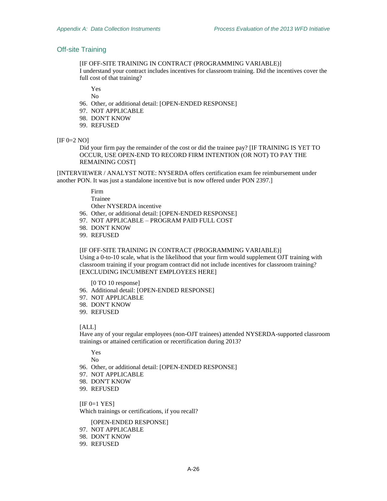# <span id="page-77-0"></span>Off-site Training

[IF OFF-SITE TRAINING IN CONTRACT (PROGRAMMING VARIABLE)] I understand your contract includes incentives for classroom training. Did the incentives cover the full cost of that training?

Yes

No

- 96. Other, or additional detail: [OPEN-ENDED RESPONSE]
- 97. NOT APPLICABLE
- 98. DON'T KNOW
- 99. REFUSED

#### $[IF 0=2 NO]$  $[IF 0=2 NO]$  $[IF 0=2 NO]$

Did your firm pay the remainder of the cost or did the trainee pay? [IF TRAINING IS YET TO OCCUR, USE OPEN-END TO RECORD FIRM INTENTION (OR NOT) TO PAY THE REMAINING COST]

[INTERVIEWER / ANALYST NOTE: NYSERDA offers certification exam fee reimbursement under another PON. It was just a standalone incentive but is now offered under PON 2397.]

> Firm Trainee

Other NYSERDA incentive

- 96. Other, or additional detail: [OPEN-ENDED RESPONSE]
- 97. NOT APPLICABLE PROGRAM PAID FULL COST
- 98. DON'T KNOW
- 99. REFUSED

[IF OFF-SITE TRAINING IN CONTRACT (PROGRAMMING VARIABLE)] Using a 0-to-10 scale, what is the likelihood that your firm would supplement OJT training with classroom training if your program contract did not include incentives for classroom training? [EXCLUDING INCUMBENT EMPLOYEES HERE]

[0 TO 10 response]

- 96. Additional detail: [OPEN-ENDED RESPONSE]
- 97. NOT APPLICABLE
- 98. DON'T KNOW
- 99. REFUSED

## [ALL]

<span id="page-77-1"></span>Have any of your regular employees (non-OJT trainees) attended NYSERDA-supported classroom trainings or attained certification or recertification during 2013?

Yes

No

- 96. Other, or additional detail: [OPEN-ENDED RESPONSE]
- 97. NOT APPLICABLE
- 98. DON'T KNOW
- 99. REFUSED

 $[IF 0=1$  $[IF 0=1$  $[IF 0=1$  YES $]$ Which trainings or certifications, if you recall?

[OPEN-ENDED RESPONSE]

- 97. NOT APPLICABLE
- 98. DON'T KNOW
- 99. REFUSED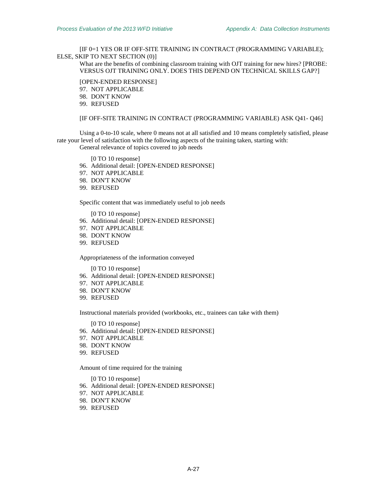[I[F 0=](#page-77-1)1 YES OR IF OFF-SITE TRAINING IN CONTRACT (PROGRAMMING VARIABLE); ELSE, SKIP TO NEXT SECTION [\(0\)](#page-79-0)]

What are the benefits of combining classroom training with OJT training for new hires? [PROBE: VERSUS OJT TRAINING ONLY. DOES THIS DEPEND ON TECHNICAL SKILLS GAP?]

[OPEN-ENDED RESPONSE]

97. NOT APPLICABLE

98. DON'T KNOW

99. REFUSED

## [IF OFF-SITE TRAINING IN CONTRACT (PROGRAMMING VARIABLE) ASK Q41- Q46]

Using a 0-to-10 scale, where 0 means not at all satisfied and 10 means completely satisfied, please rate your level of satisfaction with the following aspects of the training taken, starting with:

General relevance of topics covered to job needs

[0 TO 10 response]

96. Additional detail: [OPEN-ENDED RESPONSE]

- 97. NOT APPLICABLE
- 98. DON'T KNOW
- 99. REFUSED

Specific content that was immediately useful to job needs

[0 TO 10 response]

- 96. Additional detail: [OPEN-ENDED RESPONSE]
- 97. NOT APPLICABLE
- 98. DON'T KNOW
- 99. REFUSED

Appropriateness of the information conveyed

[0 TO 10 response]

- 96. Additional detail: [OPEN-ENDED RESPONSE]
- 97. NOT APPLICABLE
- 98. DON'T KNOW
- 99. REFUSED

Instructional materials provided (workbooks, etc., trainees can take with them)

[0 TO 10 response]

- 96. Additional detail: [OPEN-ENDED RESPONSE]
- 97. NOT APPLICABLE
- 98. DON'T KNOW
- 99. REFUSED

Amount of time required for the training

[0 TO 10 response]

- 96. Additional detail: [OPEN-ENDED RESPONSE]
- 97. NOT APPLICABLE
- 98. DON'T KNOW
- 99. REFUSED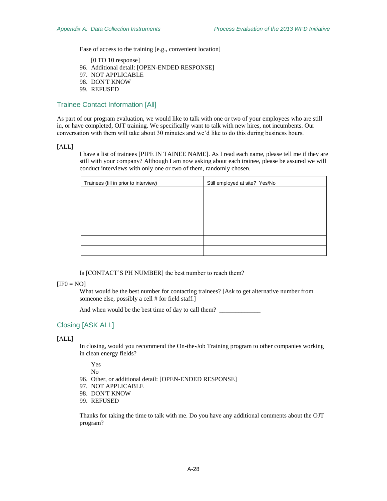Ease of access to the training [e.g., convenient location]

[0 TO 10 response]

- 96. Additional detail: [OPEN-ENDED RESPONSE]
- 97. NOT APPLICABLE
- 98. DON'T KNOW
- 99. REFUSED

## Trainee Contact Information [All]

As part of our program evaluation, we would like to talk with one or two of your employees who are still in, or have completed, OJT training. We specifically want to talk with new hires, not incumbents. Our conversation with them will take about 30 minutes and we'd like to do this during business hours.

### [ALL]

I have a list of trainees [PIPE IN TAINEE NAME]. As I read each name, please tell me if they are still with your company? Although I am now asking about each trainee, please be assured we will conduct interviews with only one or two of them, randomly chosen.

| Trainees (fill in prior to interview) | Still employed at site? Yes/No |
|---------------------------------------|--------------------------------|
|                                       |                                |
|                                       |                                |
|                                       |                                |
|                                       |                                |
|                                       |                                |
|                                       |                                |
|                                       |                                |

Is [CONTACT'S PH NUMBER] the best number to reach them?

## <span id="page-79-1"></span> $[IF0 = NO]$  $[IF0 = NO]$  $[IF0 = NO]$

What would be the best number for contacting trainees? [Ask to get alternative number from someone else, possibly a cell # for field staff.]

And when would be the best time of day to call them? \_\_\_\_\_\_\_\_\_\_\_\_\_\_\_\_\_\_\_\_\_\_\_\_\_\_\_\_

# Closing [ASK ALL]

## <span id="page-79-0"></span>[ALL]

In closing, would you recommend the On-the-Job Training program to other companies working in clean energy fields?

Yes

No

- 96. Other, or additional detail: [OPEN-ENDED RESPONSE]
- 97. NOT APPLICABLE
- 98. DON'T KNOW
- 99. REFUSED

Thanks for taking the time to talk with me. Do you have any additional comments about the OJT program?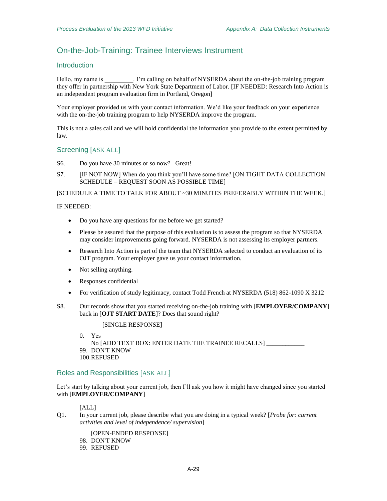# On-the-Job-Training: Trainee Interviews Instrument

## **Introduction**

Hello, my name is \_\_\_\_\_\_\_\_\_. I'm calling on behalf of NYSERDA about the on-the-job training program they offer in partnership with New York State Department of Labor. [IF NEEDED: Research Into Action is an independent program evaluation firm in Portland, Oregon]

Your employer provided us with your contact information. We'd like your feedback on your experience with the on-the-job training program to help NYSERDA improve the program.

This is not a sales call and we will hold confidential the information you provide to the extent permitted by law.

## Screening [ASK ALL]

S6. Do you have 30 minutes or so now? Great!

S7. [IF NOT NOW] When do you think you'll have some time? [ON TIGHT DATA COLLECTION SCHEDULE – REQUEST SOON AS POSSIBLE TIME]

[SCHEDULE A TIME TO TALK FOR ABOUT ~30 MINUTES PREFERABLY WITHIN THE WEEK.]

## IF NEEDED:

- Do you have any questions for me before we get started?
- Please be assured that the purpose of this evaluation is to assess the program so that NYSERDA may consider improvements going forward. NYSERDA is not assessing its employer partners.
- Research Into Action is part of the team that NYSERDA selected to conduct an evaluation of its OJT program. Your employer gave us your contact information.
- Not selling anything.
- Responses confidential
- For verification of study legitimacy, contact Todd French at NYSERDA (518) 862-1090 X 3212
- S8. Our records show that you started receiving on-the-job training with [**EMPLOYER/COMPANY**] back in [**OJT START DATE**]? Does that sound right?

[SINGLE RESPONSE]

0. Yes No [ADD TEXT BOX: ENTER DATE THE TRAINEE RECALLS] \_\_\_\_\_\_\_\_\_\_\_\_ 99. DON'T KNOW 100.REFUSED

## Roles and Responsibilities [ASK ALL]

Let's start by talking about your current job, then I'll ask you how it might have changed since you started with [**EMPLOYER/COMPANY**]

### [ALL]

Q1. In your current job, please describe what you are doing in a typical week? [*Probe for: current activities and level of independence/ supervision*]

[OPEN-ENDED RESPONSE] 98. DON'T KNOW 99. REFUSED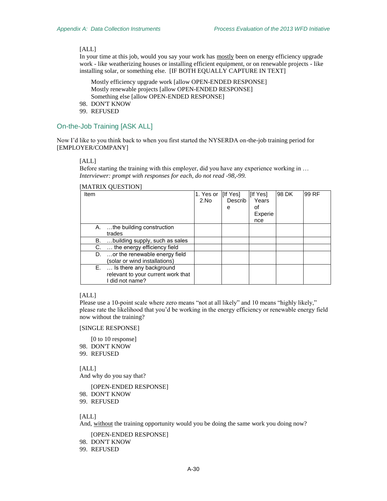In your time at this job, would you say your work has mostly been on energy efficiency upgrade work - like weatherizing houses or installing efficient equipment, or on renewable projects - like installing solar, or something else. [IF BOTH EQUALLY CAPTURE IN TEXT]

Mostly efficiency upgrade work [allow OPEN-ENDED RESPONSE] Mostly renewable projects [allow OPEN-ENDED RESPONSE] Something else [allow OPEN-ENDED RESPONSE]

- 98. DON'T KNOW
- 99. REFUSED

## On-the-Job Training [ASK ALL]

Now I'd like to you think back to when you first started the NYSERDA on-the-job training period for [EMPLOYER/COMPANY]

### [ALL]

Before starting the training with this employer, did you have any experience working in … *Interviewer: prompt with responses for each, do not read -98,-99.* 

## [MATRIX QUESTION]

| Item |                                    | 1. Yes or [If Yes] |         | [If Yes] | 98 DK | 99 RF |
|------|------------------------------------|--------------------|---------|----------|-------|-------|
|      |                                    | 2.No               | Describ | Years    |       |       |
|      |                                    |                    | е       | οf       |       |       |
|      |                                    |                    |         | Experie  |       |       |
|      |                                    |                    |         | nce      |       |       |
|      | A. the building construction       |                    |         |          |       |       |
|      | trades                             |                    |         |          |       |       |
| В.   | building supply, such as sales     |                    |         |          |       |       |
| C.   | the energy efficiency field        |                    |         |          |       |       |
|      | D. or the renewable energy field   |                    |         |          |       |       |
|      | (solar or wind installations)      |                    |         |          |       |       |
|      | E.  Is there any background        |                    |         |          |       |       |
|      | relevant to your current work that |                    |         |          |       |       |
|      | I did not name?                    |                    |         |          |       |       |

## [ALL]

Please use a 10-point scale where zero means "not at all likely" and 10 means "highly likely," please rate the likelihood that you'd be working in the energy efficiency or renewable energy field now without the training?

## [SINGLE RESPONSE]

[0 to 10 response]

- 98. DON'T KNOW
- 99. REFUSED

[ALL] And why do you say that?

[OPEN-ENDED RESPONSE] 98. DON'T KNOW 99. REFUSED

# [ALL]

And, without the training opportunity would you be doing the same work you doing now?

[OPEN-ENDED RESPONSE]

98. DON'T KNOW

99. REFUSED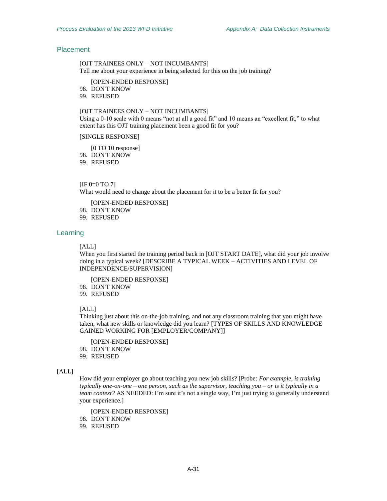## Placement

[OJT TRAINEES ONLY – NOT INCUMBANTS] Tell me about your experience in being selected for this on the job training?

[OPEN-ENDED RESPONSE]

98. DON'T KNOW

99. REFUSED

## [OJT TRAINEES ONLY – NOT INCUMBANTS]

<span id="page-82-0"></span>Using a 0-10 scale with 0 means "not at all a good fit" and 10 means an "excellent fit," to what extent has this OJT training placement been a good fit for you?

[SINGLE RESPONSE]

[0 TO 10 response]

98. DON'T KNOW

99. REFUSED

## [I[F 0=](#page-82-0)0 TO 7]

What would need to change about the placement for it to be a better fit for you?

[OPEN-ENDED RESPONSE]

98. DON'T KNOW

99. REFUSED

## Learning

[ALL]

When you first started the training period back in [OJT START DATE], what did your job involve doing in a typical week? [DESCRIBE A TYPICAL WEEK – ACTIVITIES AND LEVEL OF INDEPENDENCE/SUPERVISION]

[OPEN-ENDED RESPONSE]

98. DON'T KNOW

99. REFUSED

## [ALL]

Thinking just about this on-the-job training, and not any classroom training that you might have taken, what new skills or knowledge did you learn? [TYPES OF SKILLS AND KNOWLEDGE GAINED WORKING FOR [EMPLOYER/COMPANY]]

[OPEN-ENDED RESPONSE]

98. DON'T KNOW

99. REFUSED

#### $[ALL]$

How did your employer go about teaching you new job skills? [Probe: *For example, is training typically one-on-one – one person, such as the supervisor, teaching you – or is it typically in a team context?* AS NEEDED: I'm sure it's not a single way, I'm just trying to generally understand your experience.]

[OPEN-ENDED RESPONSE]

98. DON'T KNOW

99. REFUSED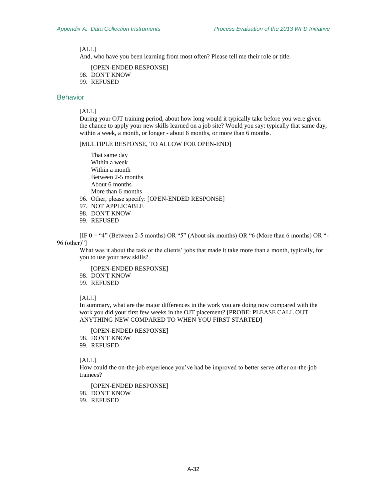And, who have you been learning from most often? Please tell me their role or title.

[OPEN-ENDED RESPONSE] 98. DON'T KNOW

99. REFUSED

# <span id="page-83-0"></span>Behavior

[ALL]

During your OJT training period, about how long would it typically take before you were given the chance to apply your new skills learned on a job site? Would you say: typically that same day, within a week, a month, or longer - about 6 months, or more than 6 months.

[MULTIPLE RESPONSE, TO ALLOW FOR OPEN-END]

That same day Within a week Within a month Between 2-5 months About 6 months More than 6 months

- 96. Other, please specify: [OPEN-ENDED RESPONSE]
- 97. NOT APPLICABLE
- 98. DON'T KNOW
- 99. REFUSED

[I[F 0](#page-83-0) = "4" (Between 2-5 months) OR "5" (About six months) OR "6 (More than 6 months) OR "- 96 (other)"]

What was it about the task or the clients' jobs that made it take more than a month, typically, for you to use your new skills?

[OPEN-ENDED RESPONSE]

- 98. DON'T KNOW
- 99. REFUSED

## [ALL]

In summary, what are the major differences in the work you are doing now compared with the work you did your first few weeks in the OJT placement? [PROBE: PLEASE CALL OUT ANYTHING NEW COMPARED TO WHEN YOU FIRST STARTED]

[OPEN-ENDED RESPONSE]

98. DON'T KNOW

99. REFUSED

#### [ALL]

How could the on-the-job experience you've had be improved to better serve other on-the-job trainees?

[OPEN-ENDED RESPONSE] 98. DON'T KNOW 99. REFUSED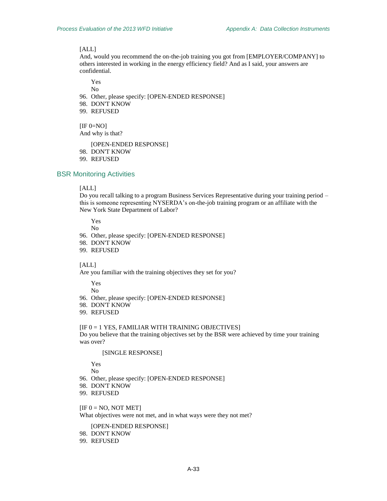<span id="page-84-0"></span>And, would you recommend the on-the-job training you got from [EMPLOYER/COMPANY] to others interested in working in the energy efficiency field? And as I said, your answers are confidential.

Yes No

- 96. Other, please specify: [OPEN-ENDED RESPONSE]
- 98. DON'T KNOW
- 99. REFUSED

 $[IF 0=NO]$  $[IF 0=NO]$  $[IF 0=NO]$ And why is that?

[OPEN-ENDED RESPONSE]

- 98. DON'T KNOW
- 99. REFUSED

# BSR Monitoring Activities

#### [ALL]

Do you recall talking to a program Business Services Representative during your training period – this is someone representing NYSERDA's on-the-job training program or an affiliate with the New York State Department of Labor?

Yes

No

- 96. Other, please specify: [OPEN-ENDED RESPONSE]
- 98. DON'T KNOW
- 99. REFUSED

#### [ALL]

<span id="page-84-1"></span>Are you familiar with the training objectives they set for you?

Yes

No

- 96. Other, please specify: [OPEN-ENDED RESPONSE]
- 98. DON'T KNOW
- 99. REFUSED

#### [I[F 0](#page-84-1) = 1 YES, FAMILIAR WITH TRAINING OBJECTIVES]

<span id="page-84-2"></span>Do you believe that the training objectives set by the BSR were achieved by time your training was over?

#### [SINGLE RESPONSE]

Yes

- No
- 96. Other, please specify: [OPEN-ENDED RESPONSE]
- 98. DON'T KNOW
- 99. REFUSED

## $[IF 0 = NO, NOT MET]$  $[IF 0 = NO, NOT MET]$  $[IF 0 = NO, NOT MET]$

What objectives were not met, and in what ways were they not met?

[OPEN-ENDED RESPONSE]

- 98. DON'T KNOW
- 99. REFUSED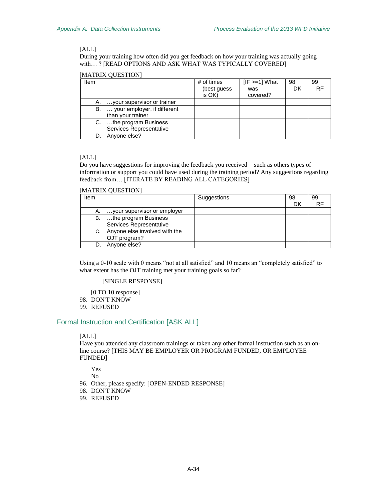During your training how often did you get feedback on how your training was actually going with… ? [READ OPTIONS AND ASK WHAT WAS TYPICALLY COVERED]

## [MATRIX QUESTION]

| Item |                                 | # of times   | $[IF > = 1] What$ | 98 | 99        |
|------|---------------------------------|--------------|-------------------|----|-----------|
|      |                                 | (best guess) | was               | DK | <b>RF</b> |
|      |                                 | is OK)       | covered?          |    |           |
|      | A.  your supervisor or trainer  |              |                   |    |           |
|      | B.  your employer, if different |              |                   |    |           |
|      | than your trainer               |              |                   |    |           |
|      | C. the program Business         |              |                   |    |           |
|      | Services Representative         |              |                   |    |           |
|      | Anyone else?                    |              |                   |    |           |

## [ALL]

Do you have suggestions for improving the feedback you received – such as others types of information or support you could have used during the training period? Any suggestions regarding feedback from… [ITERATE BY READING ALL CATEGORIES]

### [MATRIX QUESTION]

| Item |                                  | Suggestions | 98 | 99 |
|------|----------------------------------|-------------|----|----|
|      |                                  |             | DK | RF |
| А.   | your supervisor or employer      |             |    |    |
| В.   | the program Business             |             |    |    |
|      | Services Representative          |             |    |    |
|      | C. Anyone else involved with the |             |    |    |
|      | OJT program?                     |             |    |    |
|      | Anyone else?                     |             |    |    |

Using a 0-10 scale with 0 means "not at all satisfied" and 10 means an "completely satisfied" to what extent has the OJT training met your training goals so far?

## [SINGLE RESPONSE]

[0 TO 10 response]

98. DON'T KNOW

99. REFUSED

# <span id="page-85-0"></span>Formal Instruction and Certification [ASK ALL]

## [ALL]

Have you attended any classroom trainings or taken any other formal instruction such as an online course? [THIS MAY BE EMPLOYER OR PROGRAM FUNDED, OR EMPLOYEE FUNDED]

Yes

No

- 96. Other, please specify: [OPEN-ENDED RESPONSE]
- 98. DON'T KNOW
- 99. REFUSED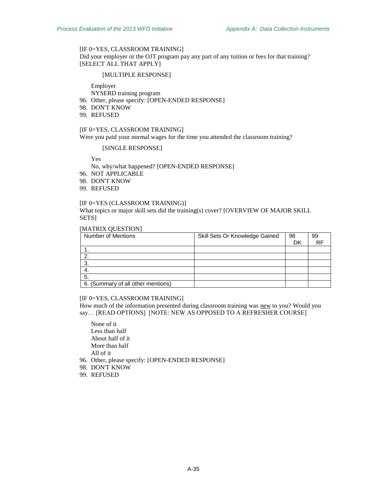## [I[F 0=](#page-85-0)YES, CLASSROOM TRAINING]

Did your employer or the OJT program pay any part of any tuition or fees for that training? [SELECT ALL THAT APPLY]

#### [MULTIPLE RESPONSE]

Employer

NYSERD training program

- 96. Other, please specify: [OPEN-ENDED RESPONSE]
- 98. DON'T KNOW
- 99. REFUSED

### [I[F 0=](#page-85-0)YES, CLASSROOM TRAINING]

Were you paid your normal wages for the time you attended the classroom training?

#### [SINGLE RESPONSE]

Yes

No, why/what happened? [OPEN-ENDED RESPONSE]

96. NOT APPLICABLE

98. DON'T KNOW

99. REFUSED

#### [I[F 0=](#page-85-0)YES (CLASSROOM TRAINING)]

What topics or major skill sets did the training(s) cover? [OVERVIEW OF MAJOR SKILL SETS]

## [MATRIX QUESTION]

| <b>Number of Mentions</b>          | Skill Sets Or Knowledge Gained | 98 | 99 |
|------------------------------------|--------------------------------|----|----|
|                                    |                                | DK | RF |
|                                    |                                |    |    |
|                                    |                                |    |    |
| 3.                                 |                                |    |    |
| -4.                                |                                |    |    |
| 5.                                 |                                |    |    |
| 6. (Summary of all other mentions) |                                |    |    |

#### [I[F 0=](#page-85-0)YES, CLASSROOM TRAINING]

How much of the information presented during classroom training was new to you? Would you say… [READ OPTIONS] [NOTE: NEW AS OPPOSED TO A REFRESHER COURSE]

None of it Less than half About half of it More than half All of it

- 96. Other, please specify: [OPEN-ENDED RESPONSE]
- 98. DON'T KNOW
- 99. REFUSED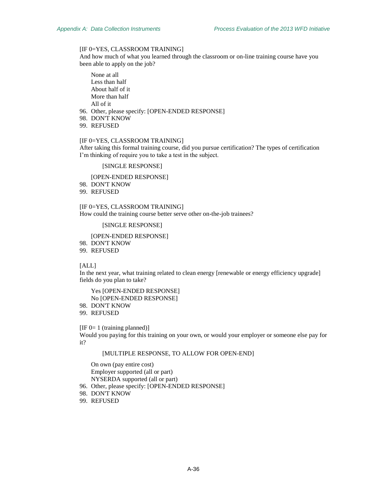## [I[F 0=](#page-85-0)YES, CLASSROOM TRAINING]

And how much of what you learned through the classroom or on-line training course have you been able to apply on the job?

None at all Less than half About half of it More than half All of it

96. Other, please specify: [OPEN-ENDED RESPONSE]

98. DON'T KNOW

99. REFUSED

#### [I[F 0=](#page-85-0)YES, CLASSROOM TRAINING]

After taking this formal training course, did you pursue certification? The types of certification I'm thinking of require you to take a test in the subject.

### [SINGLE RESPONSE]

[OPEN-ENDED RESPONSE]

98. DON'T KNOW

99. REFUSED

[I[F 0=](#page-85-0)YES, CLASSROOM TRAINING] How could the training course better serve other on-the-job trainees?

[SINGLE RESPONSE]

[OPEN-ENDED RESPONSE]

98. DON'T KNOW

99. REFUSED

[ALL]

<span id="page-87-0"></span>In the next year, what training related to clean energy [renewable or energy efficiency upgrade] fields do you plan to take?

Yes [OPEN-ENDED RESPONSE] No [OPEN-ENDED RESPONSE]

98. DON'T KNOW

99. REFUSED

 $[IF 0= 1 (training planned)]$  $[IF 0= 1 (training planned)]$  $[IF 0= 1 (training planned)]$ 

Would you paying for this training on your own, or would your employer or someone else pay for it?

### [MULTIPLE RESPONSE, TO ALLOW FOR OPEN-END]

On own (pay entire cost) Employer supported (all or part) NYSERDA supported (all or part)

96. Other, please specify: [OPEN-ENDED RESPONSE]

- 98. DON'T KNOW
- 99. REFUSED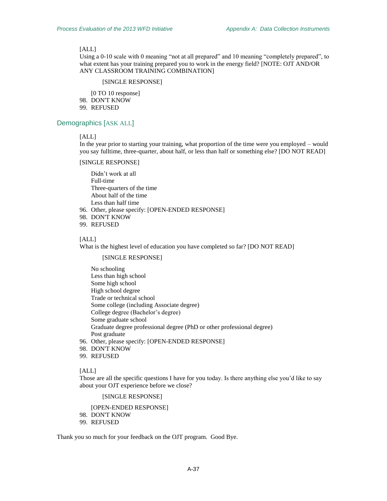Using a 0-10 scale with 0 meaning "not at all prepared" and 10 meaning "completely prepared", to what extent has your training prepared you to work in the energy field? [NOTE: OJT AND/OR ANY CLASSROOM TRAINING COMBINATION]

#### [SINGLE RESPONSE]

[0 TO 10 response] 98. DON'T KNOW

99. REFUSED

# Demographics [ASK ALL]

## [ALL]

In the year prior to starting your training, what proportion of the time were you employed – would you say fulltime, three-quarter, about half, or less than half or something else? [DO NOT READ]

#### [SINGLE RESPONSE]

Didn't work at all Full-time Three-quarters of the time About half of the time Less than half time

- 96. Other, please specify: [OPEN-ENDED RESPONSE]
- 98. DON'T KNOW
- 99. REFUSED

#### [ALL]

What is the highest level of education you have completed so far? [DO NOT READ]

#### [SINGLE RESPONSE]

No schooling Less than high school Some high school High school degree Trade or technical school Some college (including Associate degree) College degree (Bachelor's degree) Some graduate school Graduate degree professional degree (PhD or other professional degree) Post graduate

- 96. Other, please specify: [OPEN-ENDED RESPONSE]
- 98. DON'T KNOW
- 99. REFUSED

#### [ALL]

Those are all the specific questions I have for you today. Is there anything else you'd like to say about your OJT experience before we close?

# [SINGLE RESPONSE]

[OPEN-ENDED RESPONSE]

- 98. DON'T KNOW
- 99. REFUSED

Thank you so much for your feedback on the OJT program. Good Bye.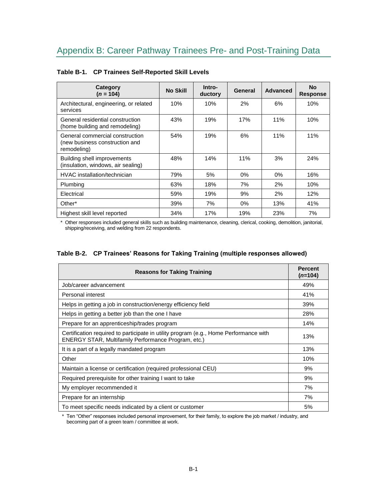| Category<br>$(n = 104)$                                                          | <b>No Skill</b> | Intro-<br>ductory | General | <b>Advanced</b> | <b>No</b><br><b>Response</b> |
|----------------------------------------------------------------------------------|-----------------|-------------------|---------|-----------------|------------------------------|
| Architectural, engineering, or related<br>services                               | 10%             | 10%               | 2%      | 6%              | 10%                          |
| General residential construction<br>(home building and remodeling)               | 43%             | 19%               | 17%     | 11%             | 10%                          |
| General commercial construction<br>(new business construction and<br>remodeling) | 54%             | 19%               | 6%      | 11%             | 11%                          |
| Building shell improvements<br>(insulation, windows, air sealing)                | 48%             | 14%               | 11%     | 3%              | 24%                          |
| HVAC installation/technician                                                     | 79%             | 5%                | 0%      | $0\%$           | 16%                          |
| Plumbing                                                                         | 63%             | 18%               | 7%      | 2%              | 10%                          |
| Electrical                                                                       | 59%             | 19%               | 9%      | 2%              | 12%                          |
| Other*                                                                           | 39%             | 7%                | 0%      | 13%             | 41%                          |
| Highest skill level reported                                                     | 34%             | 17%               | 19%     | 23%             | 7%                           |

# **Table B-1. CP Trainees Self-Reported Skill Levels**

\* Other responses included general skills such as building maintenance, cleaning, clerical, cooking, demolition, janitorial, shipping/receiving, and welding from 22 respondents.

|  |  |  |  |  |  | Table B-2. CP Trainees' Reasons for Taking Training (multiple responses allowed) |  |
|--|--|--|--|--|--|----------------------------------------------------------------------------------|--|
|--|--|--|--|--|--|----------------------------------------------------------------------------------|--|

| <b>Reasons for Taking Training</b>                                                                                                                  | <b>Percent</b><br>$(n=104)$ |
|-----------------------------------------------------------------------------------------------------------------------------------------------------|-----------------------------|
| Job/career advancement                                                                                                                              | 49%                         |
| Personal interest                                                                                                                                   | 41%                         |
| Helps in getting a job in construction/energy efficiency field                                                                                      | 39%                         |
| Helps in getting a better job than the one I have                                                                                                   | 28%                         |
| Prepare for an apprenticeship/trades program                                                                                                        | 14%                         |
| Certification required to participate in utility program (e.g., Home Performance with<br><b>ENERGY STAR, Multifamily Performance Program, etc.)</b> | 13%                         |
| It is a part of a legally mandated program                                                                                                          | 13%                         |
| Other                                                                                                                                               | 10%                         |
| Maintain a license or certification (required professional CEU)                                                                                     | 9%                          |
| Required prerequisite for other training I want to take                                                                                             | 9%                          |
| My employer recommended it                                                                                                                          | 7%                          |
| Prepare for an internship                                                                                                                           | 7%                          |
| To meet specific needs indicated by a client or customer                                                                                            | 5%                          |

\* Ten "Other" responses included personal improvement, for their family, to explore the job market / industry, and becoming part of a green team / committee at work.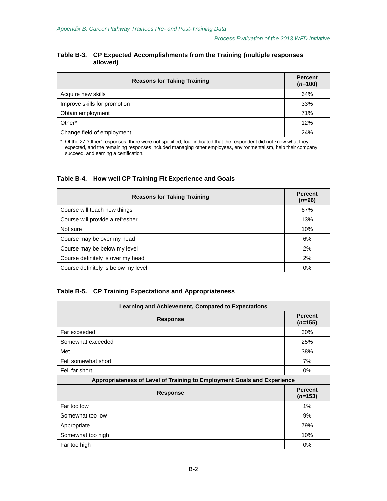# **Table B-3. CP Expected Accomplishments from the Training (multiple responses allowed)**

| <b>Reasons for Taking Training</b> | <b>Percent</b><br>$(n=100)$ |
|------------------------------------|-----------------------------|
| Acquire new skills                 | 64%                         |
| Improve skills for promotion       | 33%                         |
| Obtain employment                  | 71%                         |
| Other*                             | 12%                         |
| Change field of employment         | 24%                         |

\* Of the 27 "Other" responses, three were not specified, four indicated that the respondent did not know what they expected, and the remaining responses included managing other employees, environmentalism, help their company succeed, and earning a certification.

# **Table B-4. How well CP Training Fit Experience and Goals**

| <b>Reasons for Taking Training</b>  | <b>Percent</b><br>$(n=96)$ |
|-------------------------------------|----------------------------|
| Course will teach new things        | 67%                        |
| Course will provide a refresher     | 13%                        |
| Not sure                            | 10%                        |
| Course may be over my head          | 6%                         |
| Course may be below my level        | 2%                         |
| Course definitely is over my head   | 2%                         |
| Course definitely is below my level | 0%                         |

# **Table B-5. CP Training Expectations and Appropriateness**

| Learning and Achievement, Compared to Expectations                      |                             |  |  |  |
|-------------------------------------------------------------------------|-----------------------------|--|--|--|
| <b>Response</b>                                                         | <b>Percent</b><br>$(n=155)$ |  |  |  |
| Far exceeded                                                            | 30%                         |  |  |  |
| Somewhat exceeded                                                       | 25%                         |  |  |  |
| Met                                                                     | 38%                         |  |  |  |
| Fell somewhat short                                                     | 7%                          |  |  |  |
| Fell far short                                                          | 0%                          |  |  |  |
| Appropriateness of Level of Training to Employment Goals and Experience |                             |  |  |  |
| <b>Response</b>                                                         | <b>Percent</b><br>$(n=153)$ |  |  |  |
| Far too low                                                             | 1%                          |  |  |  |
| Somewhat too low                                                        | 9%                          |  |  |  |
| Appropriate                                                             | 79%                         |  |  |  |
| Somewhat too high                                                       | 10%                         |  |  |  |
| Far too high                                                            | 0%                          |  |  |  |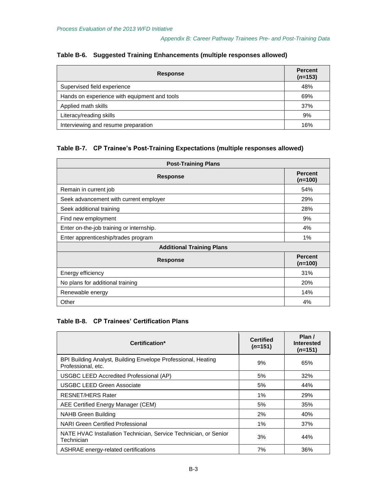| <b>Response</b>                              | <b>Percent</b><br>$(n=153)$ |
|----------------------------------------------|-----------------------------|
| Supervised field experience                  | 48%                         |
| Hands on experience with equipment and tools | 69%                         |
| Applied math skills                          | 37%                         |
| Literacy/reading skills                      | 9%                          |
| Interviewing and resume preparation          | 16%                         |

# **Table B-6. Suggested Training Enhancements (multiple responses allowed)**

# **Table B-7. CP Trainee's Post-Training Expectations (multiple responses allowed)**

| <b>Post-Training Plans</b>               |                             |  |
|------------------------------------------|-----------------------------|--|
| <b>Response</b>                          | <b>Percent</b><br>$(n=100)$ |  |
| Remain in current job                    | 54%                         |  |
| Seek advancement with current employer   | 29%                         |  |
| Seek additional training                 | 28%                         |  |
| Find new employment                      | 9%                          |  |
| Enter on-the-job training or internship. | 4%                          |  |
| Enter apprenticeship/trades program      | 1%                          |  |
| <b>Additional Training Plans</b>         |                             |  |
| <b>Response</b>                          | <b>Percent</b><br>$(n=100)$ |  |
| Energy efficiency                        | 31%                         |  |
| No plans for additional training         | 20%                         |  |
| Renewable energy                         | 14%                         |  |
| Other                                    | 4%                          |  |

# **Table B-8. CP Trainees' Certification Plans**

| Certification*                                                                      | <b>Certified</b><br>$(n=151)$ | Plan /<br><b>Interested</b><br>$(n=151)$ |
|-------------------------------------------------------------------------------------|-------------------------------|------------------------------------------|
| BPI Building Analyst, Building Envelope Professional, Heating<br>Professional, etc. | 9%                            | 65%                                      |
| USGBC LEED Accredited Professional (AP)                                             | 5%                            | 32%                                      |
| <b>USGBC LEED Green Associate</b>                                                   | 5%                            | 44%                                      |
| <b>RESNET/HERS Rater</b>                                                            | $1\%$                         | 29%                                      |
| AEE Certified Energy Manager (CEM)                                                  | 5%                            | 35%                                      |
| NAHB Green Building                                                                 | 2%                            | 40%                                      |
| <b>NARI Green Certified Professional</b>                                            | 1%                            | 37%                                      |
| NATE HVAC Installation Technician, Service Technician, or Senior<br>Technician      | 3%                            | 44%                                      |
| ASHRAE energy-related certifications                                                | 7%                            | 36%                                      |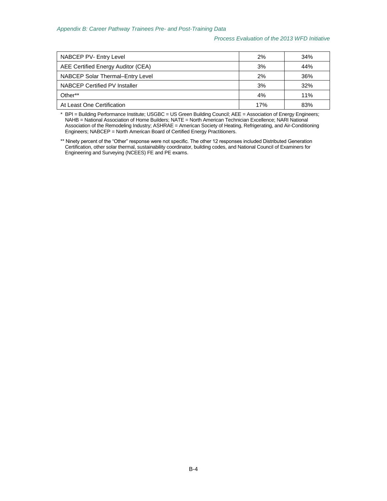### *Process Evaluation of the 2013 WFD Initiative*

| NABCEP PV- Entry Level             | 2%  | 34% |
|------------------------------------|-----|-----|
| AEE Certified Energy Auditor (CEA) | 3%  | 44% |
| NABCEP Solar Thermal-Entry Level   | 2%  | 36% |
| NABCEP Certified PV Installer      | 3%  | 32% |
| Other**                            | 4%  | 11% |
| At Least One Certification         | 17% | 83% |

\* BPI = Building Performance Institute; USGBC = US Green Building Council; AEE = Association of Energy Engineers; NAHB = National Association of Home Builders; NATE = North American Technician Excellence; NARI National Association of the Remodeling Industry; ASHRAE = American Society of Heating, Refrigerating, and Air-Conditioning Engineers; NABCEP = North American Board of Certified Energy Practitioners.

\*\* Ninety percent of the "Other" response were not specific. The other 12 responses included Distributed Generation Certification, other solar thermal, sustainability coordinator, building codes, and National Council of Examiners for Engineering and Surveying (NCEES) FE and PE exams.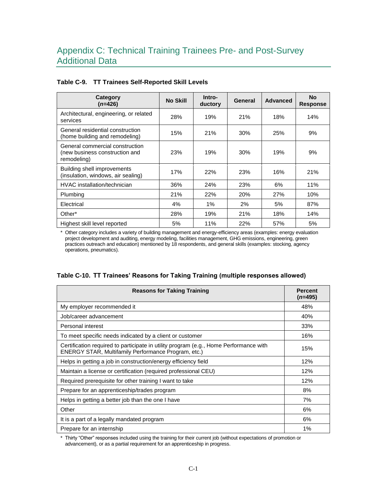| Category<br>$(n=426)$                                                            | <b>No Skill</b> | Intro-<br>ductory | General | <b>Advanced</b> | <b>No</b><br><b>Response</b> |
|----------------------------------------------------------------------------------|-----------------|-------------------|---------|-----------------|------------------------------|
| Architectural, engineering, or related<br>services                               | 28%             | 19%               | 21%     | 18%             | 14%                          |
| General residential construction<br>(home building and remodeling)               | 15%             | 21%               | 30%     | 25%             | 9%                           |
| General commercial construction<br>(new business construction and<br>remodeling) | 23%             | 19%               | 30%     | 19%             | 9%                           |
| Building shell improvements<br>(insulation, windows, air sealing)                | 17%             | 22%               | 23%     | 16%             | 21%                          |
| HVAC installation/technician                                                     | 36%             | 24%               | 23%     | 6%              | 11%                          |
| Plumbing                                                                         | 21%             | 22%               | 20%     | 27%             | 10%                          |
| Electrical                                                                       | 4%              | 1%                | 2%      | 5%              | 87%                          |
| Other*                                                                           | 28%             | 19%               | 21%     | 18%             | 14%                          |
| Highest skill level reported                                                     | 5%              | 11%               | 22%     | 57%             | 5%                           |

# **Table C-9. TT Trainees Self-Reported Skill Levels**

Other category includes a variety of building management and energy-efficiency areas (examples: energy evaluation project development and auditing, energy modeling, facilities management, GHG emissions, engineering, green practices outreach and education) mentioned by 18 respondents, and general skills (examples: stocking, agency operations, pneumatics).

| <b>Reasons for Taking Training</b>                                                                                                                  | <b>Percent</b><br>$(n=495)$ |
|-----------------------------------------------------------------------------------------------------------------------------------------------------|-----------------------------|
| My employer recommended it                                                                                                                          | 48%                         |
| Job/career advancement                                                                                                                              | 40%                         |
| Personal interest                                                                                                                                   | 33%                         |
| To meet specific needs indicated by a client or customer                                                                                            | 16%                         |
| Certification required to participate in utility program (e.g., Home Performance with<br><b>ENERGY STAR, Multifamily Performance Program, etc.)</b> | 15%                         |
| Helps in getting a job in construction/energy efficiency field                                                                                      | 12%                         |
| Maintain a license or certification (required professional CEU)                                                                                     | 12%                         |
| Required prerequisite for other training I want to take                                                                                             | 12%                         |
| Prepare for an apprenticeship/trades program                                                                                                        | 8%                          |
| Helps in getting a better job than the one I have                                                                                                   | 7%                          |
| Other                                                                                                                                               | 6%                          |
| It is a part of a legally mandated program                                                                                                          | 6%                          |
| Prepare for an internship                                                                                                                           | 1%                          |

# **Table C-10. TT Trainees' Reasons for Taking Training (multiple responses allowed)**

\* Thirty "Other" responses included using the training for their current job (without expectations of promotion or advancement), or as a partial requirement for an apprenticeship in progress.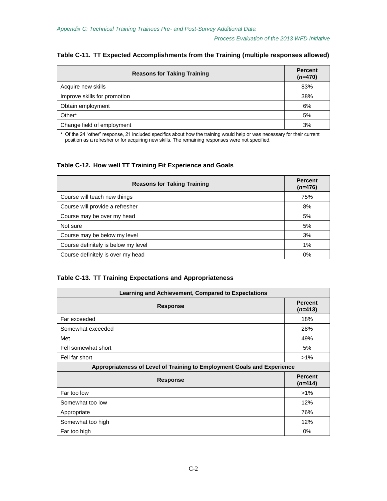| <b>Reasons for Taking Training</b> | <b>Percent</b><br>$(n=470)$ |
|------------------------------------|-----------------------------|
| Acquire new skills                 | 83%                         |
| Improve skills for promotion       | 38%                         |
| Obtain employment                  | 6%                          |
| Other*                             | 5%                          |
| Change field of employment         | 3%                          |

## **Table C-11. TT Expected Accomplishments from the Training (multiple responses allowed)**

\* Of the 24 "other" response, 21 included specifics about how the training would help or was necessary for their current position as a refresher or for acquiring new skills. The remaining responses were not specified.

# **Table C-12. How well TT Training Fit Experience and Goals**

| <b>Reasons for Taking Training</b>  | <b>Percent</b><br>$(n=476)$ |
|-------------------------------------|-----------------------------|
| Course will teach new things        | 75%                         |
| Course will provide a refresher     | 8%                          |
| Course may be over my head          | 5%                          |
| Not sure                            | 5%                          |
| Course may be below my level        | 3%                          |
| Course definitely is below my level | $1\%$                       |
| Course definitely is over my head   | 0%                          |

# **Table C-13. TT Training Expectations and Appropriateness**

| Learning and Achievement, Compared to Expectations                      |                             |  |
|-------------------------------------------------------------------------|-----------------------------|--|
| <b>Response</b>                                                         | <b>Percent</b><br>$(n=413)$ |  |
| Far exceeded                                                            | 18%                         |  |
| Somewhat exceeded                                                       | 28%                         |  |
| Met                                                                     | 49%                         |  |
| Fell somewhat short                                                     | 5%                          |  |
| Fell far short                                                          | $>1\%$                      |  |
| Appropriateness of Level of Training to Employment Goals and Experience |                             |  |
| <b>Response</b>                                                         | <b>Percent</b><br>$(n=414)$ |  |
| Far too low                                                             | $>1\%$                      |  |
| Somewhat too low                                                        | 12%                         |  |
| Appropriate                                                             | 76%                         |  |
| Somewhat too high                                                       | 12%                         |  |
| Far too high                                                            | 0%                          |  |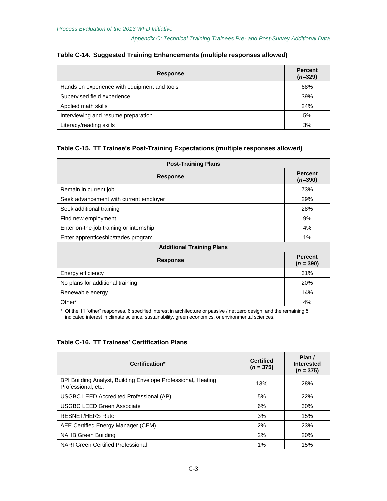| <b>Response</b>                              | <b>Percent</b><br>$(n=329)$ |
|----------------------------------------------|-----------------------------|
| Hands on experience with equipment and tools | 68%                         |
| Supervised field experience                  | 39%                         |
| Applied math skills                          | 24%                         |
| Interviewing and resume preparation          | 5%                          |
| Literacy/reading skills                      | 3%                          |

## **Table C-14. Suggested Training Enhancements (multiple responses allowed)**

# **Table C-15. TT Trainee's Post-Training Expectations (multiple responses allowed)**

| <b>Post-Training Plans</b>               |                               |  |
|------------------------------------------|-------------------------------|--|
| <b>Response</b>                          | <b>Percent</b><br>$(n=390)$   |  |
| Remain in current job                    | 73%                           |  |
| Seek advancement with current employer   | 29%                           |  |
| Seek additional training                 | 28%                           |  |
| Find new employment                      | 9%                            |  |
| Enter on-the-job training or internship. | 4%                            |  |
| Enter apprenticeship/trades program      | 1%                            |  |
| <b>Additional Training Plans</b>         |                               |  |
| <b>Response</b>                          | <b>Percent</b><br>$(n = 390)$ |  |
| Energy efficiency                        | 31%                           |  |
| No plans for additional training         | 20%                           |  |
| Renewable energy                         | 14%                           |  |
| Other*                                   | 4%                            |  |

\* Of the 11 "other" responses, 6 specified interest in architecture or passive / net zero design, and the remaining 5 indicated interest in climate science, sustainability, green economics, or environmental sciences.

# **Table C-16. TT Trainees' Certification Plans**

| Certification*                                                                      | <b>Certified</b><br>$(n = 375)$ | Plan /<br>Interested<br>$(n = 375)$ |
|-------------------------------------------------------------------------------------|---------------------------------|-------------------------------------|
| BPI Building Analyst, Building Envelope Professional, Heating<br>Professional, etc. | 13%                             | 28%                                 |
| USGBC LEED Accredited Professional (AP)                                             | 5%                              | <b>22%</b>                          |
| <b>USGBC LEED Green Associate</b>                                                   | 6%                              | 30%                                 |
| <b>RESNET/HERS Rater</b>                                                            | 3%                              | 15%                                 |
| AEE Certified Energy Manager (CEM)                                                  | 2%                              | 23%                                 |
| NAHB Green Building                                                                 | 2%                              | <b>20%</b>                          |
| NARI Green Certified Professional                                                   | 1%                              | 15%                                 |